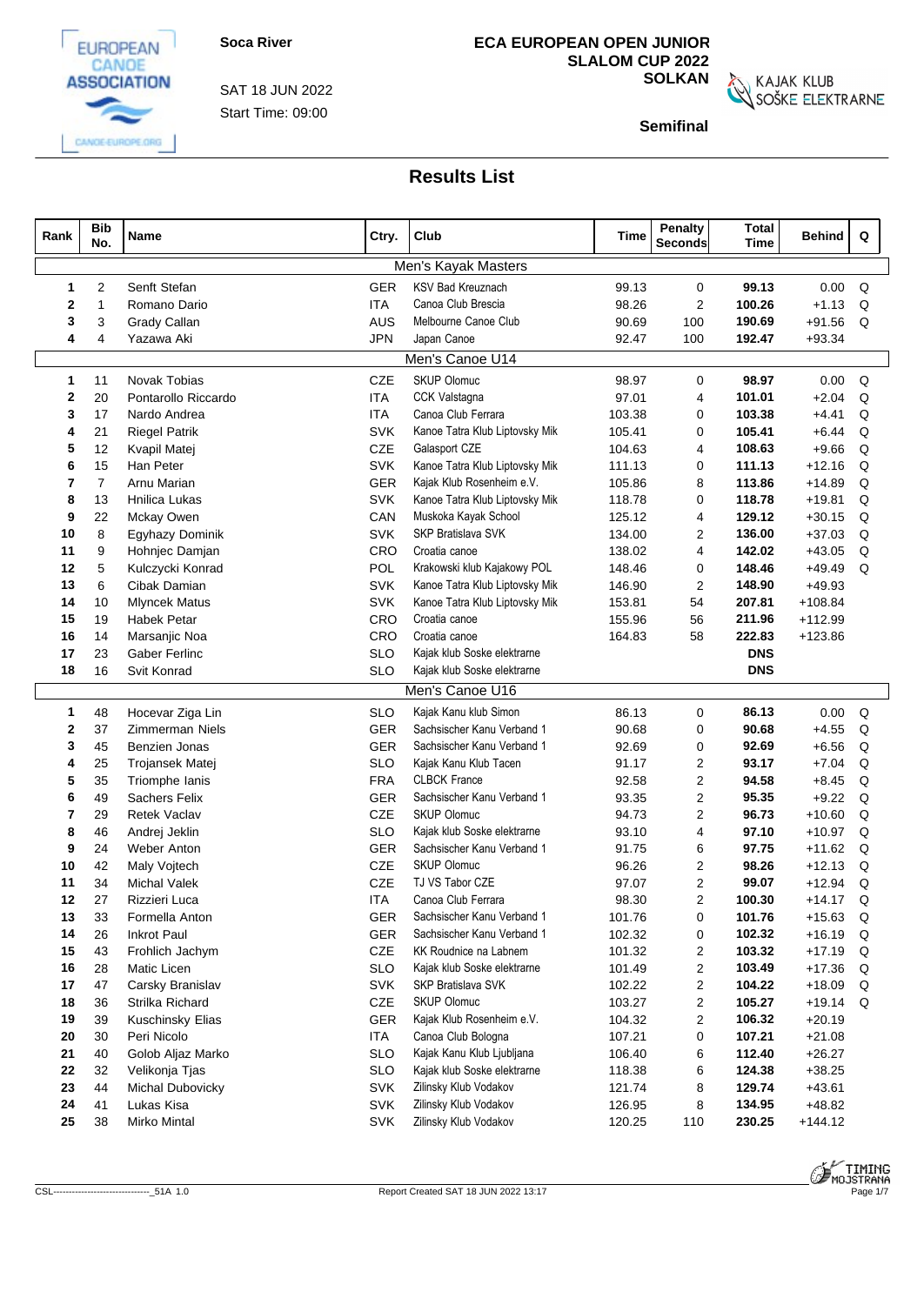

CANGE-EUROPE.ORG

Start Time: 09:00 SAT 18 JUN 2022

## **ECA EUROPEAN OPEN JUNIOR SLALOM CUP 2022**

**SOLKAN**<br>SOŠKE ELEKTRARNE

**Semifinal**

| Rank         | <b>Bib</b><br>No.             | Name                           | Ctry.      | Club                                                | Time             | <b>Penalty</b><br><b>Seconds</b> | <b>Total</b><br><b>Time</b> | <b>Behind</b>        | Q           |
|--------------|-------------------------------|--------------------------------|------------|-----------------------------------------------------|------------------|----------------------------------|-----------------------------|----------------------|-------------|
|              |                               |                                |            | Men's Kayak Masters                                 |                  |                                  |                             |                      |             |
| 1            | 2                             | Senft Stefan                   | <b>GER</b> | <b>KSV Bad Kreuznach</b>                            | 99.13            | 0                                | 99.13                       | 0.00                 | Q           |
| $\mathbf{2}$ | $\overline{1}$                | Romano Dario                   | <b>ITA</b> | Canoa Club Brescia                                  | 98.26            | $\overline{2}$                   | 100.26                      | $+1.13$              | Q           |
| 3            | 3                             | Grady Callan                   | AUS        | Melbourne Canoe Club                                | 90.69            | 100                              | 190.69                      | $+91.56$             | Q           |
| 4            | 4                             | Yazawa Aki                     | <b>JPN</b> | Japan Canoe                                         | 92.47            | 100                              | 192.47                      | $+93.34$             |             |
|              |                               |                                |            | Men's Canoe U14                                     |                  |                                  |                             |                      |             |
| 1            | 11                            | Novak Tobias                   | CZE        | <b>SKUP Olomuc</b>                                  | 98.97            | $\mathbf 0$                      | 98.97                       | 0.00                 | Q           |
| 2            | 20                            | Pontarollo Riccardo            | <b>ITA</b> | CCK Valstagna                                       | 97.01            | 4                                | 101.01                      | $+2.04$              | Q           |
| 3            | 17                            | Nardo Andrea                   | <b>ITA</b> | Canoa Club Ferrara                                  | 103.38           | $\mathbf 0$                      | 103.38                      | $+4.41$              | Q           |
| 4            | 21                            | <b>Riegel Patrik</b>           | <b>SVK</b> | Kanoe Tatra Klub Liptovsky Mik                      | 105.41           | $\mathbf 0$                      | 105.41                      | $+6.44$              | Q           |
| 5            | 12<br>Kvapil Matej            |                                |            | Galasport CZE                                       | 104.63           | 4                                | 108.63                      | $+9.66$              | Q           |
| 6            | 15<br>Han Peter               |                                |            | Kanoe Tatra Klub Liptovsky Mik                      | 111.13           | $\mathbf 0$                      | 111.13                      | $+12.16$             | Q           |
| 7            | $\overline{7}$<br>Arnu Marian |                                |            | Kajak Klub Rosenheim e.V.                           | 105.86           | 8                                | 113.86                      | $+14.89$             | Q           |
| 8            | Hnilica Lukas<br>13           |                                |            | Kanoe Tatra Klub Liptovsky Mik                      | 118.78           | $\mathbf 0$                      | 118.78                      | $+19.81$             | Q           |
| 9            | 22<br>Mckay Owen              |                                |            | Muskoka Kayak School                                | 125.12           | 4                                | 129.12                      | $+30.15$             | Q           |
| 10           | 8                             | Egyhazy Dominik                | <b>SVK</b> | SKP Bratislava SVK                                  | 134.00           | 2                                | 136.00                      | $+37.03$             | Q           |
| 11           | 9                             | Hohnjec Damjan                 | CRO        | Croatia canoe                                       | 138.02           | 4                                | 142.02                      | $+43.05$             | Q           |
| 12           | 5                             | Kulczycki Konrad               | POL        | Krakowski klub Kajakowy POL                         | 148.46           | $\mathbf 0$                      | 148.46                      | $+49.49$             | Q           |
| 13           | 6                             | Cibak Damian                   | <b>SVK</b> | Kanoe Tatra Klub Liptovsky Mik                      | 146.90           | $\overline{2}$                   | 148.90                      | $+49.93$             |             |
| 14           | 10                            | <b>Mlyncek Matus</b>           | <b>SVK</b> | Kanoe Tatra Klub Liptovsky Mik                      | 153.81           | 54                               | 207.81                      | $+108.84$            |             |
| 15           | 19                            | <b>Habek Petar</b>             | CRO        | Croatia canoe                                       | 155.96           | 56                               | 211.96                      | $+112.99$            |             |
| 16           | 14                            | Marsanjic Noa                  | CRO        | Croatia canoe                                       | 164.83           | 58                               | 222.83                      | $+123.86$            |             |
| 17           | 23                            | Gaber Ferlinc                  | <b>SLO</b> | Kajak klub Soske elektrarne                         |                  |                                  | <b>DNS</b>                  |                      |             |
| 18           | 16                            | Svit Konrad                    | <b>SLO</b> | Kajak klub Soske elektrarne                         |                  |                                  | <b>DNS</b>                  |                      |             |
|              |                               |                                |            | Men's Canoe U16                                     |                  |                                  |                             |                      |             |
| 1            | 48                            | Hocevar Ziga Lin               | <b>SLO</b> | Kajak Kanu klub Simon                               | 86.13            | $\mathbf 0$                      | 86.13                       | 0.00                 | Q           |
| 2            | 37                            | <b>Zimmerman Niels</b>         | GER        | Sachsischer Kanu Verband 1                          | 90.68            | $\mathbf 0$                      | 90.68                       | $+4.55$              | Q           |
| 3            | 45                            | Benzien Jonas                  | GER        | Sachsischer Kanu Verband 1                          | 92.69            | $\mathbf 0$                      | 92.69                       | $+6.56$              | Q           |
| 4            | 25                            | Trojansek Matej                | <b>SLO</b> | Kajak Kanu Klub Tacen                               | 91.17            | $\overline{2}$                   | 93.17                       | $+7.04$              | Q           |
| 5            | 35                            | Triomphe Ianis                 | <b>FRA</b> | <b>CLBCK France</b>                                 | 92.58            | 2                                | 94.58                       | $+8.45$              | Q           |
| 6            | 49                            | <b>Sachers Felix</b>           | GER        | Sachsischer Kanu Verband 1                          | 93.35            | $\overline{2}$                   | 95.35                       | $+9.22$              | Q           |
| 7            | 29                            | <b>Retek Vaclav</b>            | CZE        | <b>SKUP Olomuc</b>                                  | 94.73            | $\overline{2}$                   | 96.73                       | $+10.60$             | Q           |
| 8            | 46                            | Andrej Jeklin                  | <b>SLO</b> | Kajak klub Soske elektrarne                         | 93.10            | 4                                | 97.10                       | $+10.97$             | Q           |
| 9            | 24                            | Weber Anton                    | GER        | Sachsischer Kanu Verband 1                          | 91.75            | 6                                | 97.75                       | $+11.62$             | Q           |
| 10           | 42                            | Maly Voitech                   | CZE        | <b>SKUP Olomuc</b>                                  | 96.26            | 2                                | 98.26                       | $+12.13$             | Q           |
| 11           | 34                            | <b>Michal Valek</b>            | <b>CZE</b> | TJ VS Tabor CZE                                     | 97.07            | $\overline{2}$                   | 99.07                       | $+12.94$             | Q           |
| 12           | 27                            | Rizzieri Luca                  | <b>ITA</b> | Canoa Club Ferrara                                  | 98.30            | $\overline{2}$                   | 100.30                      | $+14.17$             | Q           |
| 13           | 33                            | Formella Anton                 | GER        | Sachsischer Kanu Verband 1                          | 101.76           | 0                                | 101.76                      | $+15.63$             | $\mathsf Q$ |
| 14           | 26<br>43                      | <b>Inkrot Paul</b>             | GER<br>CZE | Sachsischer Kanu Verband 1<br>KK Roudnice na Labnem | 102.32           | 0                                | 102.32<br>103.32            | $+16.19$<br>$+17.19$ | Q<br>Q      |
| 15<br>16     | 28                            | Frohlich Jachym<br>Matic Licen | <b>SLO</b> | Kajak klub Soske elektrarne                         | 101.32<br>101.49 | $\overline{2}$<br>$\overline{2}$ | 103.49                      | $+17.36$             | Q           |
| 17           | 47                            | Carsky Branislav               | <b>SVK</b> | <b>SKP Bratislava SVK</b>                           | 102.22           | $\overline{2}$                   | 104.22                      | $+18.09$             | Q           |
| 18           | 36                            | Strilka Richard                | CZE        | <b>SKUP Olomuc</b>                                  | 103.27           | $\overline{2}$                   | 105.27                      | $+19.14$ Q           |             |
| 19           | 39                            | Kuschinsky Elias               | GER        | Kajak Klub Rosenheim e.V.                           | 104.32           | 2                                | 106.32                      | $+20.19$             |             |
| 20           | 30                            | Peri Nicolo                    | ITA.       | Canoa Club Bologna                                  | 107.21           | $\mathbf 0$                      | 107.21                      | $+21.08$             |             |
| 21           | 40                            | Golob Aljaz Marko              | <b>SLO</b> | Kajak Kanu Klub Ljubljana                           | 106.40           | 6                                | 112.40                      | $+26.27$             |             |
| 22           | 32                            | Velikonja Tjas                 | <b>SLO</b> | Kajak klub Soske elektrarne                         | 118.38           | 6                                | 124.38                      | $+38.25$             |             |
| 23           | 44                            | Michal Dubovicky               | <b>SVK</b> | Zilinsky Klub Vodakov                               | 121.74           | 8                                | 129.74                      | $+43.61$             |             |
|              | 24<br>Lukas Kisa<br>41        |                                |            | Zilinsky Klub Vodakov                               | 126.95           | 8                                | 134.95                      | $+48.82$             |             |
| 25           | Mirko Mintal<br>38            |                                |            | Zilinsky Klub Vodakov                               | 120.25           | 110                              | 230.25                      | $+144.12$            |             |
|              |                               |                                | <b>SVK</b> |                                                     |                  |                                  |                             |                      |             |

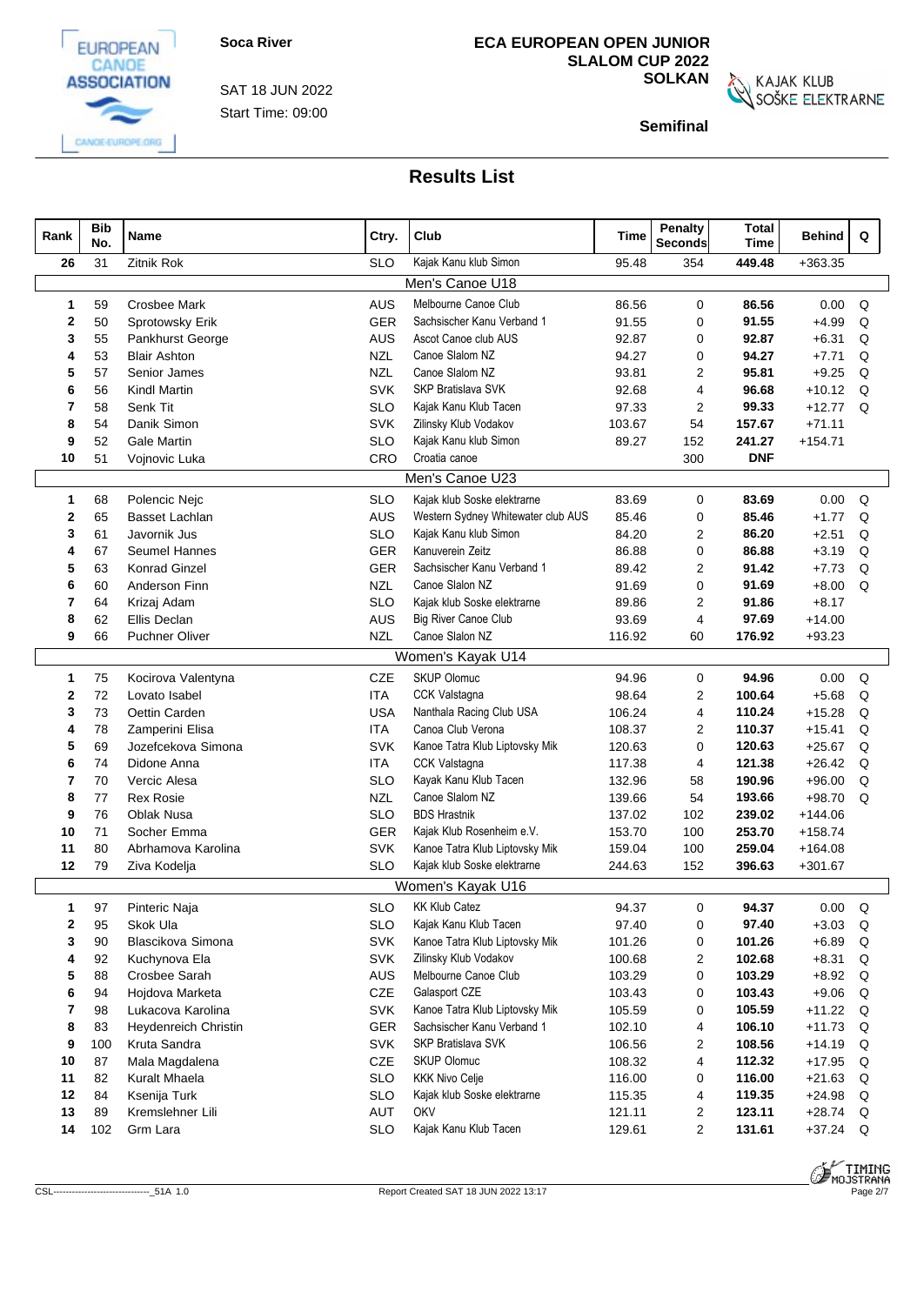

CANGE-EUROPE.ORG



**ECA EUROPEAN OPEN JUNIOR SLALOM CUP 2022**

**SOLKAN**<br>SOŠKE ELEKTRARNE

**Semifinal**

| Rank | <b>Bib</b><br>No. | Name                  | Ctry.      | Club                               | Time   | <b>Penalty</b><br><b>Seconds</b> | <b>Total</b><br>Time | Behind     | Q        |
|------|-------------------|-----------------------|------------|------------------------------------|--------|----------------------------------|----------------------|------------|----------|
| 26   | 31                | Zitnik Rok            | <b>SLO</b> | Kajak Kanu klub Simon              | 95.48  | 354                              | 449.48               | $+363.35$  |          |
|      |                   |                       |            | Men's Canoe U18                    |        |                                  |                      |            |          |
| -1   | 59                | <b>Crosbee Mark</b>   | <b>AUS</b> | Melbourne Canoe Club               | 86.56  | 0                                | 86.56                | 0.00       | Q        |
| 2    | 50                | Sprotowsky Erik       | GER        | Sachsischer Kanu Verband 1         | 91.55  | 0                                | 91.55                | $+4.99$    | Q        |
| 3    | 55                | Pankhurst George      | AUS        | Ascot Canoe club AUS               | 92.87  | 0                                | 92.87                | $+6.31$    | Q        |
|      | 53                | <b>Blair Ashton</b>   | <b>NZL</b> | Canoe Slalom NZ                    | 94.27  | 0                                | 94.27                | $+7.71$    | Q        |
| 5    | 57                | Senior James          | <b>NZL</b> | Canoe Slalom NZ                    | 93.81  | 2                                | 95.81                | $+9.25$    | Q        |
| 6    | 56                | <b>Kindl Martin</b>   | <b>SVK</b> | <b>SKP Bratislava SVK</b>          | 92.68  | 4                                | 96.68                | $+10.12$   | Q        |
| 7    | 58                | Senk Tit              | <b>SLO</b> | Kajak Kanu Klub Tacen              | 97.33  | 2                                | 99.33                | $+12.77$   | Q        |
| 8    | 54                | Danik Simon           | <b>SVK</b> | Zilinsky Klub Vodakov              | 103.67 | 54                               | 157.67               | $+71.11$   |          |
| 9    | 52                | <b>Gale Martin</b>    | <b>SLO</b> | Kajak Kanu klub Simon              | 89.27  | 152                              | 241.27               | $+154.71$  |          |
| 10   | 51                | Vojnovic Luka         | CRO        | Croatia canoe                      |        | 300                              | <b>DNF</b>           |            |          |
|      |                   |                       |            | Men's Canoe U23                    |        |                                  |                      |            |          |
| 1    | 68                | Polencic Nejc         | <b>SLO</b> | Kajak klub Soske elektrarne        | 83.69  | 0                                | 83.69                | 0.00       | Q        |
| 2    | 65                | <b>Basset Lachlan</b> | <b>AUS</b> | Western Sydney Whitewater club AUS | 85.46  | 0                                | 85.46                | $+1.77$    | Q        |
| 3    | 61                | Javornik Jus          | <b>SLO</b> | Kajak Kanu klub Simon              | 84.20  | 2                                | 86.20                | $+2.51$    | Q        |
| 4    | 67                | Seumel Hannes         | GER        | Kanuverein Zeitz                   | 86.88  | 0                                | 86.88                | $+3.19$    | Q        |
| 5    | 63                | <b>Konrad Ginzel</b>  | GER        | Sachsischer Kanu Verband 1         | 89.42  | 2                                | 91.42                | $+7.73$    | Q        |
| 6    | 60                | Anderson Finn         | <b>NZL</b> | Canoe Slalon NZ                    | 91.69  | $\mathbf 0$                      | 91.69                | $+8.00$    | Q        |
| 7    | 64                | Krizaj Adam           | <b>SLO</b> | Kajak klub Soske elektrarne        | 89.86  | 2                                | 91.86                | $+8.17$    |          |
| 8    | 62                | Ellis Declan          | <b>AUS</b> | <b>Big River Canoe Club</b>        | 93.69  | 4                                | 97.69                | $+14.00$   |          |
| 9    | 66                | <b>Puchner Oliver</b> | <b>NZL</b> | Canoe Slalon NZ                    | 116.92 | 60                               | 176.92               | $+93.23$   |          |
|      |                   |                       |            | Women's Kayak U14                  |        |                                  |                      |            |          |
| 1    | 75                | Kocirova Valentyna    | CZE        | <b>SKUP Olomuc</b>                 | 94.96  | 0                                | 94.96                | 0.00       | Q        |
| 2    | 72                | Lovato Isabel         | ITA        | CCK Valstagna                      | 98.64  | 2                                | 100.64               | $+5.68$    | Q        |
| 3    | 73                | Oettin Carden         | <b>USA</b> | Nanthala Racing Club USA           | 106.24 | 4                                | 110.24               | $+15.28$   | Q        |
| 4    | 78                | Zamperini Elisa       | <b>ITA</b> | Canoa Club Verona                  | 108.37 | 2                                | 110.37               | $+15.41$   | Q        |
| 5    | 69                | Jozefcekova Simona    | <b>SVK</b> | Kanoe Tatra Klub Liptovsky Mik     | 120.63 | 0                                | 120.63               | $+25.67$   | Q        |
| 6    | 74                | Didone Anna           | ITA        | CCK Valstagna                      | 117.38 | 4                                | 121.38               | $+26.42$   | Q        |
| 7    | 70                | Vercic Alesa          | <b>SLO</b> | Kayak Kanu Klub Tacen              | 132.96 | 58                               | 190.96               | $+96.00$   | Q        |
| 8    | 77                | <b>Rex Rosie</b>      | <b>NZL</b> | Canoe Slalom NZ                    | 139.66 | 54                               | 193.66               | $+98.70$   | Q        |
| 9    | 76                | <b>Oblak Nusa</b>     | <b>SLO</b> | <b>BDS Hrastnik</b>                | 137.02 | 102                              | 239.02               | $+144.06$  |          |
| 10   | 71                | Socher Emma           | GER        | Kajak Klub Rosenheim e.V.          | 153.70 | 100                              | 253.70               | $+158.74$  |          |
| 11   | 80                | Abrhamova Karolina    | <b>SVK</b> | Kanoe Tatra Klub Liptovsky Mik     | 159.04 | 100                              | 259.04               | $+164.08$  |          |
| 12   | 79                | Ziva Kodelja          | <b>SLO</b> | Kajak klub Soske elektrarne        | 244.63 | 152                              | 396.63               | $+301.67$  |          |
|      |                   |                       |            | Women's Kayak U16                  |        |                                  |                      |            |          |
| 1    | 97                | Pinteric Naja         | <b>SLO</b> | <b>KK Klub Catez</b>               | 94.37  | $\Omega$                         | 94.37                | $0.00\,$   | $\Omega$ |
| 2    | 95                | Skok Ula              | <b>SLO</b> | Kajak Kanu Klub Tacen              | 97.40  | 0                                | 97.40                | $+3.03$    | Q        |
| 3    | 90                | Blascikova Simona     | <b>SVK</b> | Kanoe Tatra Klub Liptovsky Mik     | 101.26 | 0                                | 101.26               | $+6.89$    | Q        |
| 4    | 92                | Kuchynova Ela         | <b>SVK</b> | Zilinsky Klub Vodakov              | 100.68 | 2                                | 102.68               | $+8.31$    | Q        |
| 5    | 88                | Crosbee Sarah         | AUS        | Melbourne Canoe Club               | 103.29 | 0                                | 103.29               | $+8.92$    | Q        |
| 6    | 94                | Hojdova Marketa       | CZE        | Galasport CZE                      | 103.43 | 0                                | 103.43               | $+9.06$    | Q        |
| 7    | 98                | Lukacova Karolina     | <b>SVK</b> | Kanoe Tatra Klub Liptovsky Mik     | 105.59 | 0                                | 105.59               | $+11.22$ Q |          |
| 8    | 83                | Heydenreich Christin  | GER        | Sachsischer Kanu Verband 1         | 102.10 | 4                                | 106.10               | $+11.73$   | Q        |
| 9    | 100               | Kruta Sandra          | <b>SVK</b> | SKP Bratislava SVK                 | 106.56 | 2                                | 108.56               | $+14.19$   | Q        |
| 10   | 87                | Mala Magdalena        | CZE        | <b>SKUP Olomuc</b>                 | 108.32 | 4                                | 112.32               | $+17.95$   | Q        |
| 11   | 82                | Kuralt Mhaela         | <b>SLO</b> | <b>KKK Nivo Celje</b>              | 116.00 | 0                                | 116.00               | $+21.63$   | Q        |
| 12   | 84                | Ksenija Turk          | <b>SLO</b> | Kajak klub Soske elektrarne        | 115.35 | 4                                | 119.35               | $+24.98$   | Q        |
| 13   | 89                | Kremslehner Lili      | <b>AUT</b> | OKV                                | 121.11 | 2                                | 123.11               | $+28.74$   | Q        |
| 14   | 102               | Grm Lara              | <b>SLO</b> | Kajak Kanu Klub Tacen              | 129.61 | $\mathbf{2}$                     | 131.61               | $+37.24$ Q |          |

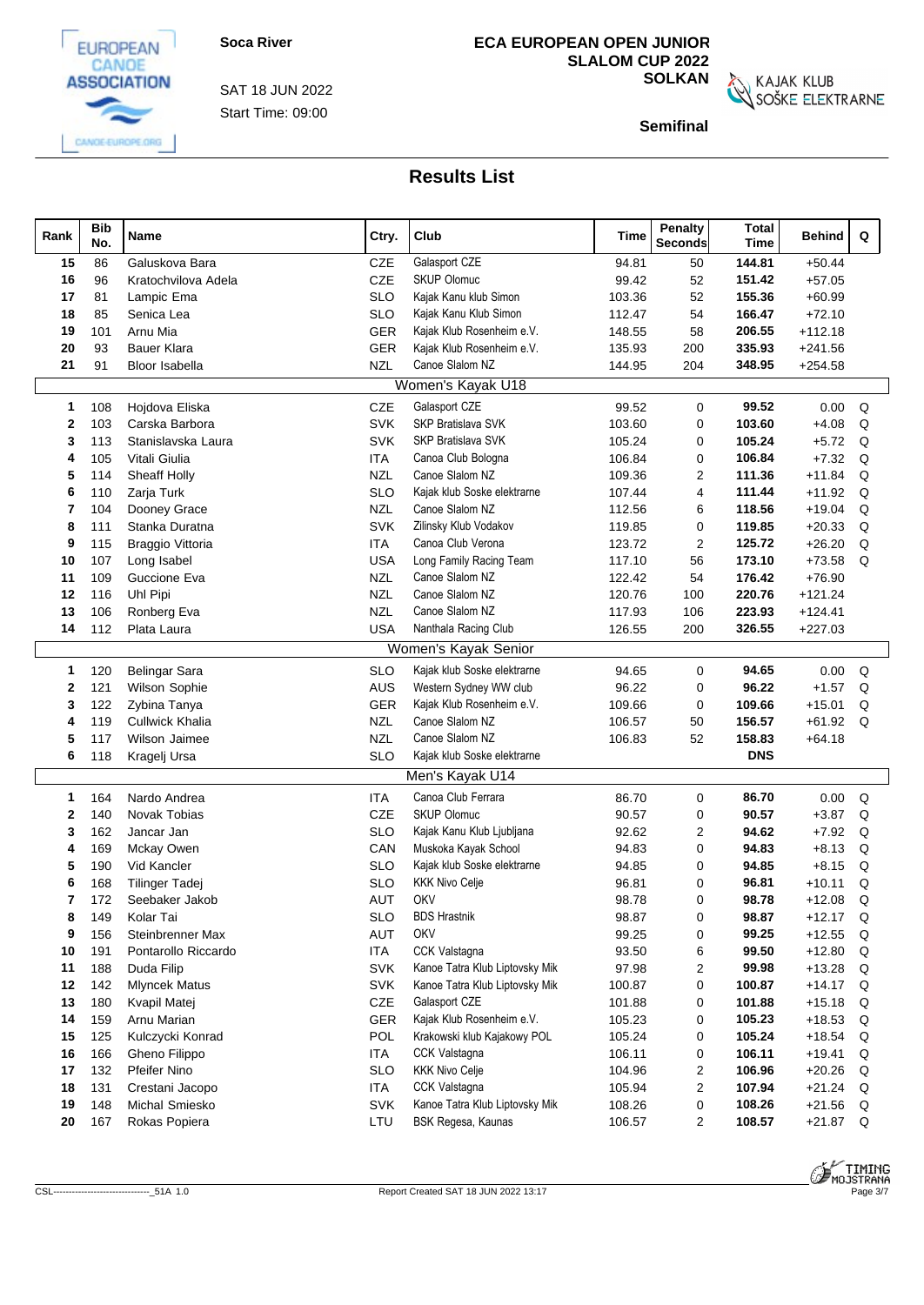

Start Time: 09:00 SAT 18 JUN 2022

## **ECA EUROPEAN OPEN JUNIOR SLALOM CUP 2022**

**SOLKAN**<br>SOŠKE ELEKTRARNE

**Semifinal**

| Rank | <b>Bib</b><br>No. | Name                    | Ctry.      | Club                           | Time   | Penalty<br><b>Seconds</b> | <b>Total</b><br><b>Time</b> | <b>Behind</b> | Q |  |
|------|-------------------|-------------------------|------------|--------------------------------|--------|---------------------------|-----------------------------|---------------|---|--|
| 15   | 86                | Galuskova Bara          | CZE        | Galasport CZE                  | 94.81  | 50                        | 144.81                      | $+50.44$      |   |  |
| 16   | 96                | Kratochvilova Adela     | CZE        | <b>SKUP Olomuc</b>             | 99.42  | 52                        | 151.42                      | $+57.05$      |   |  |
| 17   | 81                | Lampic Ema              | <b>SLO</b> | Kajak Kanu klub Simon          | 103.36 | 52                        | 155.36                      | $+60.99$      |   |  |
| 18   | 85                | Senica Lea              | <b>SLO</b> | Kajak Kanu Klub Simon          | 112.47 | 54                        | 166.47                      | $+72.10$      |   |  |
| 19   | 101               | Arnu Mia                | <b>GER</b> | Kajak Klub Rosenheim e.V.      | 148.55 | 58                        | 206.55                      | $+112.18$     |   |  |
| 20   | 93                | <b>Bauer Klara</b>      | <b>GER</b> | Kajak Klub Rosenheim e.V.      | 135.93 | 200                       | 335.93                      | $+241.56$     |   |  |
| 21   | 91                | Bloor Isabella          | <b>NZL</b> | Canoe Slalom NZ                | 144.95 | 204                       | 348.95                      | $+254.58$     |   |  |
|      |                   |                         |            | Women's Kayak U18              |        |                           |                             |               |   |  |
| 1    | 108               | Hojdova Eliska          | CZE        | Galasport CZE                  | 99.52  | $\mathbf 0$               | 99.52                       | 0.00          | Q |  |
| 2    | 103               | Carska Barbora          | <b>SVK</b> | <b>SKP Bratislava SVK</b>      | 103.60 | $\mathbf 0$               | 103.60                      | $+4.08$       | Q |  |
| 3    | 113               | Stanislavska Laura      | <b>SVK</b> | <b>SKP Bratislava SVK</b>      | 105.24 | $\mathbf 0$               | 105.24                      | $+5.72$       | Q |  |
| 4    | 105               | Vitali Giulia           | <b>ITA</b> | Canoa Club Bologna             | 106.84 | $\mathbf 0$               | 106.84                      | $+7.32$       | Q |  |
| 5    | 114               | Sheaff Holly            | <b>NZL</b> | Canoe Slalom NZ                | 109.36 | 2                         | 111.36                      | $+11.84$      | Q |  |
| 6    | 110               | Zarja Turk              | <b>SLO</b> | Kajak klub Soske elektrarne    | 107.44 | 4                         | 111.44                      | $+11.92$      | Q |  |
| 7    | 104               | Dooney Grace            | <b>NZL</b> | Canoe Slalom NZ                | 112.56 | 6                         | 118.56                      | $+19.04$      | Q |  |
| 8    | 111               | Stanka Duratna          | <b>SVK</b> | Zilinsky Klub Vodakov          | 119.85 | $\mathbf 0$               | 119.85                      | $+20.33$      | Q |  |
| 9    | 115               | <b>Braggio Vittoria</b> | <b>ITA</b> | Canoa Club Verona              | 123.72 | $\overline{2}$            | 125.72                      | $+26.20$      | Q |  |
| 10   | 107               | Long Isabel             | <b>USA</b> | Long Family Racing Team        | 117.10 | 56                        | 173.10                      | $+73.58$      | Q |  |
| 11   | 109               | Guccione Eva            | <b>NZL</b> | Canoe Slalom NZ                | 122.42 | 54                        | 176.42                      | $+76.90$      |   |  |
| 12   | 116               | Uhl Pipi                | <b>NZL</b> | Canoe Slalom NZ                | 120.76 | 100                       | 220.76                      | $+121.24$     |   |  |
| 13   | 106               | Ronberg Eva             | <b>NZL</b> | Canoe Slalom NZ                | 117.93 | 106                       | 223.93                      | $+124.41$     |   |  |
| 14   | 112               | Plata Laura             | <b>USA</b> | Nanthala Racing Club           | 126.55 | 200                       | 326.55                      | $+227.03$     |   |  |
|      |                   |                         |            | Women's Kayak Senior           |        |                           |                             |               |   |  |
| 1    | 120               | <b>Belingar Sara</b>    | <b>SLO</b> | Kajak klub Soske elektrarne    | 94.65  | $\mathbf 0$               | 94.65                       | 0.00          | Q |  |
| 2    | 121               | Wilson Sophie           | AUS        | Western Sydney WW club         | 96.22  | $\mathbf 0$               | 96.22                       | $+1.57$       | Q |  |
| 3    | 122               | Zybina Tanya            | <b>GER</b> | Kajak Klub Rosenheim e.V.      | 109.66 | $\mathbf 0$               | 109.66                      | $+15.01$      | Q |  |
| 4    | 119               | <b>Cullwick Khalia</b>  | <b>NZL</b> | Canoe Slalom NZ                | 106.57 | 50                        | 156.57                      | $+61.92$      | Q |  |
| 5    | 117               | Wilson Jaimee           | <b>NZL</b> | Canoe Slalom NZ                | 106.83 | 52                        | 158.83                      | $+64.18$      |   |  |
| 6    | 118               | Kragelj Ursa            | <b>SLO</b> | Kajak klub Soske elektrarne    |        |                           | <b>DNS</b>                  |               |   |  |
|      |                   |                         |            | Men's Kayak U14                |        |                           |                             |               |   |  |
| 1    | 164               | Nardo Andrea            | <b>ITA</b> | Canoa Club Ferrara             | 86.70  | 0                         | 86.70                       | 0.00          | Q |  |
| 2    | 140               | <b>Novak Tobias</b>     | CZE        | <b>SKUP Olomuc</b>             | 90.57  | $\mathbf 0$               | 90.57                       | $+3.87$       | Q |  |
| 3    | 162               | Jancar Jan              | <b>SLO</b> | Kajak Kanu Klub Ljubljana      | 92.62  | $\overline{2}$            | 94.62                       | $+7.92$       | Q |  |
| 4    | 169               | Mckay Owen              | CAN        | Muskoka Kayak School           | 94.83  | $\mathbf 0$               | 94.83                       | $+8.13$       | Q |  |
| 5    | 190               | Vid Kancler             | <b>SLO</b> | Kajak klub Soske elektrarne    | 94.85  | $\mathbf 0$               | 94.85                       | $+8.15$       | Q |  |
| 6    | 168               | <b>Tilinger Tadej</b>   | <b>SLO</b> | <b>KKK Nivo Celje</b>          | 96.81  | $\mathbf 0$               | 96.81                       | $+10.11$      | Q |  |
| 7    | 172               | Seebaker Jakob          | <b>AUT</b> | OKV                            | 98.78  | $\mathbf 0$               | 98.78                       | $+12.08$      | Q |  |
| 8    | 149               | Kolar Tai               | <b>SLO</b> | <b>BDS Hrastnik</b>            | 98.87  | 0                         | 98.87                       | $+12.17$ Q    |   |  |
| 9    | 156               | Steinbrenner Max        | AUT        | OKV                            | 99.25  | 0                         | 99.25                       | $+12.55$      | Q |  |
| 10   | 191               | Pontarollo Riccardo     | ITA        | <b>CCK Valstagna</b>           | 93.50  | 6                         | 99.50                       | $+12.80$      | Q |  |
| 11   | 188               | Duda Filip              | <b>SVK</b> | Kanoe Tatra Klub Liptovsky Mik | 97.98  | $\overline{2}$            | 99.98                       | $+13.28$      | Q |  |
| 12   | 142               | <b>Mlyncek Matus</b>    | <b>SVK</b> | Kanoe Tatra Klub Liptovsky Mik | 100.87 | 0                         | 100.87                      | $+14.17$      | Q |  |
| 13   | 180               | Kvapil Matej            | CZE        | Galasport CZE                  | 101.88 | 0                         | 101.88                      | $+15.18$      | Q |  |
| 14   | 159               | Arnu Marian             | GER        | Kajak Klub Rosenheim e.V.      | 105.23 | 0                         | 105.23                      | $+18.53$      | Q |  |
| 15   | 125               | Kulczycki Konrad        | POL        | Krakowski klub Kajakowy POL    | 105.24 | 0                         | 105.24                      | $+18.54$      | Q |  |
| 16   | 166               | Gheno Filippo           | ITA        | CCK Valstagna                  | 106.11 | 0                         | 106.11                      | $+19.41$      | Q |  |
| 17   | 132               | <b>Pfeifer Nino</b>     | <b>SLO</b> | <b>KKK Nivo Celje</b>          | 104.96 | $\overline{2}$            | 106.96                      | $+20.26$      | Q |  |
| 18   | 131               | Crestani Jacopo         | <b>ITA</b> | CCK Valstagna                  | 105.94 | $\overline{2}$            | 107.94                      | $+21.24$      | Q |  |
| 19   | 148               | <b>Michal Smiesko</b>   | <b>SVK</b> | Kanoe Tatra Klub Liptovsky Mik | 108.26 | 0                         | 108.26                      | $+21.56$      | Q |  |
| 20   | 167               | Rokas Popiera           | LTU        | BSK Regesa, Kaunas             | 106.57 | $\overline{2}$            | 108.57                      | $+21.87$ Q    |   |  |



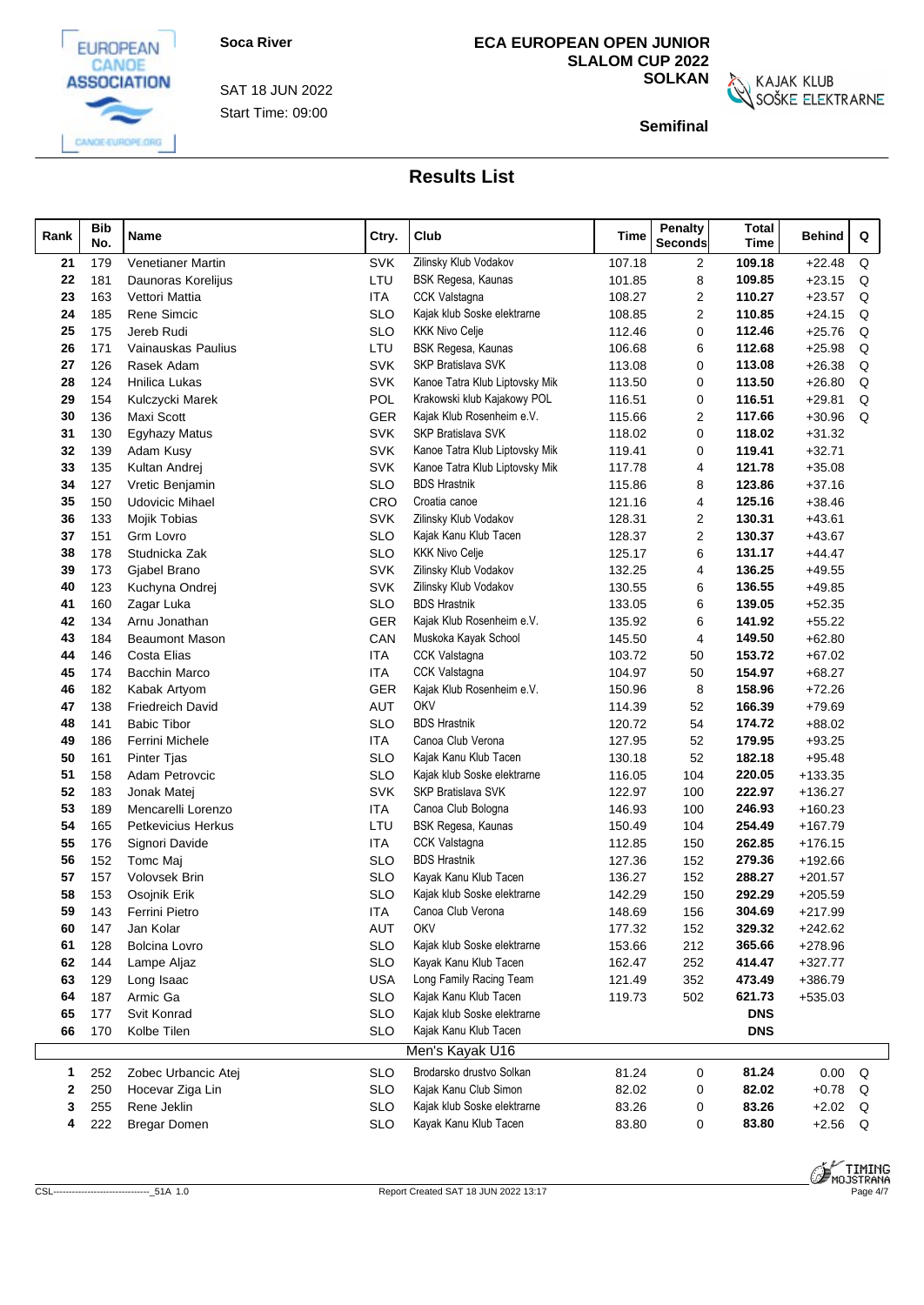

Start Time: 09:00 SAT 18 JUN 2022

## **ECA EUROPEAN OPEN JUNIOR SLALOM CUP 2022**

**SOLKAN**<br>SOŠKE ELEKTRARNE

**Semifinal**

| Rank | <b>Bib</b><br>No. | Name                    | Ctry.      | Club                           | Time   | <b>Penalty</b><br><b>Seconds</b> | <b>Total</b><br>Time | Behind    | Q |  |
|------|-------------------|-------------------------|------------|--------------------------------|--------|----------------------------------|----------------------|-----------|---|--|
| 21   | 179               | Venetianer Martin       | <b>SVK</b> | Zilinsky Klub Vodakov          | 107.18 | $\overline{2}$                   | 109.18               | $+22.48$  | Q |  |
| 22   | 181               | Daunoras Korelijus      | LTU        | BSK Regesa, Kaunas             | 101.85 | 8                                | 109.85               | $+23.15$  | Q |  |
| 23   | 163               | Vettori Mattia          | <b>ITA</b> | <b>CCK Valstagna</b>           | 108.27 | 2                                | 110.27               | $+23.57$  | Q |  |
| 24   | 185               | Rene Simcic             | <b>SLO</b> | Kajak klub Soske elektrarne    | 108.85 | 2                                | 110.85               | $+24.15$  | Q |  |
| 25   | 175               | Jereb Rudi              | <b>SLO</b> | <b>KKK Nivo Celie</b>          | 112.46 | 0                                | 112.46               | $+25.76$  | Q |  |
| 26   | 171               | Vainauskas Paulius      | LTU        | BSK Regesa, Kaunas             | 106.68 | 6                                | 112.68               | $+25.98$  | Q |  |
| 27   | 126               | Rasek Adam              | <b>SVK</b> | SKP Bratislava SVK             | 113.08 | 0                                | 113.08               | $+26.38$  | Q |  |
| 28   | 124               | Hnilica Lukas           | <b>SVK</b> | Kanoe Tatra Klub Liptovsky Mik | 113.50 | 0                                | 113.50               | $+26.80$  | Q |  |
| 29   | 154               | Kulczycki Marek         | POL        | Krakowski klub Kajakowy POL    | 116.51 | 0                                | 116.51               | $+29.81$  | Q |  |
| 30   | 136               | Maxi Scott              | <b>GER</b> | Kajak Klub Rosenheim e.V.      | 115.66 | 2                                | 117.66               | $+30.96$  | Q |  |
| 31   | 130               | <b>Egyhazy Matus</b>    | <b>SVK</b> | <b>SKP Bratislava SVK</b>      | 118.02 | 0                                | 118.02               | $+31.32$  |   |  |
| 32   | 139               | Adam Kusy               | <b>SVK</b> | Kanoe Tatra Klub Liptovsky Mik | 119.41 | 0                                | 119.41               | $+32.71$  |   |  |
| 33   | 135               | Kultan Andrej           | <b>SVK</b> | Kanoe Tatra Klub Liptovsky Mik | 117.78 | 4                                | 121.78               | $+35.08$  |   |  |
| 34   | 127               | Vretic Benjamin         | <b>SLO</b> | <b>BDS Hrastnik</b>            | 115.86 | 8                                | 123.86               | $+37.16$  |   |  |
| 35   | 150               | <b>Udovicic Mihael</b>  | <b>CRO</b> | Croatia canoe                  | 121.16 | 4                                | 125.16               | $+38.46$  |   |  |
| 36   | 133               | Mojik Tobias            | <b>SVK</b> | Zilinsky Klub Vodakov          | 128.31 | 2                                | 130.31               | $+43.61$  |   |  |
| 37   | 151               | Grm Lovro               | <b>SLO</b> | Kajak Kanu Klub Tacen          | 128.37 | 2                                | 130.37               | $+43.67$  |   |  |
| 38   | 178               | Studnicka Zak           | <b>SLO</b> | <b>KKK Nivo Celje</b>          | 125.17 | 6                                | 131.17               | $+44.47$  |   |  |
| 39   | 173               | Gjabel Brano            | <b>SVK</b> | Zilinsky Klub Vodakov          | 132.25 | 4                                | 136.25               | $+49.55$  |   |  |
| 40   | 123               | Kuchyna Ondrei          | <b>SVK</b> | Zilinsky Klub Vodakov          | 130.55 | 6                                | 136.55               | $+49.85$  |   |  |
| 41   | 160               | Zagar Luka              | <b>SLO</b> | <b>BDS Hrastnik</b>            | 133.05 | 6                                | 139.05               | $+52.35$  |   |  |
|      |                   |                         | <b>GER</b> | Kajak Klub Rosenheim e.V.      | 135.92 | 6                                | 141.92               | $+55.22$  |   |  |
| 42   | 134               | Arnu Jonathan           |            |                                |        |                                  |                      |           |   |  |
| 43   | 184               | <b>Beaumont Mason</b>   | CAN        | Muskoka Kayak School           | 145.50 | 4                                | 149.50               | $+62.80$  |   |  |
| 44   | 146               | Costa Elias             | <b>ITA</b> | <b>CCK Valstagna</b>           | 103.72 | 50                               | 153.72               | $+67.02$  |   |  |
| 45   | 174               | Bacchin Marco           | <b>ITA</b> | CCK Valstagna                  | 104.97 | 50                               | 154.97               | $+68.27$  |   |  |
| 46   | 182               | Kabak Artyom            | <b>GER</b> | Kajak Klub Rosenheim e.V.      | 150.96 | 8                                | 158.96               | $+72.26$  |   |  |
| 47   | 138               | <b>Friedreich David</b> | <b>AUT</b> | OKV                            | 114.39 | 52                               | 166.39               | $+79.69$  |   |  |
| 48   | 141               | <b>Babic Tibor</b>      | <b>SLO</b> | <b>BDS Hrastnik</b>            | 120.72 | 54                               | 174.72               | $+88.02$  |   |  |
| 49   | 186               | Ferrini Michele         | ITA        | Canoa Club Verona              | 127.95 | 52                               | 179.95               | $+93.25$  |   |  |
| 50   | 161               | Pinter Tjas             | <b>SLO</b> | Kajak Kanu Klub Tacen          | 130.18 | 52                               | 182.18               | $+95.48$  |   |  |
| 51   | 158               | Adam Petrovcic          | <b>SLO</b> | Kajak klub Soske elektrarne    | 116.05 | 104                              | 220.05               | $+133.35$ |   |  |
| 52   | 183               | Jonak Matej             | <b>SVK</b> | SKP Bratislava SVK             | 122.97 | 100                              | 222.97               | $+136.27$ |   |  |
| 53   | 189               | Mencarelli Lorenzo      | <b>ITA</b> | Canoa Club Bologna             | 146.93 | 100                              | 246.93               | $+160.23$ |   |  |
| 54   | 165               | Petkevicius Herkus      | LTU        | BSK Regesa, Kaunas             | 150.49 | 104                              | 254.49               | $+167.79$ |   |  |
| 55   | 176               | Signori Davide          | <b>ITA</b> | <b>CCK Valstagna</b>           | 112.85 | 150                              | 262.85               | $+176.15$ |   |  |
| 56   | 152               | Tomc Maj                | <b>SLO</b> | <b>BDS Hrastnik</b>            | 127.36 | 152                              | 279.36               | $+192.66$ |   |  |
| 57   | 157               | Volovsek Brin           | <b>SLO</b> | Kayak Kanu Klub Tacen          | 136.27 | 152                              | 288.27               | $+201.57$ |   |  |
| 58   | 153               | Osojnik Erik            | <b>SLO</b> | Kajak klub Soske elektrarne    | 142.29 | 150                              | 292.29               | $+205.59$ |   |  |
| 59   | 143               | Ferrini Pietro          | <b>ITA</b> | Canoa Club Verona              | 148.69 | 156                              | 304.69               | $+217.99$ |   |  |
| 60   | 147               | Jan Kolar               | <b>AUT</b> | <b>OKV</b>                     | 177.32 | 152                              | 329.32               | $+242.62$ |   |  |
| 61   | 128               | <b>Bolcina Lovro</b>    | <b>SLO</b> | Kajak klub Soske elektrarne    | 153.66 | 212                              | 365.66               | $+278.96$ |   |  |
| 62   | 144               | Lampe Aljaz             | <b>SLO</b> | Kayak Kanu Klub Tacen          | 162.47 | 252                              | 414.47               | $+327.77$ |   |  |
| 63   | 129               | Long Isaac              | <b>USA</b> | Long Family Racing Team        | 121.49 | 352                              | 473.49               | $+386.79$ |   |  |
| 64   | 187               | Armic Ga                | <b>SLO</b> | Kajak Kanu Klub Tacen          | 119.73 | 502                              | 621.73               | $+535.03$ |   |  |
| 65   | 177               | Svit Konrad             | <b>SLO</b> | Kajak klub Soske elektrarne    |        |                                  | <b>DNS</b>           |           |   |  |
| 66   | 170               | Kolbe Tilen             | <b>SLO</b> | Kajak Kanu Klub Tacen          |        |                                  | <b>DNS</b>           |           |   |  |
|      |                   |                         |            | Men's Kayak U16                |        |                                  |                      |           |   |  |
| 1.   | 252               | Zobec Urbancic Atej     | <b>SLO</b> | Brodarsko drustvo Solkan       | 81.24  | 0                                | 81.24                | 0.00      | Q |  |
| 2    | 250               | Hocevar Ziga Lin        | <b>SLO</b> | Kajak Kanu Club Simon          | 82.02  | 0                                | 82.02                | $+0.78$ Q |   |  |
| 3    | 255               | Rene Jeklin             | <b>SLO</b> | Kajak klub Soske elektrarne    | 83.26  | 0                                | 83.26                | $+2.02$   | Q |  |
| 4    | 222               | <b>Bregar Domen</b>     | SLO        | Kayak Kanu Klub Tacen          | 83.80  | 0                                | 83.80                | $+2.56$ Q |   |  |
|      |                   |                         |            |                                |        |                                  |                      |           |   |  |



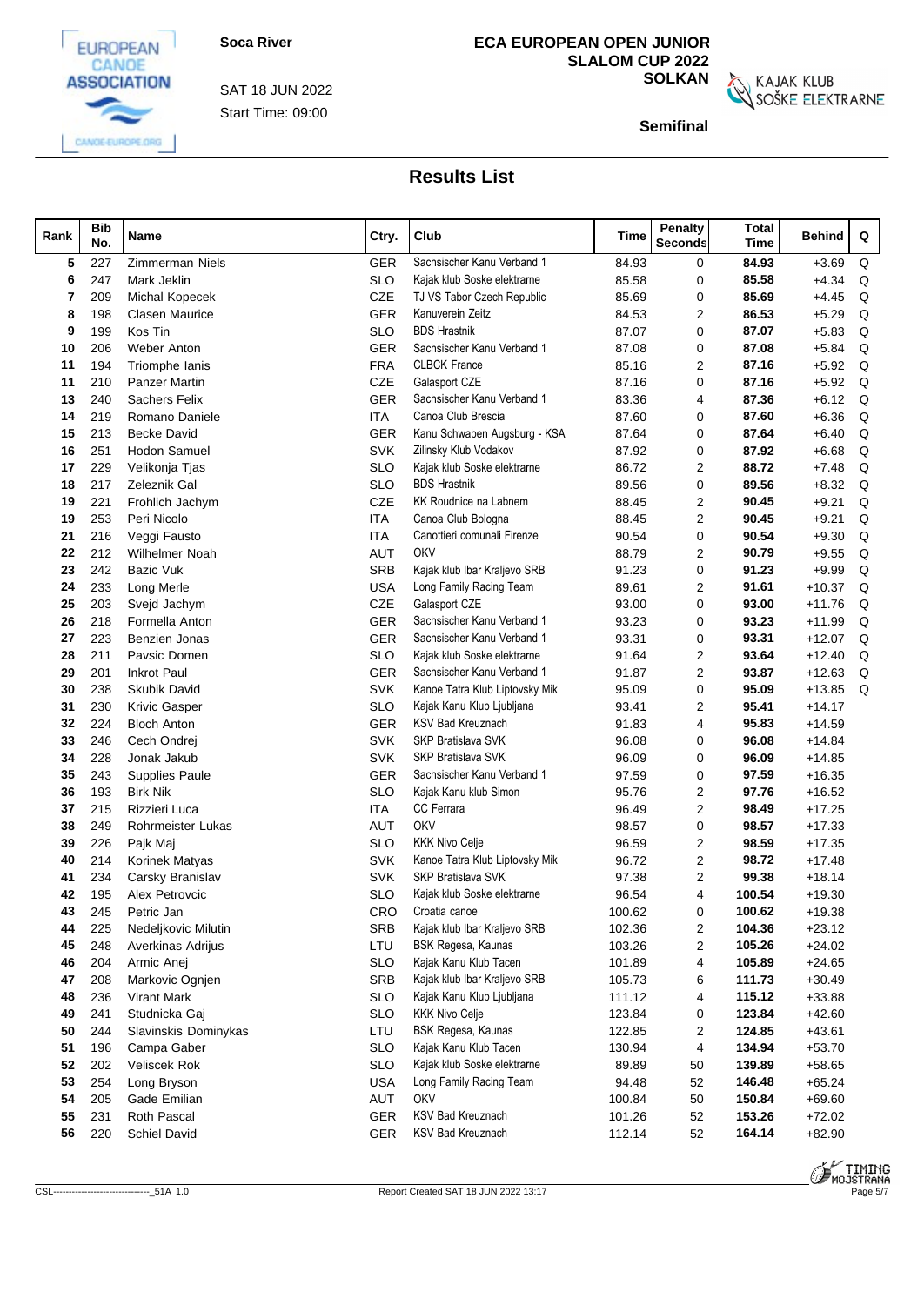



Start Time: 09:00 SAT 18 JUN 2022

## **ECA EUROPEAN OPEN JUNIOR SLALOM CUP 2022**

**SOLKAN**<br>SOŠKE ELEKTRARNE

**Semifinal**

| Rank |          | <b>Bib</b><br>No. | Name                               | Ctry.                    | Club                                                        | Time           | Penalty<br><b>Seconds</b> | <b>Total</b><br>Time | Behind               | Q |  |
|------|----------|-------------------|------------------------------------|--------------------------|-------------------------------------------------------------|----------------|---------------------------|----------------------|----------------------|---|--|
|      | 5        | 227               | Zimmerman Niels                    | <b>GER</b>               | Sachsischer Kanu Verband 1                                  | 84.93          | 0                         | 84.93                | $+3.69$              | Q |  |
|      | 6        | 247               | Mark Jeklin                        | <b>SLO</b>               | Kajak klub Soske elektrarne                                 | 85.58          | 0                         | 85.58                | $+4.34$              | Q |  |
|      | 7        | 209               | <b>Michal Kopecek</b>              | <b>CZE</b>               | TJ VS Tabor Czech Republic                                  | 85.69          | 0                         | 85.69                | $+4.45$              | Q |  |
|      | 8        | 198               | <b>Clasen Maurice</b>              | <b>GER</b>               | Kanuverein Zeitz                                            | 84.53          | $\overline{2}$            | 86.53                | $+5.29$              | Q |  |
|      | 9        | 199               | Kos Tin                            | <b>SLO</b>               | <b>BDS Hrastnik</b>                                         | 87.07          | $\Omega$                  | 87.07                | $+5.83$              | Q |  |
|      | 10       | 206               | <b>Weber Anton</b>                 | <b>GER</b>               | Sachsischer Kanu Verband 1                                  | 87.08          | 0                         | 87.08                | $+5.84$              | Q |  |
|      | 11       | 194               | Triomphe Ianis                     | <b>FRA</b>               | <b>CLBCK France</b>                                         | 85.16          | 2                         | 87.16                | $+5.92$              | Q |  |
|      | 11       | 210               | <b>Panzer Martin</b>               | <b>CZE</b>               | Galasport CZE                                               | 87.16          | 0                         | 87.16                | $+5.92$              | Q |  |
|      | 13       | 240               | <b>Sachers Felix</b>               | <b>GER</b>               | Sachsischer Kanu Verband 1                                  | 83.36          | 4                         | 87.36                | $+6.12$              | Q |  |
|      | 14       | 219               | Romano Daniele                     | <b>ITA</b>               | Canoa Club Brescia                                          | 87.60          | 0                         | 87.60                | $+6.36$              | Q |  |
|      | 15       | 213               | <b>Becke David</b>                 | <b>GER</b>               | Kanu Schwaben Augsburg - KSA                                | 87.64          | 0                         | 87.64                | $+6.40$              | Q |  |
|      | 16       | 251               | Hodon Samuel                       | <b>SVK</b>               | Zilinsky Klub Vodakov                                       | 87.92          | 0                         | 87.92                | $+6.68$              | Q |  |
|      | 17       | 229               | Velikonja Tjas                     | <b>SLO</b>               | Kajak klub Soske elektrarne                                 | 86.72          | 2                         | 88.72                | $+7.48$              | Q |  |
|      | 18       | 217               | Zeleznik Gal                       | <b>SLO</b>               | <b>BDS Hrastnik</b>                                         | 89.56          | 0                         | 89.56                | $+8.32$              | Q |  |
|      | 19       | 221               | Frohlich Jachym                    | <b>CZE</b>               | KK Roudnice na Labnem                                       | 88.45          | 2                         | 90.45                | $+9.21$              | Q |  |
|      | 19       | 253               | Peri Nicolo                        | <b>ITA</b>               | Canoa Club Bologna                                          | 88.45          | 2                         | 90.45                | $+9.21$              | Q |  |
|      | 21       | 216               | Veggi Fausto                       | <b>ITA</b>               | Canottieri comunali Firenze                                 | 90.54          | 0                         | 90.54                | $+9.30$              | Q |  |
|      | 22       | 212               | Wilhelmer Noah                     | <b>AUT</b>               | OKV                                                         | 88.79          | 2                         | 90.79                | $+9.55$              | Q |  |
|      | 23       | 242               | Bazic Vuk                          | <b>SRB</b>               | Kajak klub Ibar Kraljevo SRB                                | 91.23          | 0                         | 91.23                | $+9.99$              | Q |  |
|      | 24       | 233               | Long Merle                         | <b>USA</b>               | Long Family Racing Team                                     | 89.61          | 2                         | 91.61                | $+10.37$             | Q |  |
|      | 25       | 203               | Svejd Jachym                       | <b>CZE</b>               | Galasport CZE                                               | 93.00          | 0                         | 93.00                | $+11.76$             | Q |  |
|      | 26       | 218               | Formella Anton                     | <b>GER</b>               | Sachsischer Kanu Verband 1                                  | 93.23          | 0                         | 93.23                | $+11.99$             | Q |  |
|      | 27       | 223               | <b>Benzien Jonas</b>               | GER                      | Sachsischer Kanu Verband 1                                  | 93.31          | 0                         | 93.31                | $+12.07$             | Q |  |
|      | 28       | 211               | Pavsic Domen                       | <b>SLO</b>               | Kajak klub Soske elektrarne                                 | 91.64          | $\overline{2}$            | 93.64                | $+12.40$             | Q |  |
|      | 29       | 201               | <b>Inkrot Paul</b>                 | <b>GER</b>               | Sachsischer Kanu Verband 1                                  | 91.87          | $\overline{2}$            | 93.87                | $+12.63$             | Q |  |
|      | 30       | 238               | Skubik David                       | <b>SVK</b>               | Kanoe Tatra Klub Liptovsky Mik                              | 95.09          | 0                         | 95.09                | $+13.85$             | Q |  |
|      | 31       | 230               | <b>Krivic Gasper</b>               | <b>SLO</b>               | Kajak Kanu Klub Ljubljana                                   | 93.41          | $\overline{2}$            | 95.41                | $+14.17$             |   |  |
|      | 32       | 224               | <b>Bloch Anton</b>                 | <b>GER</b>               | <b>KSV Bad Kreuznach</b>                                    | 91.83          | 4                         | 95.83                | $+14.59$             |   |  |
|      | 33       | 246               | Cech Ondrej                        | <b>SVK</b>               | <b>SKP Bratislava SVK</b>                                   | 96.08          | 0                         | 96.08                | $+14.84$             |   |  |
|      | 34       | 228               | Jonak Jakub                        | <b>SVK</b>               | <b>SKP Bratislava SVK</b>                                   | 96.09          | 0                         | 96.09                | $+14.85$             |   |  |
|      | 35       | 243               | <b>Supplies Paule</b>              | <b>GER</b>               | Sachsischer Kanu Verband 1                                  | 97.59          | 0                         | 97.59                | $+16.35$             |   |  |
|      | 36       | 193               | <b>Birk Nik</b>                    | <b>SLO</b>               | Kajak Kanu klub Simon                                       | 95.76          | 2                         | 97.76                | $+16.52$             |   |  |
|      | 37       | 215               | Rizzieri Luca                      | <b>ITA</b>               | CC Ferrara                                                  | 96.49          | $\overline{2}$            | 98.49                | $+17.25$             |   |  |
|      | 38       | 249               | <b>Rohrmeister Lukas</b>           | <b>AUT</b>               | OKV                                                         | 98.57          | 0                         | 98.57                | $+17.33$             |   |  |
|      | 39       | 226               | Pajk Maj                           | <b>SLO</b>               | <b>KKK Nivo Celje</b>                                       | 96.59          | 2                         | 98.59                | $+17.35$             |   |  |
|      | 40       | 214<br>234        | Korinek Matyas<br>Carsky Branislav | <b>SVK</b><br><b>SVK</b> | Kanoe Tatra Klub Liptovsky Mik<br><b>SKP Bratislava SVK</b> | 96.72<br>97.38 | 2<br>2                    | 98.72<br>99.38       | $+17.48$<br>$+18.14$ |   |  |
|      | 41<br>42 | 195               | Alex Petrovcic                     | SLO                      | Kajak klub Soske elektrarne                                 | 96.54          | 4                         | 100.54               | $+19.30$             |   |  |
|      | 43       | 245               | Petric Jan                         | CRO                      | Croatia canoe                                               | 100.62         | 0                         | 100.62               | $+19.38$             |   |  |
|      | 44       | 225               | Nedeljkovic Milutin                | <b>SRB</b>               | Kajak klub Ibar Kraljevo SRB                                | 102.36         | 2                         | 104.36               | $+23.12$             |   |  |
|      | 45       | 248               | Averkinas Adrijus                  | LTU                      | BSK Regesa, Kaunas                                          | 103.26         | 2                         | 105.26               | $+24.02$             |   |  |
|      | 46       | 204               | Armic Anej                         | <b>SLO</b>               | Kajak Kanu Klub Tacen                                       | 101.89         | 4                         | 105.89               | $+24.65$             |   |  |
|      | 47       | 208               | Markovic Ognjen                    | <b>SRB</b>               | Kajak klub Ibar Kraljevo SRB                                | 105.73         | 6                         | 111.73               | $+30.49$             |   |  |
|      | 48       | 236               | Virant Mark                        | <b>SLO</b>               | Kajak Kanu Klub Ljubljana                                   | 111.12         | 4                         | 115.12               | $+33.88$             |   |  |
|      | 49       | 241               | Studnicka Gaj                      | <b>SLO</b>               | <b>KKK Nivo Celje</b>                                       | 123.84         | 0                         | 123.84               | $+42.60$             |   |  |
|      | 50       | 244               | Slavinskis Dominykas               | LTU                      | BSK Regesa, Kaunas                                          | 122.85         | 2                         | 124.85               | $+43.61$             |   |  |
|      | 51       | 196               | Campa Gaber                        | <b>SLO</b>               | Kajak Kanu Klub Tacen                                       | 130.94         | 4                         | 134.94               | $+53.70$             |   |  |
|      | 52       | 202               | Veliscek Rok                       | <b>SLO</b>               | Kajak klub Soske elektrarne                                 | 89.89          | 50                        | 139.89               | $+58.65$             |   |  |
|      | 53       | 254               | Long Bryson                        | <b>USA</b>               | Long Family Racing Team                                     | 94.48          | 52                        | 146.48               | $+65.24$             |   |  |
|      | 54       | 205               | Gade Emilian                       | AUT                      | <b>OKV</b>                                                  | 100.84         | 50                        | 150.84               | $+69.60$             |   |  |
|      | 55       | 231               | Roth Pascal                        | GER                      | KSV Bad Kreuznach                                           | 101.26         | 52                        | 153.26               | $+72.02$             |   |  |
|      | 56       | 220               | Schiel David                       | <b>GER</b>               | KSV Bad Kreuznach                                           | 112.14         | 52                        | 164.14               | $+82.90$             |   |  |
|      |          |                   |                                    |                          |                                                             |                |                           |                      |                      |   |  |

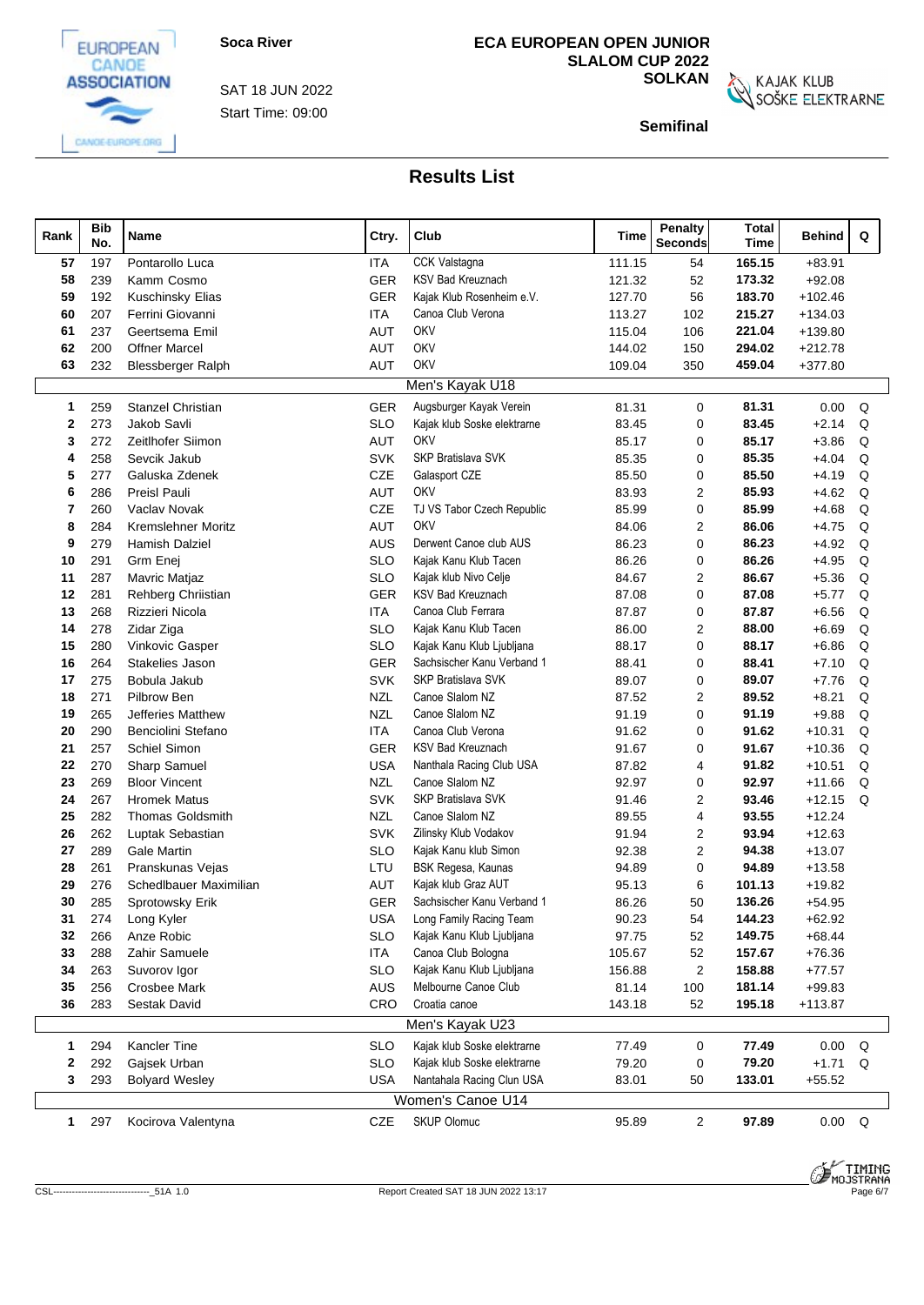



EUROPEAN

Start Time: 09:00 SAT 18 JUN 2022

## **ECA EUROPEAN OPEN JUNIOR SLALOM CUP 2022**

**SOLKAN**<br>SOŠKE ELEKTRARNE

**Semifinal**

| Rank         | <b>Bib</b><br>No. | Name                      | Ctry.      | Club                                           | Time   | <b>Penalty</b><br><b>Seconds</b> | <b>Total</b><br>Time | Behind        | Q |
|--------------|-------------------|---------------------------|------------|------------------------------------------------|--------|----------------------------------|----------------------|---------------|---|
| 57           | 197               | Pontarollo Luca           | ITA        | CCK Valstagna                                  | 111.15 | 54                               | 165.15               | $+83.91$      |   |
| 58           | 239               | Kamm Cosmo                | <b>GER</b> | <b>KSV Bad Kreuznach</b>                       | 121.32 | 52                               | 173.32               | $+92.08$      |   |
| 59           | 192               | Kuschinsky Elias          | <b>GER</b> | Kajak Klub Rosenheim e.V.                      | 127.70 | 56                               | 183.70               | $+102.46$     |   |
| 60           | 207               | Ferrini Giovanni          | <b>ITA</b> | Canoa Club Verona                              | 113.27 | 102                              | 215.27               | $+134.03$     |   |
| 61           | 237               | Geertsema Emil            | <b>AUT</b> | OKV                                            | 115.04 | 106                              | 221.04               | +139.80       |   |
| 62           | 200               | <b>Offner Marcel</b>      | AUT        | OKV                                            | 144.02 | 150                              | 294.02               | $+212.78$     |   |
| 63           | 232               | <b>Blessberger Ralph</b>  | AUT        | OKV                                            | 109.04 | 350                              | 459.04               | $+377.80$     |   |
|              |                   |                           |            | Men's Kayak U18                                |        |                                  |                      |               |   |
| $\mathbf{1}$ | 259               | <b>Stanzel Christian</b>  | <b>GER</b> | Augsburger Kayak Verein                        | 81.31  | $\mathbf 0$                      | 81.31                | 0.00          | Q |
| $\mathbf{2}$ | 273               | Jakob Savli               | <b>SLO</b> | Kajak klub Soske elektrarne                    | 83.45  | $\mathbf 0$                      | 83.45                | $+2.14$       | Q |
| 3            | 272               | Zeitlhofer Siimon         | <b>AUT</b> | OKV                                            | 85.17  | 0                                | 85.17                | $+3.86$       | Q |
| 4            | 258               | Sevcik Jakub              | <b>SVK</b> | SKP Bratislava SVK                             | 85.35  | 0                                | 85.35                | $+4.04$       | Q |
| 5            | 277               | Galuska Zdenek            | CZE        | Galasport CZE                                  | 85.50  | 0                                | 85.50                | $+4.19$       | Q |
| 6            | 286               | Preisl Pauli              | <b>AUT</b> | OKV                                            | 83.93  | $\overline{2}$                   | 85.93                | $+4.62$       | Q |
| 7            | 260               | Vaclav Novak              | CZE        | TJ VS Tabor Czech Republic                     | 85.99  | 0                                | 85.99                | $+4.68$       | Q |
| 8            | 284               | <b>Kremslehner Moritz</b> | <b>AUT</b> | <b>OKV</b>                                     | 84.06  | 2                                | 86.06                | $+4.75$       | Q |
| 9            | 279               | Hamish Dalziel            | AUS        | Derwent Canoe club AUS                         | 86.23  | 0                                | 86.23                | $+4.92$       | Q |
| 10           | 291               | Grm Enej                  | <b>SLO</b> | Kajak Kanu Klub Tacen                          | 86.26  | 0                                | 86.26                | $+4.95$       | Q |
| 11           | 287               | Mavric Matjaz             | <b>SLO</b> | Kajak klub Nivo Celje                          | 84.67  | 2                                | 86.67                | $+5.36$       | Q |
| 12           | 281               | Rehberg Chriistian        | <b>GER</b> | <b>KSV Bad Kreuznach</b>                       | 87.08  | $\mathbf 0$                      | 87.08                | $+5.77$       | Q |
| 13           | 268               | Rizzieri Nicola           | ITA        | Canoa Club Ferrara                             | 87.87  | $\mathbf 0$                      | 87.87                | $+6.56$       | Q |
| 14           | 278               | Zidar Ziga                | <b>SLO</b> | Kajak Kanu Klub Tacen                          | 86.00  | 2                                | 88.00                | $+6.69$       | Q |
| 15           | 280               | Vinkovic Gasper           | <b>SLO</b> | Kajak Kanu Klub Ljubljana                      | 88.17  | 0                                | 88.17                | $+6.86$       | Q |
| 16           | 264               | Stakelies Jason           | GER        | Sachsischer Kanu Verband 1                     | 88.41  | 0                                | 88.41                | $+7.10$       | Q |
| 17           | 275               | Bobula Jakub              | <b>SVK</b> | SKP Bratislava SVK                             | 89.07  | 0                                | 89.07                | $+7.76$       | Q |
| 18           | 271               | Pilbrow Ben               | <b>NZL</b> | Canoe Slalom NZ                                | 87.52  | 2                                | 89.52                | $+8.21$       | Q |
| 19           | 265               | <b>Jefferies Matthew</b>  | <b>NZL</b> | Canoe Slalom NZ                                | 91.19  | $\mathbf 0$                      | 91.19                | $+9.88$       | Q |
| 20           | 290               | Benciolini Stefano        | <b>ITA</b> | Canoa Club Verona                              | 91.62  | $\mathbf 0$                      | 91.62                | $+10.31$      | Q |
| 21           | 257               | Schiel Simon              | <b>GER</b> | <b>KSV Bad Kreuznach</b>                       | 91.67  | 0                                | 91.67                | $+10.36$      | Q |
| 22           | 270               | Sharp Samuel              | <b>USA</b> | Nanthala Racing Club USA                       | 87.82  | 4                                | 91.82                | $+10.51$      | Q |
| 23           | 269               | <b>Bloor Vincent</b>      | <b>NZL</b> | Canoe Slalom NZ                                | 92.97  | 0                                | 92.97                | $+11.66$      | Q |
| 24           | 267               | <b>Hromek Matus</b>       | <b>SVK</b> | <b>SKP Bratislava SVK</b>                      | 91.46  | $\overline{2}$                   | 93.46                | $+12.15$      | Q |
| 25           | 282               | <b>Thomas Goldsmith</b>   | <b>NZL</b> | Canoe Slalom NZ                                | 89.55  | 4                                | 93.55                | $+12.24$      |   |
| 26           | 262               | Luptak Sebastian          | <b>SVK</b> | Zilinsky Klub Vodakov                          | 91.94  | 2                                | 93.94                | $+12.63$      |   |
| 27           | 289               | <b>Gale Martin</b>        | <b>SLO</b> | Kajak Kanu klub Simon                          | 92.38  | 2                                | 94.38                | $+13.07$      |   |
| 28           | 261               | Pranskunas Vejas          | LTU        | BSK Regesa, Kaunas                             | 94.89  | 0                                | 94.89                | $+13.58$      |   |
| 29           | 276               | Schedlbauer Maximilian    | AUT        | Kajak klub Graz AUT                            | 95.13  | 6                                | 101.13               | $+19.82$      |   |
| 30           | 285               | Sprotowsky Erik           | <b>GER</b> | Sachsischer Kanu Verband 1                     | 86.26  | 50                               | 136.26               | $+54.95$      |   |
| 31           | 274               | Long Kyler                | USA        | Long Family Racing Team                        | 90.23  | 54                               | 144.23               | $+62.92$      |   |
| 32           | 266               | Anze Robic                | <b>SLO</b> | Kajak Kanu Klub Ljubljana                      | 97.75  | 52                               | 149.75               | $+68.44$      |   |
| 33           | 288               | Zahir Samuele             | <b>ITA</b> | Canoa Club Bologna                             | 105.67 | 52                               | 157.67               | $+76.36$      |   |
| 34           | 263               | Suvorov Igor              | <b>SLO</b> | Kajak Kanu Klub Ljubljana                      | 156.88 | $\overline{c}$                   | 158.88               | $+77.57$      |   |
| 35           | 256               | <b>Crosbee Mark</b>       | <b>AUS</b> | Melbourne Canoe Club                           | 81.14  | 100                              | 181.14               | $+99.83$      |   |
| 36           | 283               | Sestak David              | CRO        | Croatia canoe                                  | 143.18 | 52                               | 195.18               | $+113.87$     |   |
|              |                   |                           |            | Men's Kayak U23                                |        |                                  |                      |               |   |
| $\mathbf{1}$ | 294               | Kancler Tine              | <b>SLO</b> | Kajak klub Soske elektrarne                    | 77.49  | 0                                | 77.49                | 0.00          | Q |
| 2            | 292               | Gajsek Urban              | <b>SLO</b> | Kajak klub Soske elektrarne                    | 79.20  | 0                                | 79.20                | $+1.71$       | Q |
| 3            | 293               | <b>Bolyard Wesley</b>     | USA        | Nantahala Racing Clun USA<br>Women's Canoe U14 | 83.01  | 50                               | 133.01               | $+55.52$      |   |
|              |                   |                           |            |                                                |        |                                  |                      |               |   |
| $\mathbf{1}$ | 297               | Kocirova Valentyna        | CZE        | <b>SKUP Olomuc</b>                             | 95.89  | $\overline{a}$                   | 97.89                | $0.00\quad Q$ |   |

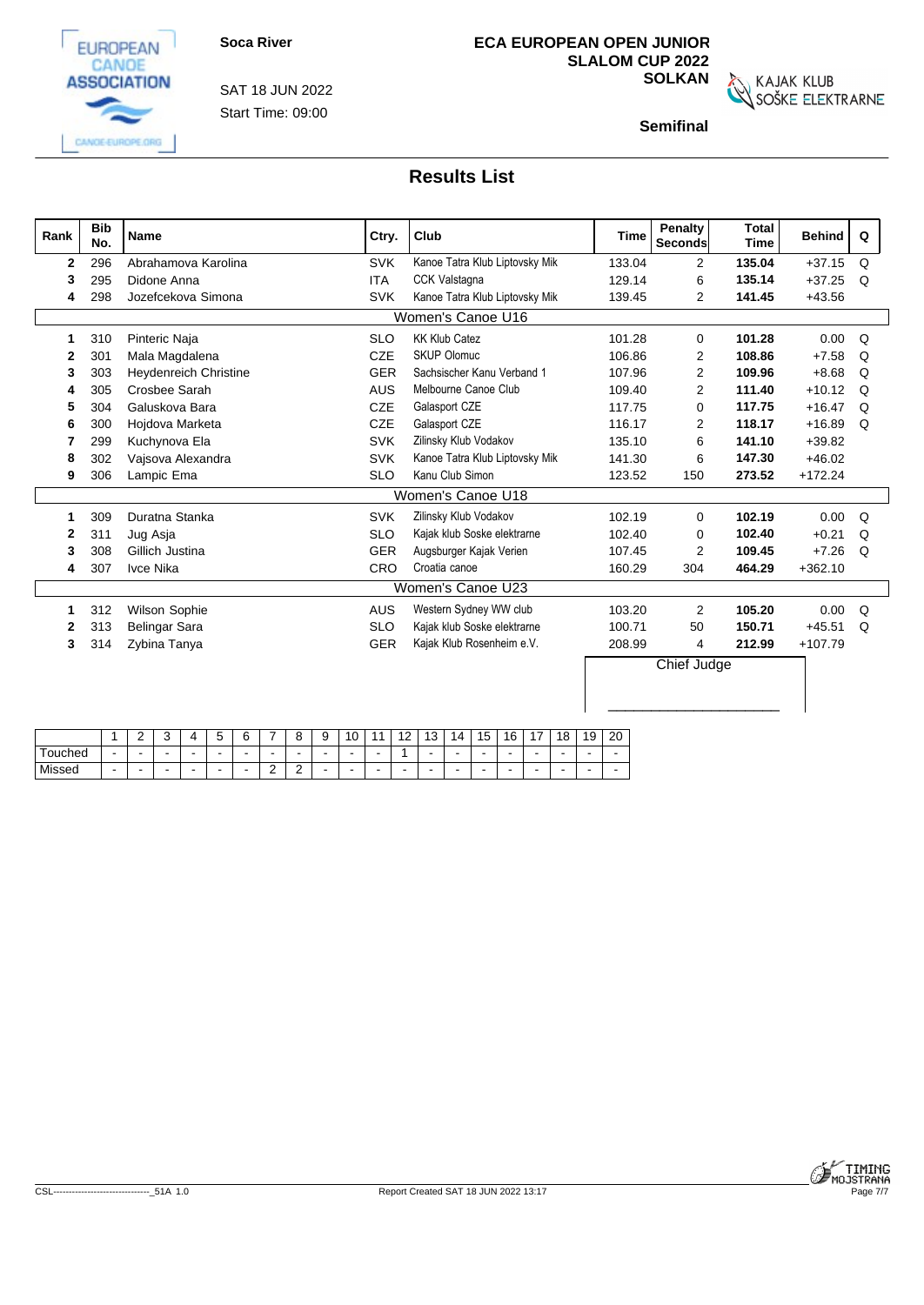



CANGE-EUROPE.ORG

Start Time: 09:00 SAT 18 JUN 2022

# **ECA EUROPEAN OPEN JUNIOR SLALOM CUP 2022**

**SOLKAN**<br>SOŠKE ELEKTRARNE

**Semifinal**

| Rank         | <b>Bib</b><br>No. | <b>Name</b>                  | Ctry.      | Club                           | <b>Time</b> | Penalty<br>Seconds | <b>Total</b><br><b>Time</b> | <b>Behind</b> | Q        |
|--------------|-------------------|------------------------------|------------|--------------------------------|-------------|--------------------|-----------------------------|---------------|----------|
| $\mathbf{2}$ | 296               | Abrahamova Karolina          | <b>SVK</b> | Kanoe Tatra Klub Liptovsky Mik | 133.04      | $\overline{2}$     | 135.04                      | $+37.15$      | Q        |
| 3            | 295               | Didone Anna                  | <b>ITA</b> | CCK Valstagna                  | 129.14      | 6                  | 135.14                      | $+37.25$      | Q        |
| 4            | 298               | Jozefcekova Simona           | <b>SVK</b> | Kanoe Tatra Klub Liptovsky Mik | 139.45      | 2                  | 141.45                      | $+43.56$      |          |
|              |                   |                              |            | Women's Canoe U16              |             |                    |                             |               |          |
| 1            | 310               | Pinteric Naja                | <b>SLO</b> | <b>KK Klub Catez</b>           | 101.28      | $\Omega$           | 101.28                      | 0.00          | $\Omega$ |
| 2            | 30 <sup>°</sup>   | Mala Magdalena               | <b>CZE</b> | <b>SKUP Olomuc</b>             | 106.86      | $\overline{2}$     | 108.86                      | $+7.58$       | Q        |
| 3            | 303               | <b>Heydenreich Christine</b> | <b>GER</b> | Sachsischer Kanu Verband 1     | 107.96      | $\overline{2}$     | 109.96                      | $+8.68$       | Q        |
| 4            | 305               | Crosbee Sarah                | <b>AUS</b> | Melbourne Canoe Club           | 109.40      | $\overline{2}$     | 111.40                      | $+10.12$      | Q        |
| 5            | 304               | Galuskova Bara               | <b>CZE</b> | Galasport CZE                  | 117.75      | $\Omega$           | 117.75                      | $+16.47$      | Q        |
| 6            | 300               | Hojdova Marketa              | <b>CZE</b> | Galasport CZE                  | 116.17      | $\overline{2}$     | 118.17                      | $+16.89$      | Q        |
| 7            | 299               | Kuchynova Ela                | <b>SVK</b> | Zilinsky Klub Vodakov          | 135.10      | 6                  | 141.10                      | $+39.82$      |          |
| 8            | 302               | Vajsova Alexandra            | <b>SVK</b> | Kanoe Tatra Klub Liptovsky Mik | 141.30      | 6                  | 147.30                      | $+46.02$      |          |
| 9            | 306               | Lampic Ema                   | <b>SLO</b> | Kanu Club Simon                | 123.52      | 150                | 273.52                      | $+172.24$     |          |
|              |                   |                              |            | Women's Canoe U18              |             |                    |                             |               |          |
|              | 309               | Duratna Stanka               | <b>SVK</b> | Zilinsky Klub Vodakov          | 102.19      | $\Omega$           | 102.19                      | 0.00          | Q        |
| 2            | 31'               | Jug Asja                     | <b>SLO</b> | Kajak klub Soske elektrarne    | 102.40      | $\Omega$           | 102.40                      | $+0.21$       | Q        |
| 3            | 308               | Gillich Justina              | GER        | Augsburger Kajak Verien        | 107.45      | 2                  | 109.45                      | $+7.26$       | Q        |
| 4            | 307               | Ivce Nika                    | CRO        | Croatia canoe                  | 160.29      | 304                | 464.29                      | $+362.10$     |          |
|              |                   |                              |            | Women's Canoe U23              |             |                    |                             |               |          |
| 1            | 312               | <b>Wilson Sophie</b>         | <b>AUS</b> | Western Sydney WW club         | 103.20      | $\overline{2}$     | 105.20                      | 0.00          | Q        |
| 2            | 313               | Belingar Sara                | <b>SLO</b> | Kajak klub Soske elektrarne    | 100.71      | 50                 | 150.71                      | $+45.51$      | Q        |
| 3            | 314               | Zybina Tanya                 | GER        | Kajak Klub Rosenheim e.V.      | 208.99      | 4                  | 212.99                      | $+107.79$     |          |
|              |                   |                              |            |                                |             | Chief Judge        |                             |               |          |
|              |                   |                              |            |                                |             |                    |                             |               |          |

|             |     | - | ٠. | $\mathbf{z}$ | ∽ |                          |   | റ<br>                         | u<br>ັ | v | $\overline{a}$<br>. . | $\overline{A}$<br>◡      | I4. | $\rightarrow$<br>כ ו | AC<br>v | 18                       | 10<br>כ ו | 20  |
|-------------|-----|---|----|--------------|---|--------------------------|---|-------------------------------|--------|---|-----------------------|--------------------------|-----|----------------------|---------|--------------------------|-----------|-----|
| Гоuched     |     |   |    |              |   |                          |   | $\sim$                        | -      |   |                       | $\overline{\phantom{a}}$ | -   | . .                  | -       |                          | $\sim$    | . . |
| Missed<br>. | . . |   |    |              |   | $\overline{\phantom{a}}$ | - | $\overline{\phantom{0}}$<br>- |        |   |                       |                          |     |                      |         | $\overline{\phantom{0}}$ |           |     |

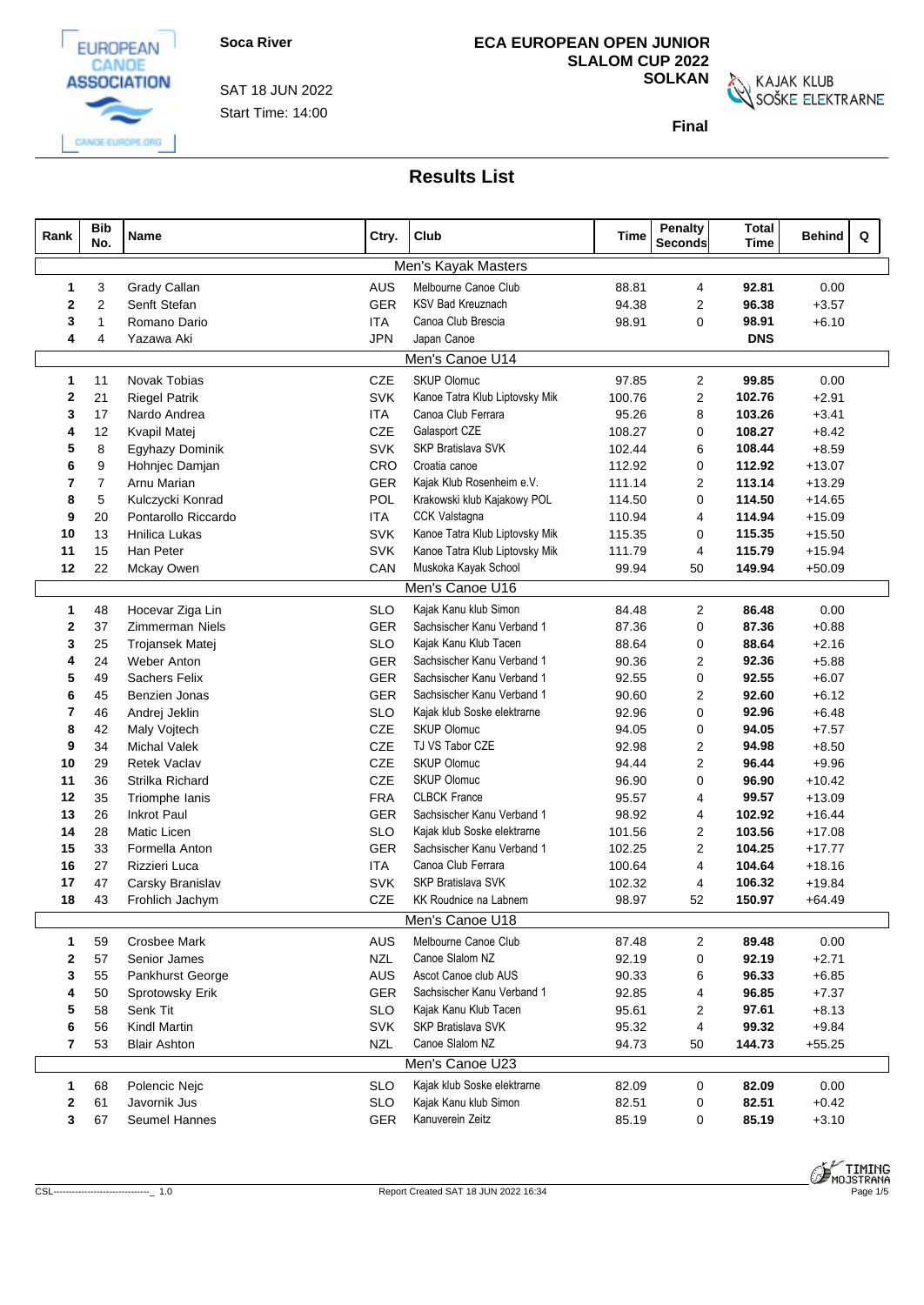

CANGE-EUROPE.ORG

Start Time: 14:00 SAT 18 JUN 2022

# **ECA EUROPEAN OPEN JUNIOR SLALOM CUP 2022**

**SOLKAN**<br>SOŠKE ELEKTRARNE

**Final**

| Rank |              | <b>Bib</b><br>No. | Name                 | Ctry.      | Club                           | <b>Time</b> | <b>Penalty</b><br>Seconds | <b>Total</b><br><b>Time</b> | <b>Behind</b> | Q |
|------|--------------|-------------------|----------------------|------------|--------------------------------|-------------|---------------------------|-----------------------------|---------------|---|
|      |              |                   |                      |            | Men's Kayak Masters            |             |                           |                             |               |   |
|      | $\mathbf{1}$ | 3                 | Grady Callan         | <b>AUS</b> | Melbourne Canoe Club           | 88.81       | 4                         | 92.81                       | 0.00          |   |
|      | $\mathbf{2}$ | $\overline{2}$    | Senft Stefan         | <b>GER</b> | <b>KSV Bad Kreuznach</b>       | 94.38       | $\overline{2}$            | 96.38                       | $+3.57$       |   |
|      | 3            | $\overline{1}$    | Romano Dario         | ITA        | Canoa Club Brescia             | 98.91       | $\mathbf 0$               | 98.91                       | $+6.10$       |   |
|      | 4            | $\overline{4}$    | Yazawa Aki           | <b>JPN</b> | Japan Canoe                    |             |                           | <b>DNS</b>                  |               |   |
|      |              |                   |                      |            | Men's Canoe U14                |             |                           |                             |               |   |
|      | $\mathbf{1}$ | 11                | <b>Novak Tobias</b>  | <b>CZE</b> | <b>SKUP Olomuc</b>             | 97.85       | $\overline{2}$            | 99.85                       | 0.00          |   |
|      | $\mathbf{2}$ | 21                | <b>Riegel Patrik</b> | <b>SVK</b> | Kanoe Tatra Klub Liptovsky Mik | 100.76      | $\overline{2}$            | 102.76                      | $+2.91$       |   |
|      | 3            | 17                | Nardo Andrea         | ITA        | Canoa Club Ferrara             | 95.26       | 8                         | 103.26                      | $+3.41$       |   |
|      | 4            | 12                | Kvapil Matej         | CZE        | Galasport CZE                  | 108.27      | $\mathbf 0$               | 108.27                      | $+8.42$       |   |
|      | 5            | 8                 | Egyhazy Dominik      | <b>SVK</b> | SKP Bratislava SVK             | 102.44      | 6                         | 108.44                      | $+8.59$       |   |
|      | 6            | 9                 | Hohnjec Damjan       | CRO        | Croatia canoe                  | 112.92      | $\mathbf 0$               | 112.92                      | $+13.07$      |   |
|      | 7            | $\overline{7}$    | Arnu Marian          | <b>GER</b> | Kajak Klub Rosenheim e.V.      | 111.14      | $\overline{2}$            | 113.14                      | $+13.29$      |   |
|      | 8            | 5                 | Kulczycki Konrad     | POL        | Krakowski klub Kajakowy POL    | 114.50      | $\mathbf 0$               | 114.50                      | $+14.65$      |   |
|      | 9            | 20                | Pontarollo Riccardo  | <b>ITA</b> | <b>CCK Valstagna</b>           | 110.94      | 4                         | 114.94                      | $+15.09$      |   |
|      | 10           | 13                | <b>Hnilica Lukas</b> | <b>SVK</b> | Kanoe Tatra Klub Liptovsky Mik | 115.35      | $\mathbf 0$               | 115.35                      | $+15.50$      |   |
|      | 11           | 15                | Han Peter            | <b>SVK</b> | Kanoe Tatra Klub Liptovsky Mik | 111.79      | $\overline{4}$            | 115.79                      | $+15.94$      |   |
|      | 12           | 22                | Mckay Owen           | CAN        | Muskoka Kayak School           | 99.94       | 50                        | 149.94                      | $+50.09$      |   |
|      |              |                   |                      |            | Men's Canoe U16                |             |                           |                             |               |   |
|      | $\mathbf{1}$ | 48                | Hocevar Ziga Lin     | <b>SLO</b> | Kajak Kanu klub Simon          | 84.48       | $\overline{c}$            | 86.48                       | 0.00          |   |
|      | $\mathbf{2}$ | 37                | Zimmerman Niels      | <b>GER</b> | Sachsischer Kanu Verband 1     | 87.36       | $\mathbf 0$               | 87.36                       | $+0.88$       |   |
|      | 3            | 25                | Trojansek Matei      | <b>SLO</b> | Kajak Kanu Klub Tacen          | 88.64       | 0                         | 88.64                       | $+2.16$       |   |
|      | 4            | 24                | <b>Weber Anton</b>   | <b>GER</b> | Sachsischer Kanu Verband 1     | 90.36       | 2                         | 92.36                       | $+5.88$       |   |
|      | 5            | 49                | Sachers Felix        | <b>GER</b> | Sachsischer Kanu Verband 1     | 92.55       | $\mathbf 0$               | 92.55                       | $+6.07$       |   |
|      | 6            | 45                | Benzien Jonas        | <b>GER</b> | Sachsischer Kanu Verband 1     | 90.60       | $\overline{2}$            | 92.60                       | $+6.12$       |   |
|      | 7            | 46                | Andrej Jeklin        | <b>SLO</b> | Kajak klub Soske elektrarne    | 92.96       | $\mathbf 0$               | 92.96                       | $+6.48$       |   |
|      | 8            | 42                | Maly Vojtech         | CZE        | <b>SKUP Olomuc</b>             | 94.05       | $\mathbf 0$               | 94.05                       | $+7.57$       |   |
|      | 9            | 34                | <b>Michal Valek</b>  | CZE        | TJ VS Tabor CZE                | 92.98       | $\overline{2}$            | 94.98                       | $+8.50$       |   |
|      | 10           | 29                | <b>Retek Vaclav</b>  | CZE        | SKUP Olomuc                    | 94.44       | 2                         | 96.44                       | $+9.96$       |   |
|      | 11           | 36                | Strilka Richard      | CZE        | <b>SKUP Olomuc</b>             | 96.90       | $\mathbf 0$               | 96.90                       | $+10.42$      |   |
|      | 12           | 35                | Triomphe lanis       | <b>FRA</b> | <b>CLBCK France</b>            | 95.57       | $\overline{4}$            | 99.57                       | $+13.09$      |   |
|      | 13           | 26                | <b>Inkrot Paul</b>   | <b>GER</b> | Sachsischer Kanu Verband 1     | 98.92       | $\overline{4}$            | 102.92                      | $+16.44$      |   |
|      | 14           | 28                | Matic Licen          | <b>SLO</b> | Kajak klub Soske elektrarne    | 101.56      | $\overline{2}$            | 103.56                      | $+17.08$      |   |
|      | 15           | 33                | Formella Anton       | <b>GER</b> | Sachsischer Kanu Verband 1     | 102.25      | $\overline{2}$            | 104.25                      | $+17.77$      |   |
|      | 16           | 27                | Rizzieri Luca        | <b>ITA</b> | Canoa Club Ferrara             | 100.64      | $\overline{4}$            | 104.64                      | $+18.16$      |   |
|      | 17           | 47                | Carsky Branislav     | <b>SVK</b> | SKP Bratislava SVK             | 102.32      | $\overline{4}$            | 106.32                      | $+19.84$      |   |
|      | 18           | 43                | Frohlich Jachym      | <b>CZE</b> | <b>KK Roudnice na Labnem</b>   | 98.97       | 52                        | 150.97                      | $+64.49$      |   |
|      |              |                   |                      |            | Men's Canoe U18                |             |                           |                             |               |   |
|      | $\mathbf{1}$ | 59                | <b>Crosbee Mark</b>  | AUS        | Melbourne Canoe Club           | 87.48       | $\overline{2}$            | 89.48                       | 0.00          |   |
|      | 2            | 57                | Senior James         | <b>NZL</b> | Canoe Slalom NZ                | 92.19       | 0                         | 92.19                       | $+2.71$       |   |
|      | 3            | 55                | Pankhurst George     | AUS        | Ascot Canoe club AUS           | 90.33       | 6                         | 96.33                       | $+6.85$       |   |
|      |              | 50                | Sprotowsky Erik      | GER        | Sachsischer Kanu Verband 1     | 92.85       | 4                         | 96.85                       | $+7.37$       |   |
|      | 5            | 58                | Senk Tit             | <b>SLO</b> | Kajak Kanu Klub Tacen          | 95.61       | 2                         | 97.61                       | $+8.13$       |   |
|      | 6            | 56                | <b>Kindl Martin</b>  | <b>SVK</b> | SKP Bratislava SVK             | 95.32       | 4                         | 99.32                       | $+9.84$       |   |
|      | 7            | 53                | <b>Blair Ashton</b>  | <b>NZL</b> | Canoe Slalom NZ                | 94.73       | 50                        | 144.73                      | $+55.25$      |   |
|      |              |                   |                      |            | Men's Canoe U23                |             |                           |                             |               |   |
|      | $\mathbf{1}$ | 68                | Polencic Nejc        | <b>SLO</b> | Kajak klub Soske elektrarne    | 82.09       | 0                         | 82.09                       | 0.00          |   |
|      | 2            | 61                | Javornik Jus         | <b>SLO</b> | Kajak Kanu klub Simon          | 82.51       | 0                         | 82.51                       | $+0.42$       |   |
|      | 3            | 67                | Seumel Hannes        | <b>GER</b> | Kanuverein Zeitz               | 85.19       | 0                         | 85.19                       | $+3.10$       |   |
|      |              |                   |                      |            |                                |             |                           |                             |               |   |

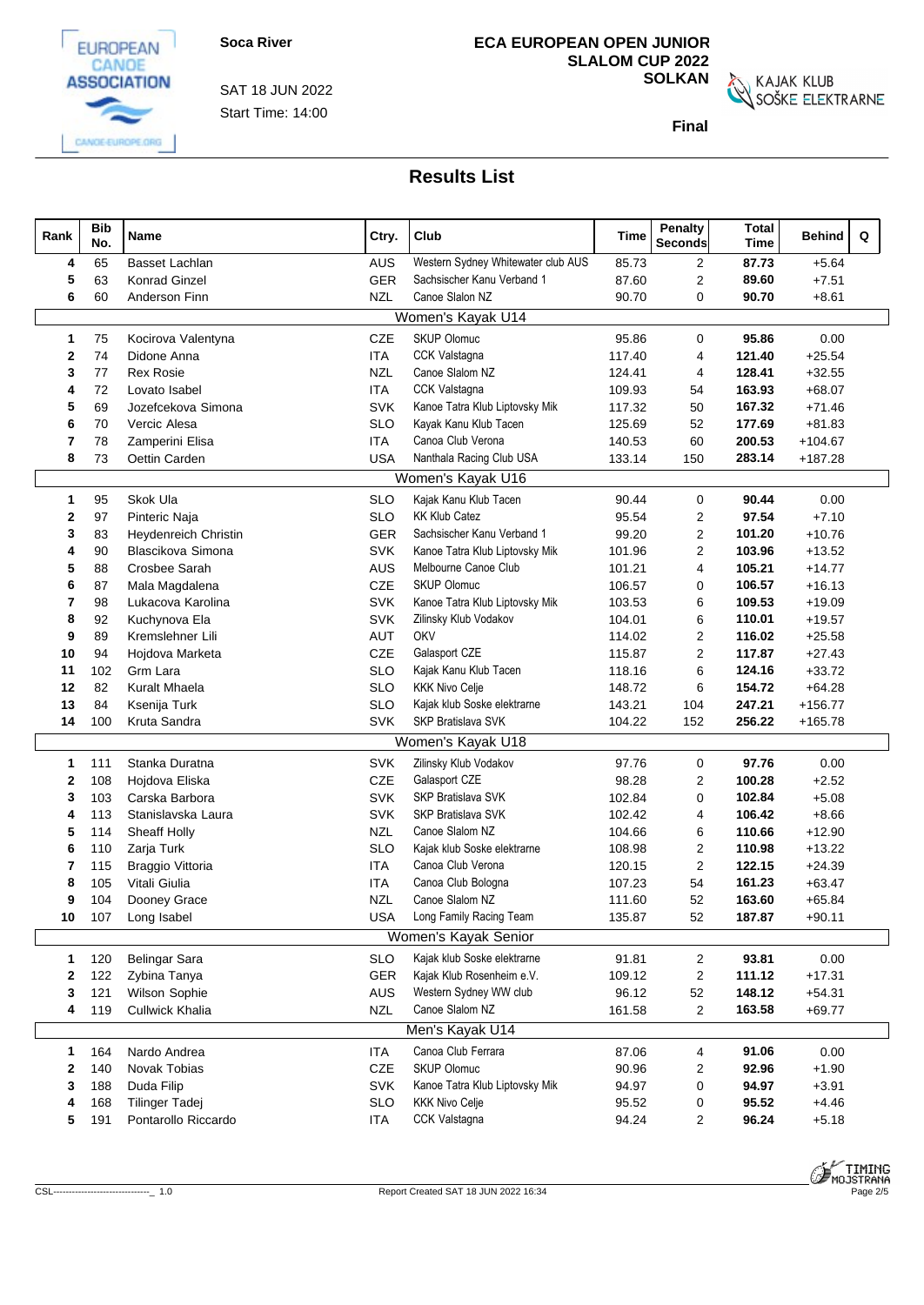

Start Time: 14:00 SAT 18 JUN 2022

# **ECA EUROPEAN OPEN JUNIOR SLALOM CUP 2022**

**SOLKAN**<br>SOŠKE ELEKTRARNE

**Final**

| Rank         | <b>Bib</b><br>No. | Name                  | Ctry.      | Club                               | Time   | <b>Penalty</b><br>Seconds | <b>Total</b><br><b>Time</b> | <b>Behind</b> | Q |
|--------------|-------------------|-----------------------|------------|------------------------------------|--------|---------------------------|-----------------------------|---------------|---|
| 4            | 65                | Basset Lachlan        | AUS        | Western Sydney Whitewater club AUS | 85.73  | $\overline{2}$            | 87.73                       | $+5.64$       |   |
| 5            | 63                | <b>Konrad Ginzel</b>  | <b>GER</b> | Sachsischer Kanu Verband 1         | 87.60  | $\overline{2}$            | 89.60                       | $+7.51$       |   |
| 6            | 60                | Anderson Finn         | <b>NZL</b> | Canoe Slalon NZ                    | 90.70  | $\mathbf 0$               | 90.70                       | $+8.61$       |   |
|              |                   |                       |            | Women's Kayak U14                  |        |                           |                             |               |   |
| $\mathbf{1}$ | 75                | Kocirova Valentyna    | CZE        | <b>SKUP Olomuc</b>                 | 95.86  | 0                         | 95.86                       | 0.00          |   |
| 2            | 74                | Didone Anna           | <b>ITA</b> | CCK Valstagna                      | 117.40 | $\overline{4}$            | 121.40                      | $+25.54$      |   |
| 3            | 77                | <b>Rex Rosie</b>      | <b>NZL</b> | Canoe Slalom NZ                    | 124.41 | 4                         | 128.41                      | $+32.55$      |   |
| 4            | 72                | Lovato Isabel         | <b>ITA</b> | CCK Valstagna                      | 109.93 | 54                        | 163.93                      | $+68.07$      |   |
| 5            | 69                | Jozefcekova Simona    | <b>SVK</b> | Kanoe Tatra Klub Liptovsky Mik     | 117.32 | 50                        | 167.32                      | $+71.46$      |   |
| 6            | 70                | Vercic Alesa          | <b>SLO</b> | Kayak Kanu Klub Tacen              | 125.69 | 52                        | 177.69                      | $+81.83$      |   |
| 7            | 78                | Zamperini Elisa       | <b>ITA</b> | Canoa Club Verona                  | 140.53 | 60                        | 200.53                      | $+104.67$     |   |
| 8            | 73                | Oettin Carden         | <b>USA</b> | Nanthala Racing Club USA           | 133.14 | 150                       | 283.14                      | $+187.28$     |   |
|              |                   |                       |            | Women's Kayak U16                  |        |                           |                             |               |   |
| $\mathbf{1}$ | 95                | Skok Ula              | <b>SLO</b> | Kajak Kanu Klub Tacen              | 90.44  | $\mathbf 0$               | 90.44                       | 0.00          |   |
| $\mathbf{2}$ | 97                | Pinteric Naja         | <b>SLO</b> | <b>KK Klub Catez</b>               | 95.54  | $\overline{2}$            | 97.54                       | $+7.10$       |   |
| 3            | 83                | Heydenreich Christin  | <b>GER</b> | Sachsischer Kanu Verband 1         | 99.20  | $\overline{2}$            | 101.20                      | $+10.76$      |   |
| 4            | 90                | Blascikova Simona     | SVK        | Kanoe Tatra Klub Liptovsky Mik     | 101.96 | $\overline{2}$            | 103.96                      | $+13.52$      |   |
| 5            | 88                | Crosbee Sarah         | AUS        | Melbourne Canoe Club               | 101.21 | 4                         | 105.21                      | $+14.77$      |   |
| 6            | 87                | Mala Magdalena        | <b>CZE</b> | <b>SKUP Olomuc</b>                 | 106.57 | $\mathbf 0$               | 106.57                      | $+16.13$      |   |
| 7            | 98                | Lukacova Karolina     | SVK        | Kanoe Tatra Klub Liptovsky Mik     | 103.53 | 6                         | 109.53                      | $+19.09$      |   |
| 8            | 92                | Kuchynova Ela         | <b>SVK</b> | Zilinsky Klub Vodakov              | 104.01 | 6                         | 110.01                      | $+19.57$      |   |
| 9            | 89                | Kremslehner Lili      | <b>AUT</b> | OKV                                | 114.02 | $\overline{2}$            | 116.02                      | $+25.58$      |   |
| 10           | 94                | Hojdova Marketa       | CZE        | Galasport CZE                      | 115.87 | $\overline{c}$            | 117.87                      | $+27.43$      |   |
| 11           | 102               | Grm Lara              | <b>SLO</b> | Kajak Kanu Klub Tacen              | 118.16 | 6                         | 124.16                      | $+33.72$      |   |
| 12           | 82                | Kuralt Mhaela         | <b>SLO</b> | <b>KKK Nivo Celje</b>              | 148.72 | 6                         | 154.72                      | $+64.28$      |   |
| 13           | 84                | Ksenija Turk          | <b>SLO</b> | Kajak klub Soske elektrarne        | 143.21 | 104                       | 247.21                      | $+156.77$     |   |
| 14           | 100               | Kruta Sandra          | <b>SVK</b> | SKP Bratislava SVK                 | 104.22 | 152                       | 256.22                      | $+165.78$     |   |
|              |                   |                       |            | Women's Kayak U18                  |        |                           |                             |               |   |
| $\mathbf{1}$ | 111               | Stanka Duratna        | <b>SVK</b> | Zilinsky Klub Vodakov              | 97.76  | $\mathbf 0$               | 97.76                       | 0.00          |   |
| 2            | 108               | Hojdova Eliska        | <b>CZE</b> | Galasport CZE                      | 98.28  | 2                         | 100.28                      | $+2.52$       |   |
| 3            | 103               | Carska Barbora        | <b>SVK</b> | SKP Bratislava SVK                 | 102.84 | 0                         | 102.84                      | $+5.08$       |   |
| 4            | 113               | Stanislavska Laura    | <b>SVK</b> | SKP Bratislava SVK                 | 102.42 | 4                         | 106.42                      | $+8.66$       |   |
| 5            | 114               | Sheaff Holly          | <b>NZL</b> | Canoe Slalom NZ                    | 104.66 | 6                         | 110.66                      | $+12.90$      |   |
| 6            | 110               | Zarja Turk            | <b>SLO</b> | Kajak klub Soske elektrarne        | 108.98 | 2                         | 110.98                      | $+13.22$      |   |
| 7            | 115               | Braggio Vittoria      | ITA        | Canoa Club Verona                  | 120.15 | $\overline{2}$            | 122.15                      | $+24.39$      |   |
| 8            | 105               | Vitali Giulia         | <b>ITA</b> | Canoa Club Bologna                 | 107.23 | 54                        | 161.23                      | $+63.47$      |   |
| 9            | 104               | Dooney Grace          | <b>NZL</b> | Canoe Slalom NZ                    | 111.60 | 52                        | 163.60                      | $+65.84$      |   |
| 10           | 107               | Long Isabel           | USA        | Long Family Racing Team            | 135.87 | 52                        | 187.87                      | $+90.11$      |   |
|              |                   |                       |            | Women's Kayak Senior               |        |                           |                             |               |   |
| $\mathbf{1}$ | 120               | <b>Belingar Sara</b>  | <b>SLO</b> | Kajak klub Soske elektrarne        | 91.81  | $\overline{2}$            | 93.81                       | 0.00          |   |
| 2            | 122               | Zybina Tanya          | <b>GER</b> | Kajak Klub Rosenheim e.V.          | 109.12 | $\overline{2}$            | 111.12                      | $+17.31$      |   |
| 3            | 121               | Wilson Sophie         | <b>AUS</b> | Western Sydney WW club             | 96.12  | 52                        | 148.12                      | $+54.31$      |   |
| 4            | 119               | Cullwick Khalia       | <b>NZL</b> | Canoe Slalom NZ                    | 161.58 | $\overline{2}$            | 163.58                      | $+69.77$      |   |
|              |                   |                       |            | Men's Kayak U14                    |        |                           |                             |               |   |
| $\mathbf{1}$ | 164               | Nardo Andrea          | <b>ITA</b> | Canoa Club Ferrara                 | 87.06  | 4                         | 91.06                       | 0.00          |   |
| 2            | 140               | Novak Tobias          | CZE        | <b>SKUP Olomuc</b>                 | 90.96  | $\overline{2}$            | 92.96                       | $+1.90$       |   |
| 3            | 188               | Duda Filip            | <b>SVK</b> | Kanoe Tatra Klub Liptovsky Mik     | 94.97  | 0                         | 94.97                       | $+3.91$       |   |
| 4            | 168               | <b>Tilinger Tadej</b> | <b>SLO</b> | <b>KKK Nivo Celje</b>              | 95.52  | 0                         | 95.52                       | $+4.46$       |   |
| 5            | 191               | Pontarollo Riccardo   | <b>ITA</b> | CCK Valstagna                      | 94.24  | $\overline{c}$            | 96.24                       | $+5.18$       |   |

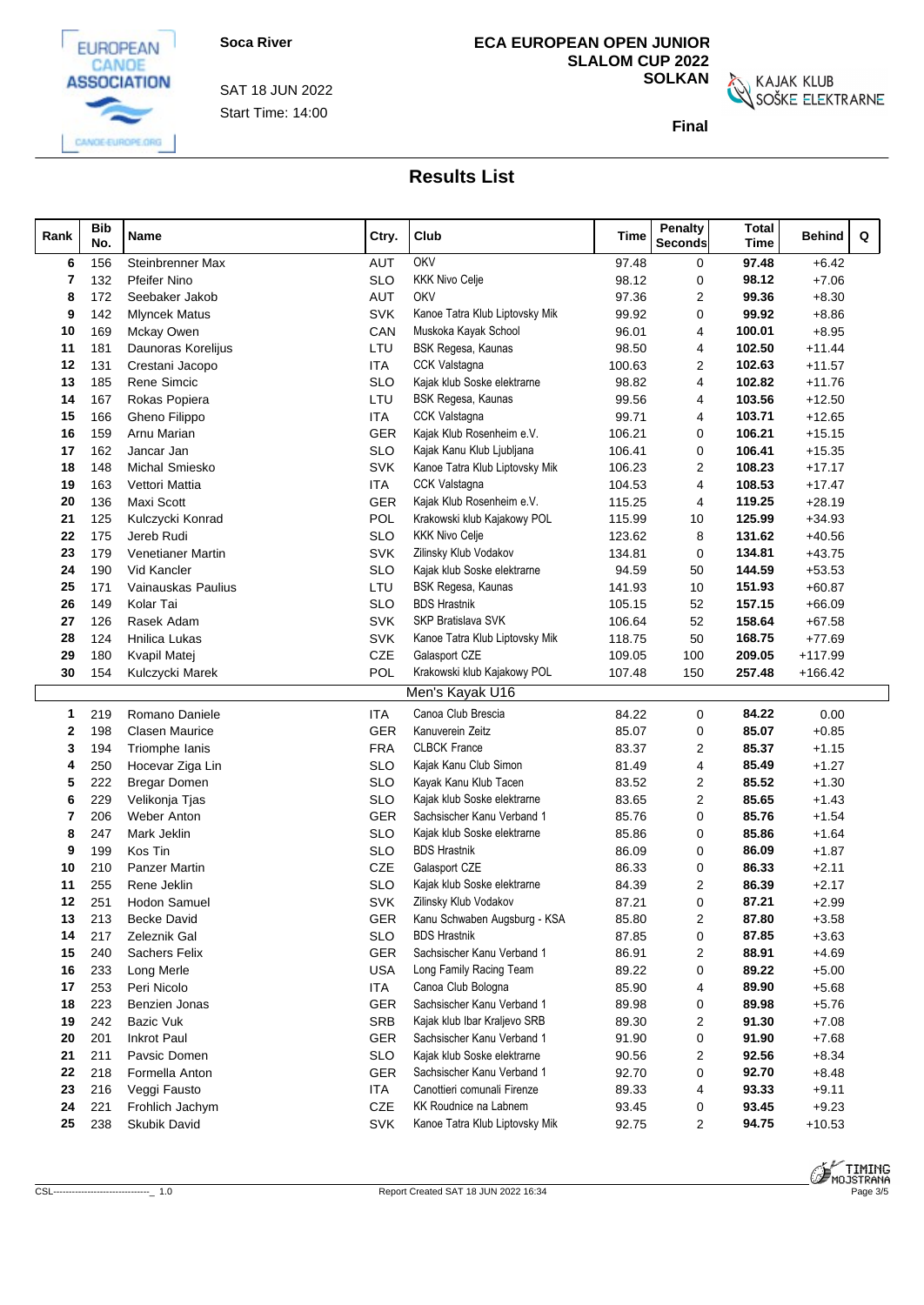

Start Time: 14:00 SAT 18 JUN 2022

# **ECA EUROPEAN OPEN JUNIOR SLALOM CUP 2022**

**SOLKAN**<br>SOŠKE ELEKTRARNE

**Final**

| Rank | <b>Bib</b><br>No. | Name                     | Ctry.      | Club                           | Time   | <b>Penalty</b><br><b>Seconds</b> | <b>Total</b><br><b>Time</b> | Q<br>Behind |  |
|------|-------------------|--------------------------|------------|--------------------------------|--------|----------------------------------|-----------------------------|-------------|--|
| 6    | 156               | Steinbrenner Max         | <b>AUT</b> | OKV                            | 97.48  | 0                                | 97.48                       | $+6.42$     |  |
|      | 132               | <b>Pfeifer Nino</b>      | <b>SLO</b> | <b>KKK Nivo Celje</b>          | 98.12  | $\mathbf 0$                      | 98.12                       | $+7.06$     |  |
| 8    | 172               | Seebaker Jakob           | AUT        | OKV                            | 97.36  | 2                                | 99.36                       | $+8.30$     |  |
| 9    | 142               | <b>Mlyncek Matus</b>     | <b>SVK</b> | Kanoe Tatra Klub Liptovsky Mik | 99.92  | $\Omega$                         | 99.92                       | $+8.86$     |  |
| 10   | 169               | Mckay Owen               | CAN        | Muskoka Kayak School           | 96.01  | 4                                | 100.01                      | $+8.95$     |  |
| 11   | 181               | Daunoras Korelijus       | LTU        | BSK Regesa, Kaunas             | 98.50  | 4                                | 102.50                      | $+11.44$    |  |
| 12   | 131               | Crestani Jacopo          | ITA        | CCK Valstagna                  | 100.63 | 2                                | 102.63                      | $+11.57$    |  |
| 13   | 185               | Rene Simcic              | <b>SLO</b> | Kajak klub Soske elektrarne    | 98.82  | 4                                | 102.82                      | $+11.76$    |  |
| 14   | 167               | Rokas Popiera            | LTU        | BSK Regesa, Kaunas             | 99.56  | 4                                | 103.56                      | $+12.50$    |  |
| 15   | 166               | Gheno Filippo            | ITA        | <b>CCK Valstagna</b>           | 99.71  | 4                                | 103.71                      | $+12.65$    |  |
| 16   | 159               | Arnu Marian              | <b>GER</b> | Kajak Klub Rosenheim e.V.      | 106.21 | 0                                | 106.21                      | $+15.15$    |  |
| 17   | 162               | Jancar Jan               | <b>SLO</b> | Kajak Kanu Klub Ljubljana      | 106.41 | 0                                | 106.41                      | $+15.35$    |  |
| 18   | 148               | <b>Michal Smiesko</b>    | <b>SVK</b> | Kanoe Tatra Klub Liptovsky Mik | 106.23 | 2                                | 108.23                      | $+17.17$    |  |
| 19   | 163               | Vettori Mattia           | ITA        | CCK Valstagna                  | 104.53 | 4                                | 108.53                      | $+17.47$    |  |
| 20   | 136               | Maxi Scott               | <b>GER</b> | Kajak Klub Rosenheim e.V.      | 115.25 | 4                                | 119.25                      | $+28.19$    |  |
| 21   | 125               | Kulczycki Konrad         | POL        | Krakowski klub Kajakowy POL    | 115.99 | 10                               | 125.99                      | $+34.93$    |  |
| 22   | 175               | Jereb Rudi               | SLO        | <b>KKK Nivo Celje</b>          | 123.62 | 8                                | 131.62                      | $+40.56$    |  |
| 23   | 179               | <b>Venetianer Martin</b> | <b>SVK</b> | Zilinsky Klub Vodakov          | 134.81 | 0                                | 134.81                      | $+43.75$    |  |
| 24   | 190               | Vid Kancler              | <b>SLO</b> | Kajak klub Soske elektrarne    | 94.59  | 50                               | 144.59                      | $+53.53$    |  |
| 25   | 171               | Vainauskas Paulius       | LTU        | BSK Regesa, Kaunas             | 141.93 | 10                               | 151.93                      | $+60.87$    |  |
| 26   | 149               | Kolar Tai                | <b>SLO</b> | <b>BDS Hrastnik</b>            | 105.15 | 52                               | 157.15                      | $+66.09$    |  |
| 27   | 126               | Rasek Adam               | <b>SVK</b> | SKP Bratislava SVK             | 106.64 | 52                               | 158.64                      | $+67.58$    |  |
| 28   | 124               | Hnilica Lukas            | SVK        | Kanoe Tatra Klub Liptovsky Mik | 118.75 | 50                               | 168.75                      | $+77.69$    |  |
| 29   | 180               | Kvapil Matej             | CZE        | Galasport CZE                  | 109.05 | 100                              | 209.05                      | $+117.99$   |  |
| 30   | 154               | Kulczycki Marek          | POL        | Krakowski klub Kajakowy POL    | 107.48 | 150                              | 257.48                      | $+166.42$   |  |
|      |                   |                          |            | Men's Kayak U16                |        |                                  |                             |             |  |
| 1    | 219               | Romano Daniele           | <b>ITA</b> | Canoa Club Brescia             | 84.22  | 0                                | 84.22                       | 0.00        |  |
| 2    | 198               | <b>Clasen Maurice</b>    | <b>GER</b> | Kanuverein Zeitz               | 85.07  | 0                                | 85.07                       | $+0.85$     |  |
| 3    | 194               | Triomphe lanis           | <b>FRA</b> | <b>CLBCK France</b>            | 83.37  | 2                                | 85.37                       | $+1.15$     |  |
|      | 250               | Hocevar Ziga Lin         | <b>SLO</b> | Kajak Kanu Club Simon          | 81.49  | 4                                | 85.49                       | $+1.27$     |  |
| 5    | 222               | <b>Bregar Domen</b>      | <b>SLO</b> | Kayak Kanu Klub Tacen          | 83.52  | 2                                | 85.52                       | $+1.30$     |  |
| 6    | 229               | Velikonja Tjas           | <b>SLO</b> | Kajak klub Soske elektrarne    | 83.65  | 2                                | 85.65                       | $+1.43$     |  |
| 7    | 206               | Weber Anton              | <b>GER</b> | Sachsischer Kanu Verband 1     | 85.76  | 0                                | 85.76                       | $+1.54$     |  |
| 8    | 247               | Mark Jeklin              | SLO        | Kajak klub Soske elektrarne    | 85.86  | 0                                | 85.86                       | $+1.64$     |  |
| 9    | 199               | Kos Tin                  | <b>SLO</b> | <b>BDS Hrastnik</b>            | 86.09  | 0                                | 86.09                       | $+1.87$     |  |
| 10   | 210               | <b>Panzer Martin</b>     | <b>CZE</b> | Galasport CZE                  | 86.33  | 0                                | 86.33                       | $+2.11$     |  |
| 11   | 255               | Rene Jeklin              | SLO        | Kajak klub Soske elektrarne    | 84.39  | 2                                | 86.39                       | $+2.17$     |  |
| 12   | 251               | <b>Hodon Samuel</b>      | <b>SVK</b> | Zilinsky Klub Vodakov          | 87.21  | $\mathbf 0$                      | 87.21                       | $+2.99$     |  |
| 13   | 213               | <b>Becke David</b>       | GER        | Kanu Schwaben Augsburg - KSA   | 85.80  | $\overline{2}$                   | 87.80                       | $+3.58$     |  |
| 14   | 217               | Zeleznik Gal             | <b>SLO</b> | <b>BDS Hrastnik</b>            | 87.85  | 0                                | 87.85                       | $+3.63$     |  |
| 15   | 240               | <b>Sachers Felix</b>     | GER        | Sachsischer Kanu Verband 1     | 86.91  | 2                                | 88.91                       | $+4.69$     |  |
| 16   | 233               | Long Merle               | <b>USA</b> | Long Family Racing Team        | 89.22  | 0                                | 89.22                       | $+5.00$     |  |
| 17   | 253               | Peri Nicolo              | <b>ITA</b> | Canoa Club Bologna             | 85.90  | 4                                | 89.90                       | $+5.68$     |  |
| 18   | 223               | Benzien Jonas            | <b>GER</b> | Sachsischer Kanu Verband 1     | 89.98  | 0                                | 89.98                       | $+5.76$     |  |
| 19   | 242               | Bazic Vuk                | <b>SRB</b> | Kajak klub Ibar Kraljevo SRB   | 89.30  | 2                                | 91.30                       | $+7.08$     |  |
| 20   | 201               | <b>Inkrot Paul</b>       | <b>GER</b> | Sachsischer Kanu Verband 1     | 91.90  | 0                                | 91.90                       | $+7.68$     |  |
| 21   | 211               | Pavsic Domen             | <b>SLO</b> | Kajak klub Soske elektrarne    | 90.56  | 2                                | 92.56                       | $+8.34$     |  |
| 22   | 218               | Formella Anton           | <b>GER</b> | Sachsischer Kanu Verband 1     | 92.70  | 0                                | 92.70                       | $+8.48$     |  |
| 23   | 216               | Veggi Fausto             | <b>ITA</b> | Canottieri comunali Firenze    | 89.33  | 4                                | 93.33                       | $+9.11$     |  |
| 24   | 221               | Frohlich Jachym          | CZE        | KK Roudnice na Labnem          | 93.45  | 0                                | 93.45                       | $+9.23$     |  |
| 25   | 238               | Skubik David             | <b>SVK</b> | Kanoe Tatra Klub Liptovsky Mik | 92.75  | $\overline{c}$                   | 94.75                       | $+10.53$    |  |

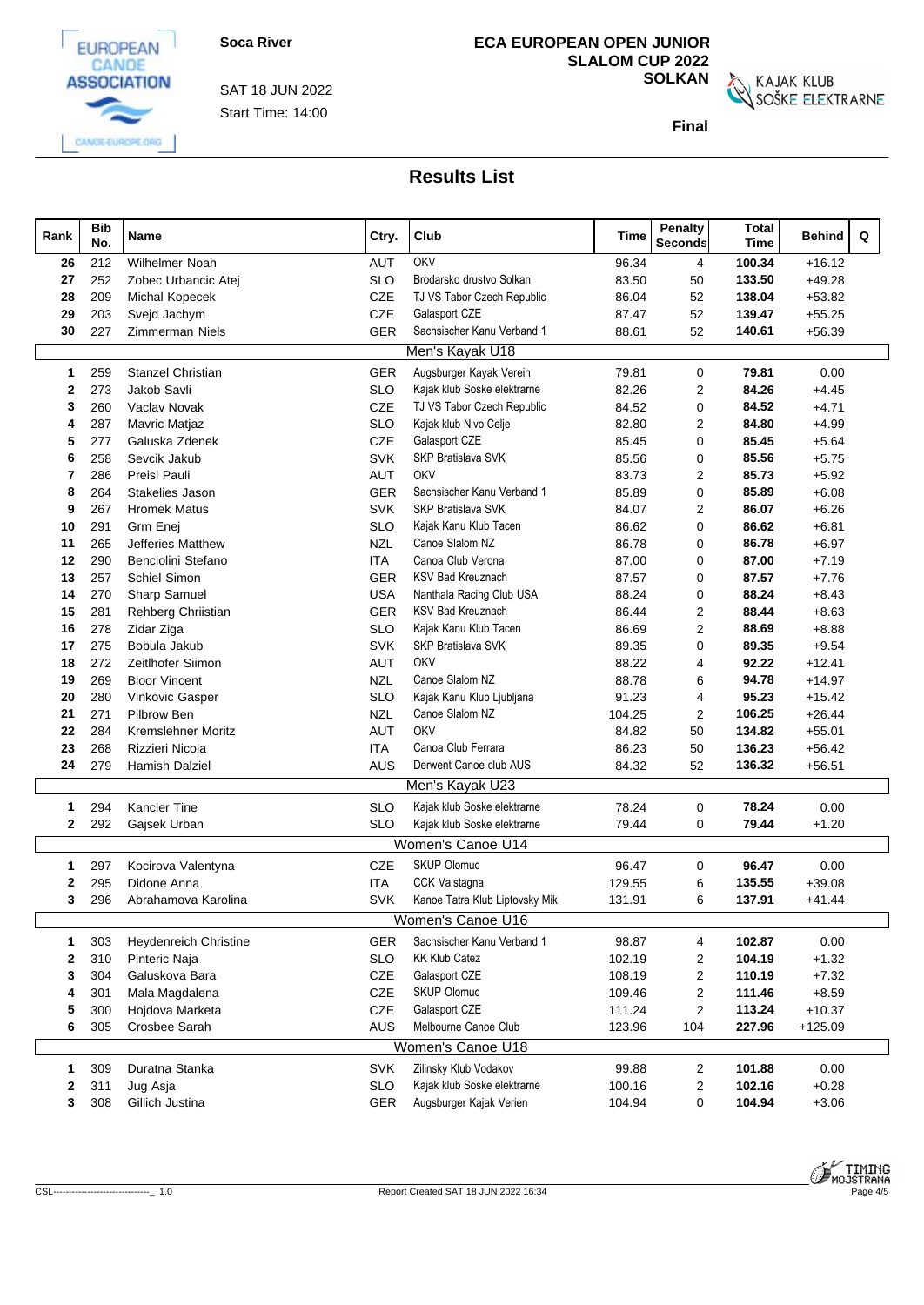

Start Time: 14:00 SAT 18 JUN 2022

# **ECA EUROPEAN OPEN JUNIOR SLALOM CUP 2022**

**SOLKAN**<br>SOŠKE ELEKTRARNE

**Final**

| Rank         | <b>Bib</b><br>No. | Name                         | Ctry.      | Club                           | Time   | Penalty<br><b>Seconds</b> | <b>Total</b><br><b>Time</b> | Q<br><b>Behind</b> |
|--------------|-------------------|------------------------------|------------|--------------------------------|--------|---------------------------|-----------------------------|--------------------|
| 26           | 212               | <b>Wilhelmer Noah</b>        | <b>AUT</b> | OKV                            | 96.34  | 4                         | 100.34                      | $+16.12$           |
| 27           | 252               | Zobec Urbancic Atej          | <b>SLO</b> | Brodarsko drustvo Solkan       | 83.50  | 50                        | 133.50                      | $+49.28$           |
| 28           | 209               | <b>Michal Kopecek</b>        | CZE        | TJ VS Tabor Czech Republic     | 86.04  | 52                        | 138.04                      | $+53.82$           |
| 29           | 203               | Svejd Jachym                 | CZE        | Galasport CZE                  | 87.47  | 52                        | 139.47                      | $+55.25$           |
| 30           | 227               | Zimmerman Niels              | GER        | Sachsischer Kanu Verband 1     | 88.61  | 52                        | 140.61                      | $+56.39$           |
|              |                   |                              |            | Men's Kayak U18                |        |                           |                             |                    |
| 1            | 259               | Stanzel Christian            | GER        | Augsburger Kayak Verein        | 79.81  | $\mathbf 0$               | 79.81                       | 0.00               |
| 2            | 273               | Jakob Savli                  | <b>SLO</b> | Kajak klub Soske elektrarne    | 82.26  | $\overline{2}$            | 84.26                       | $+4.45$            |
| 3            | 260               | Vaclav Novak                 | <b>CZE</b> | TJ VS Tabor Czech Republic     | 84.52  | $\mathbf 0$               | 84.52                       | $+4.71$            |
| 4            | 287               | Mavric Matjaz                | <b>SLO</b> | Kajak klub Nivo Celje          | 82.80  | 2                         | 84.80                       | $+4.99$            |
| 5            | 277               | Galuska Zdenek               | CZE        | Galasport CZE                  | 85.45  | $\mathbf 0$               | 85.45                       | $+5.64$            |
| 6            | 258               | Sevcik Jakub                 | <b>SVK</b> | <b>SKP Bratislava SVK</b>      | 85.56  | $\mathbf 0$               | 85.56                       | $+5.75$            |
| 7            | 286               | Preisl Pauli                 | <b>AUT</b> | OKV                            | 83.73  | $\overline{2}$            | 85.73                       | $+5.92$            |
| 8            | 264               | Stakelies Jason              | GER        | Sachsischer Kanu Verband 1     | 85.89  | $\mathbf 0$               | 85.89                       | $+6.08$            |
| 9            | 267               | <b>Hromek Matus</b>          | <b>SVK</b> | <b>SKP Bratislava SVK</b>      | 84.07  | 2                         | 86.07                       | $+6.26$            |
| 10           | 291               | Grm Enei                     | <b>SLO</b> | Kajak Kanu Klub Tacen          | 86.62  | $\mathbf 0$               | 86.62                       | $+6.81$            |
| 11           | 265               | Jefferies Matthew            | <b>NZL</b> | Canoe Slalom NZ                | 86.78  | $\mathbf 0$               | 86.78                       | $+6.97$            |
| 12           | 290               | Benciolini Stefano           | <b>ITA</b> | Canoa Club Verona              | 87.00  | $\mathbf 0$               | 87.00                       | $+7.19$            |
| 13           | 257               | Schiel Simon                 | <b>GER</b> | <b>KSV Bad Kreuznach</b>       | 87.57  | $\Omega$                  | 87.57                       | $+7.76$            |
| 14           | 270               | Sharp Samuel                 | <b>USA</b> | Nanthala Racing Club USA       | 88.24  | $\mathbf 0$               | 88.24                       | $+8.43$            |
| 15           | 281               | Rehberg Chriistian           | <b>GER</b> | <b>KSV Bad Kreuznach</b>       | 86.44  | $\overline{2}$            | 88.44                       | $+8.63$            |
| 16           | 278               | Zidar Ziga                   | <b>SLO</b> | Kajak Kanu Klub Tacen          | 86.69  | $\overline{2}$            | 88.69                       | $+8.88$            |
| 17           | 275               | Bobula Jakub                 | <b>SVK</b> | SKP Bratislava SVK             | 89.35  | $\mathbf 0$               | 89.35                       | $+9.54$            |
| 18           | 272               | Zeitlhofer Siimon            | <b>AUT</b> | OKV                            | 88.22  | 4                         | 92.22                       | $+12.41$           |
| 19           | 269               | <b>Bloor Vincent</b>         | <b>NZL</b> | Canoe Slalom NZ                | 88.78  | 6                         | 94.78                       | $+14.97$           |
| 20           | 280               | Vinkovic Gasper              | <b>SLO</b> | Kajak Kanu Klub Ljubljana      | 91.23  | $\overline{4}$            | 95.23                       | $+15.42$           |
| 21           | 271               | Pilbrow Ben                  | <b>NZL</b> | Canoe Slalom NZ                | 104.25 | $\overline{2}$            | 106.25                      | $+26.44$           |
| 22           | 284               | <b>Kremslehner Moritz</b>    | <b>AUT</b> | OKV                            | 84.82  | 50                        | 134.82                      | $+55.01$           |
| 23           | 268               | Rizzieri Nicola              | ITA        | Canoa Club Ferrara             | 86.23  | 50                        | 136.23                      | $+56.42$           |
| 24           | 279               | Hamish Dalziel               | AUS        | Derwent Canoe club AUS         | 84.32  | 52                        | 136.32                      | $+56.51$           |
|              |                   |                              |            | Men's Kayak U23                |        |                           |                             |                    |
| 1            | 294               | Kancler Tine                 | <b>SLO</b> | Kajak klub Soske elektrarne    | 78.24  | $\mathbf 0$               | 78.24                       | 0.00               |
| $\mathbf{2}$ | 292               | Gajsek Urban                 | <b>SLO</b> | Kajak klub Soske elektrarne    | 79.44  | $\mathbf 0$               | 79.44                       | $+1.20$            |
|              |                   |                              |            | Women's Canoe U14              |        |                           |                             |                    |
| 1            | 297               | Kocirova Valentyna           | CZE        | <b>SKUP Olomuc</b>             | 96.47  | 0                         | 96.47                       | 0.00               |
| 2            | 295               | Didone Anna                  | <b>ITA</b> | <b>CCK Valstagna</b>           | 129.55 | 6                         | 135.55                      | $+39.08$           |
| 3            | 296               | Abrahamova Karolina          | <b>SVK</b> | Kanoe Tatra Klub Liptovsky Mik | 131.91 | 6                         | 137.91                      | $+41.44$           |
|              |                   |                              |            | Women's Canoe U16              |        |                           |                             |                    |
| 1            | 303               | <b>Heydenreich Christine</b> | <b>GER</b> | Sachsischer Kanu Verband 1     | 98.87  | 4                         | 102.87                      | $0.00\,$           |
| $\mathbf{2}$ | 310               | Pinteric Naja                | <b>SLO</b> | <b>KK Klub Catez</b>           | 102.19 | $\overline{c}$            | 104.19                      | $+1.32$            |
| 3            | 304               | Galuskova Bara               | CZE        | Galasport CZE                  | 108.19 | $\overline{2}$            | 110.19                      | $+7.32$            |
| 4            | 301               | Mala Magdalena               | CZE        | <b>SKUP Olomuc</b>             | 109.46 | $\overline{2}$            | 111.46                      | $+8.59$            |
| 5            | 300               | Hojdova Marketa              | CZE        | Galasport CZE                  | 111.24 | $\overline{2}$            | 113.24                      | $+10.37$           |
| 6            | 305               | Crosbee Sarah                | AUS        | Melbourne Canoe Club           | 123.96 | 104                       | 227.96                      | $+125.09$          |
|              |                   |                              |            | Women's Canoe U18              |        |                           |                             |                    |
| 1            | 309               | Duratna Stanka               | <b>SVK</b> | Zilinsky Klub Vodakov          | 99.88  | 2                         | 101.88                      | 0.00               |
| 2            | 311               | Jug Asja                     | <b>SLO</b> | Kajak klub Soske elektrarne    | 100.16 | $\overline{2}$            | 102.16                      | $+0.28$            |
| 3            | 308               | Gillich Justina              | <b>GER</b> | Augsburger Kajak Verien        | 104.94 | $\mathbf 0$               | 104.94                      | $+3.06$            |
|              |                   |                              |            |                                |        |                           |                             |                    |

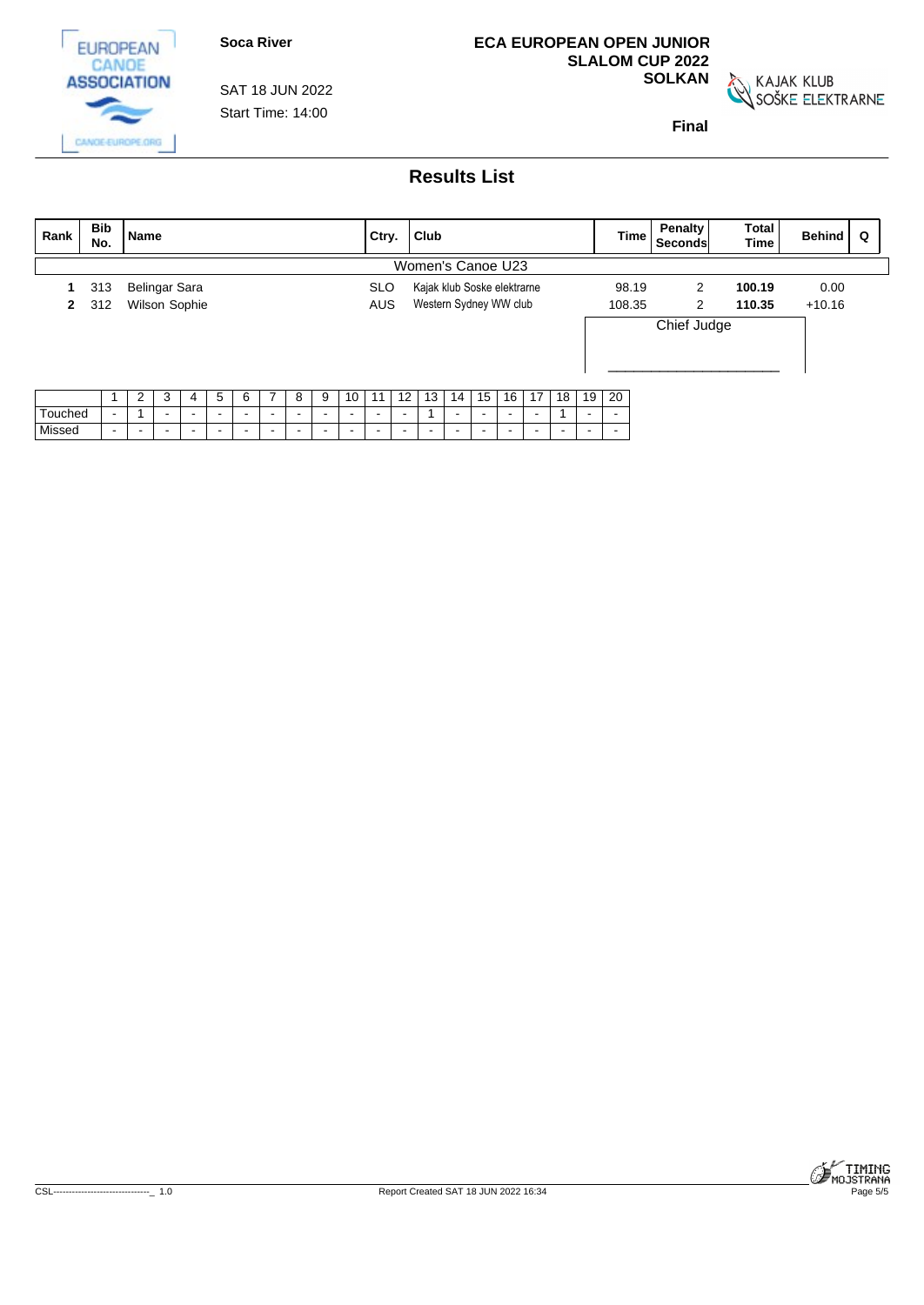

**ECA EUROPEAN OPEN JUNIOR SLALOM CUP 2022**

**SOLKAN**<br>SOŠKE ELEKTRARNE

**Final**

**ASSOCIATION** SAT 18 JUN 2022 Start Time: 14:00 CANGE-EUROPE.ORG

**EUROPEAN** CANOE

| Rank    | Bib<br>No.     | <b>Name</b>              |   |        |        |        |        |        |        |                          | Ctry.                    |                 | <b>Club</b>                 |        |        |                          |        |                 |         | Time                     | <b>Penalty</b><br>Seconds | Total<br><b>Time</b> | Behind   | Q |
|---------|----------------|--------------------------|---|--------|--------|--------|--------|--------|--------|--------------------------|--------------------------|-----------------|-----------------------------|--------|--------|--------------------------|--------|-----------------|---------|--------------------------|---------------------------|----------------------|----------|---|
|         |                |                          |   |        |        |        |        |        |        |                          |                          |                 | Women's Canoe U23           |        |        |                          |        |                 |         |                          |                           |                      |          |   |
|         | 313            | Belingar Sara            |   |        |        |        |        |        |        |                          | <b>SLO</b>               |                 | Kajak klub Soske elektrarne |        |        |                          |        |                 |         | 98.19                    | 2                         | 100.19               | 0.00     |   |
|         | 2 312          | Wilson Sophie            |   |        |        |        |        |        |        |                          | <b>AUS</b>               |                 | Western Sydney WW club      |        |        |                          |        |                 |         | 108.35                   | 2                         | 110.35               | $+10.16$ |   |
|         |                |                          |   |        |        |        |        |        |        |                          |                          |                 |                             |        |        |                          |        |                 |         |                          | Chief Judge               |                      |          |   |
|         |                | 2                        | 3 | 4      | 5      | 6      | 7      | 8      | 9      | 10                       | 11                       | 12 <sub>1</sub> | 13                          | 14     | 15     | 16 <sub>1</sub>          | 17     | 18 <sup>1</sup> | 19   20 |                          |                           |                      |          |   |
| Touched | $\blacksquare$ | $\overline{\phantom{a}}$ |   | $\sim$ | $\sim$ | $\sim$ | $\sim$ | $\sim$ | $\sim$ | $\sim$                   | $\sim$                   | $\sim$          |                             | $\sim$ | $\sim$ | $\sim$                   | $\sim$ |                 | $\sim$  | $\sim$                   |                           |                      |          |   |
| Missed  | $\sim$         | $\sim$                   |   | $\sim$ | $\sim$ | $\sim$ | $\sim$ | $\sim$ | $\sim$ | $\overline{\phantom{a}}$ | $\overline{\phantom{a}}$ | $\sim$          | $\sim$                      | $\sim$ | $\sim$ | $\overline{\phantom{a}}$ | $\sim$ | $\sim$          | $\sim$  | $\overline{\phantom{a}}$ |                           |                      |          |   |

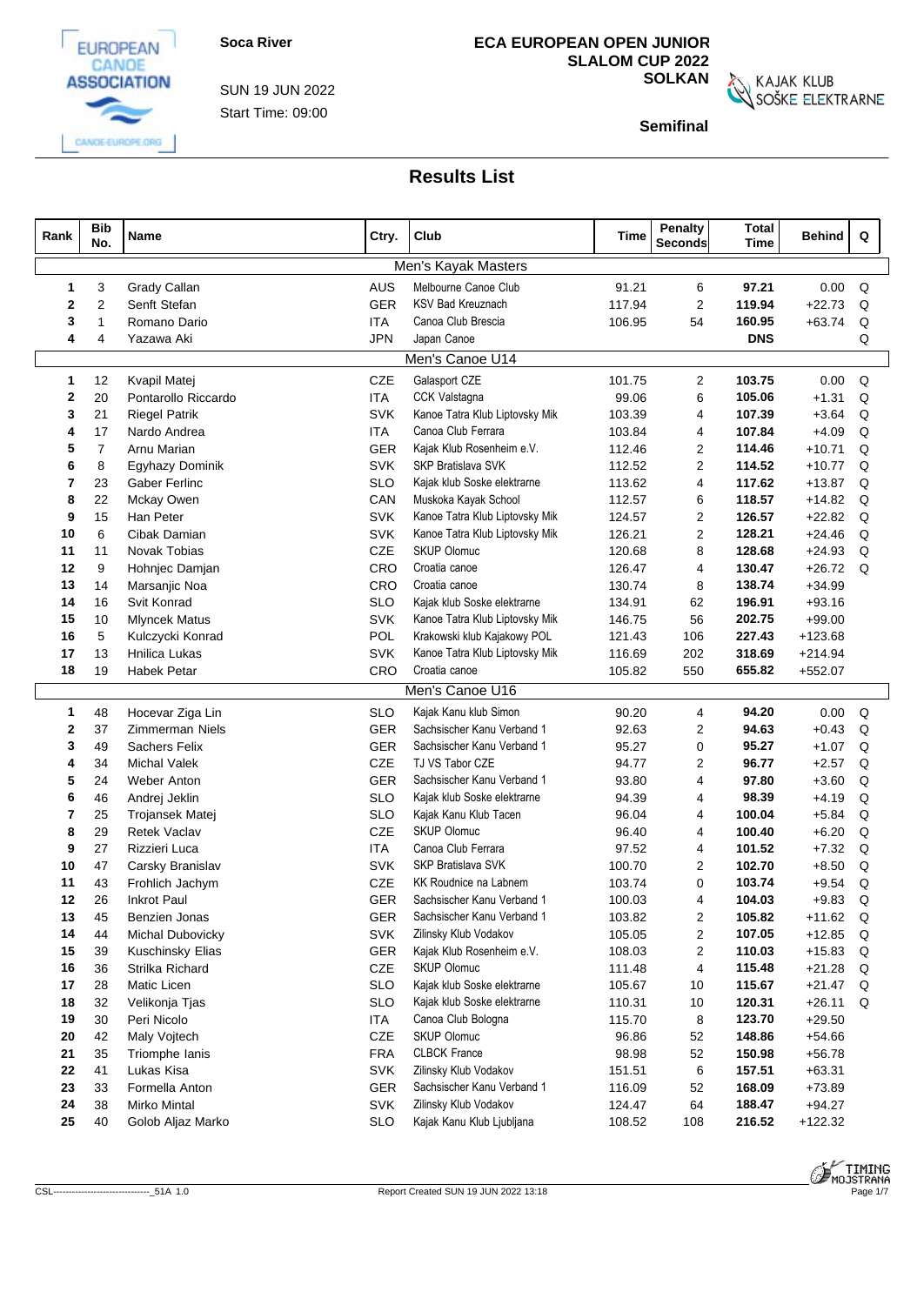

CANGE-EUROPE.ORG

Start Time: 09:00 SUN 19 JUN 2022

## **ECA EUROPEAN OPEN JUNIOR SLALOM CUP 2022**

**SOLKAN**<br>SOŠKE ELEKTRARNE

**Semifinal**

| Rank         | <b>Bib</b><br>No. | Name                                  | Ctry.             | Club                                                       | Time             | <b>Penalty</b><br><b>Seconds</b> | <b>Total</b><br><b>Time</b> | <b>Behind</b>      | Q      |  |
|--------------|-------------------|---------------------------------------|-------------------|------------------------------------------------------------|------------------|----------------------------------|-----------------------------|--------------------|--------|--|
|              |                   |                                       |                   | Men's Kayak Masters                                        |                  |                                  |                             |                    |        |  |
| 1            | 3                 | Grady Callan                          | <b>AUS</b>        | Melbourne Canoe Club                                       | 91.21            | 6                                | 97.21                       | 0.00               | Q      |  |
| $\mathbf{2}$ | $\overline{2}$    | Senft Stefan                          | GER               | <b>KSV Bad Kreuznach</b>                                   | 117.94           | $\overline{2}$                   | 119.94                      | $+22.73$           | Q      |  |
| 3            | -1                | Romano Dario                          | <b>ITA</b>        | Canoa Club Brescia                                         | 106.95           | 54                               | 160.95                      | $+63.74$           | Q      |  |
| 4            | 4                 | Yazawa Aki                            | <b>JPN</b>        | Japan Canoe                                                |                  |                                  | <b>DNS</b>                  |                    | Q      |  |
|              |                   |                                       |                   | Men's Canoe U14                                            |                  |                                  |                             |                    |        |  |
| 1            | 12                | Kvapil Matej                          | CZE               | Galasport CZE                                              | 101.75           | $\overline{2}$                   | 103.75                      | 0.00               | Q      |  |
| 2            | 20                | Pontarollo Riccardo                   | <b>ITA</b>        | CCK Valstagna                                              | 99.06            | 6                                | 105.06                      | $+1.31$            | Q      |  |
| 3            | 21                | <b>Riegel Patrik</b>                  | <b>SVK</b>        | Kanoe Tatra Klub Liptovsky Mik                             | 103.39           | 4                                | 107.39                      | $+3.64$            | Q      |  |
| 4            | 17                | Nardo Andrea                          | <b>ITA</b>        | Canoa Club Ferrara                                         | 103.84           | 4                                | 107.84                      | $+4.09$            | Q      |  |
| 5            | $\overline{7}$    | Arnu Marian                           | <b>GER</b>        | Kajak Klub Rosenheim e.V.                                  | 112.46           | 2                                | 114.46                      | $+10.71$           | Q      |  |
| 6            | 8                 | Egyhazy Dominik                       | <b>SVK</b>        | SKP Bratislava SVK                                         | 112.52           | $\overline{2}$                   | 114.52                      | $+10.77$           | Q      |  |
| 7            | 23                | <b>Gaber Ferlinc</b>                  | <b>SLO</b>        | Kajak klub Soske elektrarne                                | 113.62           | $\overline{4}$                   | 117.62                      | $+13.87$           | Q      |  |
| 8            | 22                | Mckay Owen                            | CAN               | Muskoka Kayak School                                       | 112.57           | 6                                | 118.57                      | $+14.82$           | Q      |  |
| 9            | 15                | Han Peter                             | <b>SVK</b>        | Kanoe Tatra Klub Liptovsky Mik                             | 124.57           | $\overline{2}$                   | 126.57                      | $+22.82$           | Q      |  |
| 10           | 6                 | Cibak Damian                          | <b>SVK</b>        | Kanoe Tatra Klub Liptovsky Mik                             | 126.21           | $\overline{2}$                   | 128.21                      | $+24.46$           | Q      |  |
| 11           | 11                | <b>Novak Tobias</b>                   | CZE               | <b>SKUP Olomuc</b>                                         | 120.68           | 8                                | 128.68                      | $+24.93$           | Q      |  |
| 12           | 9                 | Hohnjec Damjan                        | CRO               | Croatia canoe                                              | 126.47           | $\overline{4}$                   | 130.47                      | $+26.72$           | Q      |  |
| 13           | 14                | Marsanjic Noa                         | CRO               | Croatia canoe                                              | 130.74           | 8                                | 138.74                      | $+34.99$           |        |  |
| 14           | 16                | Svit Konrad                           | <b>SLO</b>        | Kajak klub Soske elektrarne                                | 134.91           | 62                               | 196.91                      | $+93.16$           |        |  |
| 15           | 10                | <b>Mlyncek Matus</b>                  | <b>SVK</b>        | Kanoe Tatra Klub Liptovsky Mik                             | 146.75           | 56                               | 202.75                      | $+99.00$           |        |  |
| 16           | 5                 | Kulczycki Konrad                      | POL               | Krakowski klub Kajakowy POL                                | 121.43           | 106                              | 227.43                      | $+123.68$          |        |  |
| 17           | 13                | Hnilica Lukas                         | <b>SVK</b>        | Kanoe Tatra Klub Liptovsky Mik                             | 116.69           | 202                              | 318.69                      | $+214.94$          |        |  |
| 18           | 19                | <b>Habek Petar</b>                    | CRO               | Croatia canoe                                              | 105.82           | 550                              | 655.82                      | $+552.07$          |        |  |
|              |                   |                                       |                   | Men's Canoe U16                                            |                  |                                  |                             |                    |        |  |
| 1            | 48                | Hocevar Ziga Lin                      | <b>SLO</b>        | Kajak Kanu klub Simon                                      | 90.20            | $\overline{4}$                   | 94.20                       | 0.00               | Q      |  |
| 2            | 37                | <b>Zimmerman Niels</b>                | <b>GER</b>        | Sachsischer Kanu Verband 1                                 | 92.63            | 2                                | 94.63                       | $+0.43$            | Q      |  |
| 3            | 49                | <b>Sachers Felix</b>                  | <b>GER</b>        | Sachsischer Kanu Verband 1                                 | 95.27            | $\mathbf 0$                      | 95.27                       | $+1.07$            | Q      |  |
| 4            | 34                | <b>Michal Valek</b>                   | CZE               | TJ VS Tabor CZE                                            | 94.77            | 2                                | 96.77                       | $+2.57$            | Q      |  |
| 5            | 24                | Weber Anton                           | <b>GER</b>        | Sachsischer Kanu Verband 1                                 | 93.80            | 4                                | 97.80                       | $+3.60$            | Q      |  |
| 6            | 46                | Andrej Jeklin                         | <b>SLO</b>        | Kajak klub Soske elektrarne                                | 94.39            | 4                                | 98.39                       | $+4.19$            | Q      |  |
| 7            | 25                | Trojansek Matej                       | <b>SLO</b>        | Kajak Kanu Klub Tacen                                      | 96.04            | 4                                | 100.04                      | $+5.84$            | Q      |  |
| 8            | 29                | <b>Retek Vaclav</b>                   | CZE               | <b>SKUP Olomuc</b>                                         | 96.40            | 4                                | 100.40                      | $+6.20$            | Q      |  |
| 9            | 27                | Rizzieri Luca                         | <b>ITA</b>        | Canoa Club Ferrara                                         | 97.52            | 4                                | 101.52                      | $+7.32$            | Q      |  |
| 10           | 47                | Carsky Branislav                      | <b>SVK</b>        | SKP Bratislava SVK                                         | 100.70           | 2                                | 102.70                      | $+8.50$            | Q      |  |
| 11<br>12     | 43<br>26          | Frohlich Jachym<br><b>Inkrot Paul</b> | CZE<br><b>GER</b> | <b>KK Roudnice na Labnem</b><br>Sachsischer Kanu Verband 1 | 103.74<br>100.03 | $\Omega$<br>4                    | 103.74<br>104.03            | $+9.54$<br>$+9.83$ | Q<br>Q |  |
| 13           | 45                | Benzien Jonas                         | <b>GER</b>        | Sachsischer Kanu Verband 1                                 | 103.82           | $\overline{2}$                   | 105.82                      | $+11.62$ Q         |        |  |
| 14           | 44                | Michal Dubovicky                      | <b>SVK</b>        | Zilinsky Klub Vodakov                                      | 105.05           | $\overline{2}$                   | 107.05                      | $+12.85$           | Q      |  |
| 15           | 39                | Kuschinsky Elias                      | GER               | Kajak Klub Rosenheim e.V.                                  | 108.03           | 2                                | 110.03                      | $+15.83$           | Q      |  |
| 16           | 36                | Strilka Richard                       | CZE               | <b>SKUP Olomuc</b>                                         | 111.48           | 4                                | 115.48                      | $+21.28$           | Q      |  |
| 17           | 28                | Matic Licen                           | <b>SLO</b>        | Kajak klub Soske elektrarne                                | 105.67           | 10                               | 115.67                      | $+21.47$           | Q      |  |
| 18           | 32                | Velikonja Tjas                        | <b>SLO</b>        | Kajak klub Soske elektrarne                                | 110.31           | 10                               | 120.31                      | $+26.11$           | Q      |  |
| 19           | 30                | Peri Nicolo                           | ITA.              | Canoa Club Bologna                                         | 115.70           | 8                                | 123.70                      | $+29.50$           |        |  |
| 20           | 42                | Maly Voitech                          | CZE               | <b>SKUP Olomuc</b>                                         | 96.86            | 52                               | 148.86                      | $+54.66$           |        |  |
| 21           | 35                | Triomphe Ianis                        | <b>FRA</b>        | <b>CLBCK France</b>                                        | 98.98            | 52                               | 150.98                      | $+56.78$           |        |  |
| 22           | 41                | Lukas Kisa                            | <b>SVK</b>        | Zilinsky Klub Vodakov                                      | 151.51           | 6                                | 157.51                      | $+63.31$           |        |  |
| 23           | 33                | Formella Anton                        | GER               | Sachsischer Kanu Verband 1                                 | 116.09           | 52                               | 168.09                      | $+73.89$           |        |  |
| ${\bf 24}$   | 38                | <b>Mirko Mintal</b>                   | <b>SVK</b>        | Zilinsky Klub Vodakov                                      | 124.47           | 64                               | 188.47                      | $+94.27$           |        |  |
| 25           | 40                | Golob Aljaz Marko                     | <b>SLO</b>        | Kajak Kanu Klub Ljubljana                                  | 108.52           | 108                              | 216.52                      | $+122.32$          |        |  |

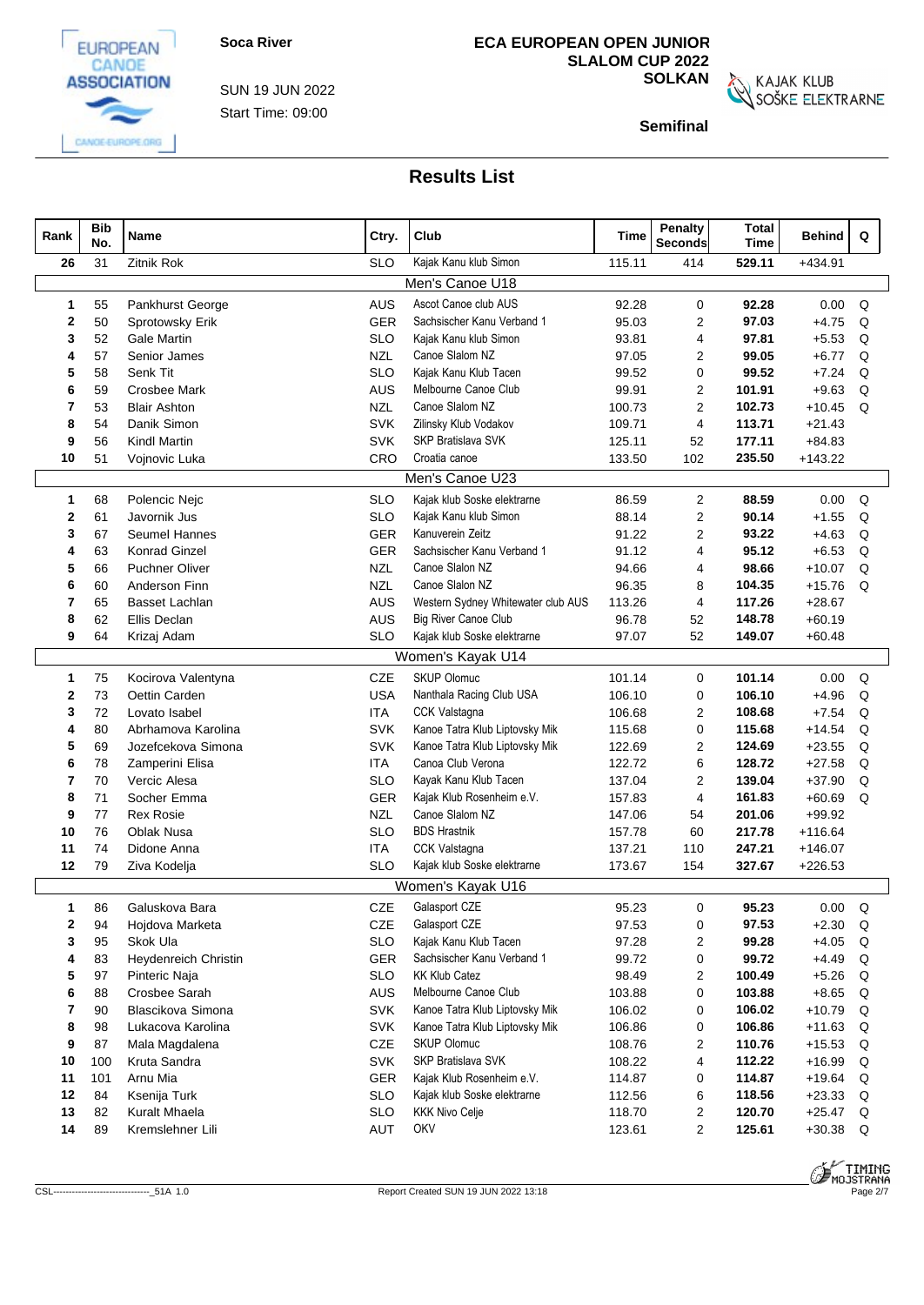

CANGE-EUROPE.ORG

Start Time: 09:00 SUN 19 JUN 2022 **ECA EUROPEAN OPEN JUNIOR SLALOM CUP 2022**

**SOLKAN**<br>SOŠKE ELEKTRARNE

**Semifinal**

| Rank     | <b>Bib</b><br>No. | Name                              | Ctry.             | Club                               | Time             | Penalty<br><b>Seconds</b>        | <b>Total</b><br>Time | Behind                 | Q           |  |
|----------|-------------------|-----------------------------------|-------------------|------------------------------------|------------------|----------------------------------|----------------------|------------------------|-------------|--|
| 26       | 31                | <b>Zitnik Rok</b>                 | <b>SLO</b>        | Kajak Kanu klub Simon              | 115.11           | 414                              | 529.11               | +434.91                |             |  |
|          |                   |                                   |                   | Men's Canoe U18                    |                  |                                  |                      |                        |             |  |
| 1        | 55                | Pankhurst George                  | <b>AUS</b>        | Ascot Canoe club AUS               | 92.28            | 0                                | 92.28                | 0.00                   | Q           |  |
| 2        | 50                | Sprotowsky Erik                   | GER               | Sachsischer Kanu Verband 1         | 95.03            | 2                                | 97.03                | $+4.75$                | Q           |  |
| 3        | 52                | <b>Gale Martin</b>                | <b>SLO</b>        | Kajak Kanu klub Simon              | 93.81            | 4                                | 97.81                | $+5.53$                | Q           |  |
| 4        | 57                | Senior James                      | <b>NZL</b>        | Canoe Slalom NZ                    | 97.05            | $\overline{c}$                   | 99.05                | $+6.77$                | Q           |  |
| 5        | 58                | Senk Tit                          | <b>SLO</b>        | Kajak Kanu Klub Tacen              | 99.52            | 0                                | 99.52                | $+7.24$                | Q           |  |
| 6        | 59                | <b>Crosbee Mark</b>               | <b>AUS</b>        | Melbourne Canoe Club               | 99.91            | 2                                | 101.91               | $+9.63$                | Q           |  |
| 7        | 53                | <b>Blair Ashton</b>               | <b>NZL</b>        | Canoe Slalom NZ                    | 100.73           | 2                                | 102.73               | $+10.45$               | Q           |  |
| 8        | 54                | Danik Simon                       | <b>SVK</b>        | Zilinsky Klub Vodakov              | 109.71           | 4                                | 113.71               | $+21.43$               |             |  |
| 9        | 56                | <b>Kindl Martin</b>               | <b>SVK</b>        | SKP Bratislava SVK                 | 125.11           | 52                               | 177.11               | $+84.83$               |             |  |
| 10       | 51                | Vojnovic Luka                     | CRO               | Croatia canoe                      | 133.50           | 102                              | 235.50               | $+143.22$              |             |  |
|          |                   |                                   |                   | Men's Canoe U23                    |                  |                                  |                      |                        |             |  |
| 1        | 68                | Polencic Nejc                     | <b>SLO</b>        | Kajak klub Soske elektrarne        | 86.59            | $\overline{2}$                   | 88.59                | 0.00                   | Q           |  |
| 2        | 61                | Javornik Jus                      | <b>SLO</b>        | Kajak Kanu klub Simon              | 88.14            | $\overline{2}$                   | 90.14                | $+1.55$                | Q           |  |
| 3        | 67                | <b>Seumel Hannes</b>              | GER               | Kanuverein Zeitz                   | 91.22            | 2                                | 93.22                | $+4.63$                | Q           |  |
| 4        | 63                | <b>Konrad Ginzel</b>              | GER               | Sachsischer Kanu Verband 1         | 91.12            | 4                                | 95.12                | $+6.53$                | Q           |  |
| 5        | 66                | <b>Puchner Oliver</b>             | <b>NZL</b>        | Canoe Slalon NZ                    | 94.66            | 4                                | 98.66                | $+10.07$               | Q           |  |
| 6        | 60                | Anderson Finn                     | <b>NZL</b>        | Canoe Slalon NZ                    | 96.35            | 8                                | 104.35               | $+15.76$               | Q           |  |
| 7        | 65                | <b>Basset Lachlan</b>             | AUS               | Western Sydney Whitewater club AUS | 113.26           | 4                                | 117.26               | $+28.67$               |             |  |
| 8        | 62                | <b>Ellis Declan</b>               | AUS               | <b>Big River Canoe Club</b>        | 96.78            | 52                               | 148.78               | $+60.19$               |             |  |
| 9        | 64                | Krizaj Adam                       | <b>SLO</b>        | Kajak klub Soske elektrarne        | 97.07            | 52                               | 149.07               | $+60.48$               |             |  |
|          |                   |                                   |                   | Women's Kayak U14                  |                  |                                  |                      |                        |             |  |
| 1        | 75                | Kocirova Valentyna                | CZE               | <b>SKUP Olomuc</b>                 | 101.14           | 0                                | 101.14               | 0.00                   | Q           |  |
| 2        | 73                | Oettin Carden                     | <b>USA</b>        | Nanthala Racing Club USA           | 106.10           | $\mathbf 0$                      | 106.10               | $+4.96$                | Q           |  |
| 3        | 72                | Lovato Isabel                     | <b>ITA</b>        | CCK Valstagna                      | 106.68           | 2                                | 108.68               | $+7.54$                | Q           |  |
| 4        | 80                | Abrhamova Karolina                | <b>SVK</b>        | Kanoe Tatra Klub Liptovsky Mik     | 115.68           | 0                                | 115.68               | $+14.54$               | Q           |  |
| 5        | 69                | Jozefcekova Simona                | <b>SVK</b>        | Kanoe Tatra Klub Liptovsky Mik     | 122.69           | $\overline{c}$                   | 124.69               | $+23.55$               | Q           |  |
| 6        | 78                | Zamperini Elisa                   | <b>ITA</b>        | Canoa Club Verona                  | 122.72           | 6                                | 128.72               | $+27.58$               | Q           |  |
| 7        | 70                | Vercic Alesa                      | <b>SLO</b>        | Kayak Kanu Klub Tacen              | 137.04           | 2                                | 139.04               | $+37.90$               | Q           |  |
| 8        | 71                | Socher Emma                       | GER               | Kajak Klub Rosenheim e.V.          | 157.83           | 4                                | 161.83               | $+60.69$               | Q           |  |
| 9        | 77                | <b>Rex Rosie</b>                  | <b>NZL</b>        | Canoe Slalom NZ                    | 147.06           | 54                               | 201.06               | $+99.92$               |             |  |
| 10       | 76                | <b>Oblak Nusa</b>                 | <b>SLO</b>        | <b>BDS Hrastnik</b>                | 157.78           | 60                               | 217.78               | $+116.64$              |             |  |
| 11       | 74                | Didone Anna                       | <b>ITA</b>        | CCK Valstagna                      | 137.21           | 110                              | 247.21               | $+146.07$              |             |  |
| 12       | 79                | Ziva Kodelja                      | <b>SLO</b>        | Kajak klub Soske elektrarne        | 173.67           | 154                              | 327.67               | $+226.53$              |             |  |
|          |                   |                                   |                   | Women's Kayak U16                  |                  |                                  |                      |                        |             |  |
| 1        | 86                | Galuskova Bara                    | CZE               | Galasport CZE                      | 95.23            | 0                                | 95.23                | 0.00                   | Q           |  |
| 2        | 94                | Hojdova Marketa                   | CZE               | Galasport CZE                      | 97.53            | 0                                | 97.53                | $+2.30$                | $\mathsf Q$ |  |
| 3        | 95                | Skok Ula                          | <b>SLO</b>        | Kajak Kanu Klub Tacen              | 97.28            | $\overline{2}$                   | 99.28                | $+4.05$                | Q           |  |
| 4        | 83                | Heydenreich Christin              | GER               | Sachsischer Kanu Verband 1         | 99.72            | 0                                | 99.72                | $+4.49$                | Q           |  |
| 5        | 97                | Pinteric Naja                     | <b>SLO</b>        | <b>KK Klub Catez</b>               | 98.49            | 2                                | 100.49               | $+5.26$                | Q           |  |
| 6        | 88                | Crosbee Sarah                     | AUS               | Melbourne Canoe Club               | 103.88           | 0                                | 103.88               | $+8.65$                | Q           |  |
| 7        | 90                | Blascikova Simona                 | <b>SVK</b>        | Kanoe Tatra Klub Liptovsky Mik     | 106.02           | 0                                | 106.02               | $+10.79$               | Q           |  |
| 8        | 98                | Lukacova Karolina                 | <b>SVK</b>        | Kanoe Tatra Klub Liptovsky Mik     | 106.86           | 0                                | 106.86               | $+11.63$               | Q           |  |
| 9        | 87                | Mala Magdalena                    | CZE               | <b>SKUP Olomuc</b>                 | 108.76           | $\overline{2}$                   | 110.76               | $+15.53$               | Q           |  |
| 10       | 100               | Kruta Sandra                      | <b>SVK</b>        | SKP Bratislava SVK                 | 108.22           | 4                                | 112.22               | $+16.99$               | Q           |  |
| 11       | 101               | Arnu Mia                          | <b>GER</b>        | Kajak Klub Rosenheim e.V.          | 114.87           | 0                                | 114.87               | $+19.64$               | Q           |  |
| 12       | 84                | Ksenija Turk                      | <b>SLO</b>        | Kajak klub Soske elektrarne        | 112.56           | 6                                | 118.56               | $+23.33$               | Q           |  |
| 13<br>14 | 82<br>89          | Kuralt Mhaela<br>Kremslehner Lili | <b>SLO</b><br>AUT | <b>KKK Nivo Celje</b><br>OKV       | 118.70<br>123.61 | $\overline{2}$<br>$\overline{2}$ | 120.70<br>125.61     | $+25.47$<br>$+30.38$ Q | Q           |  |
|          |                   |                                   |                   |                                    |                  |                                  |                      |                        |             |  |



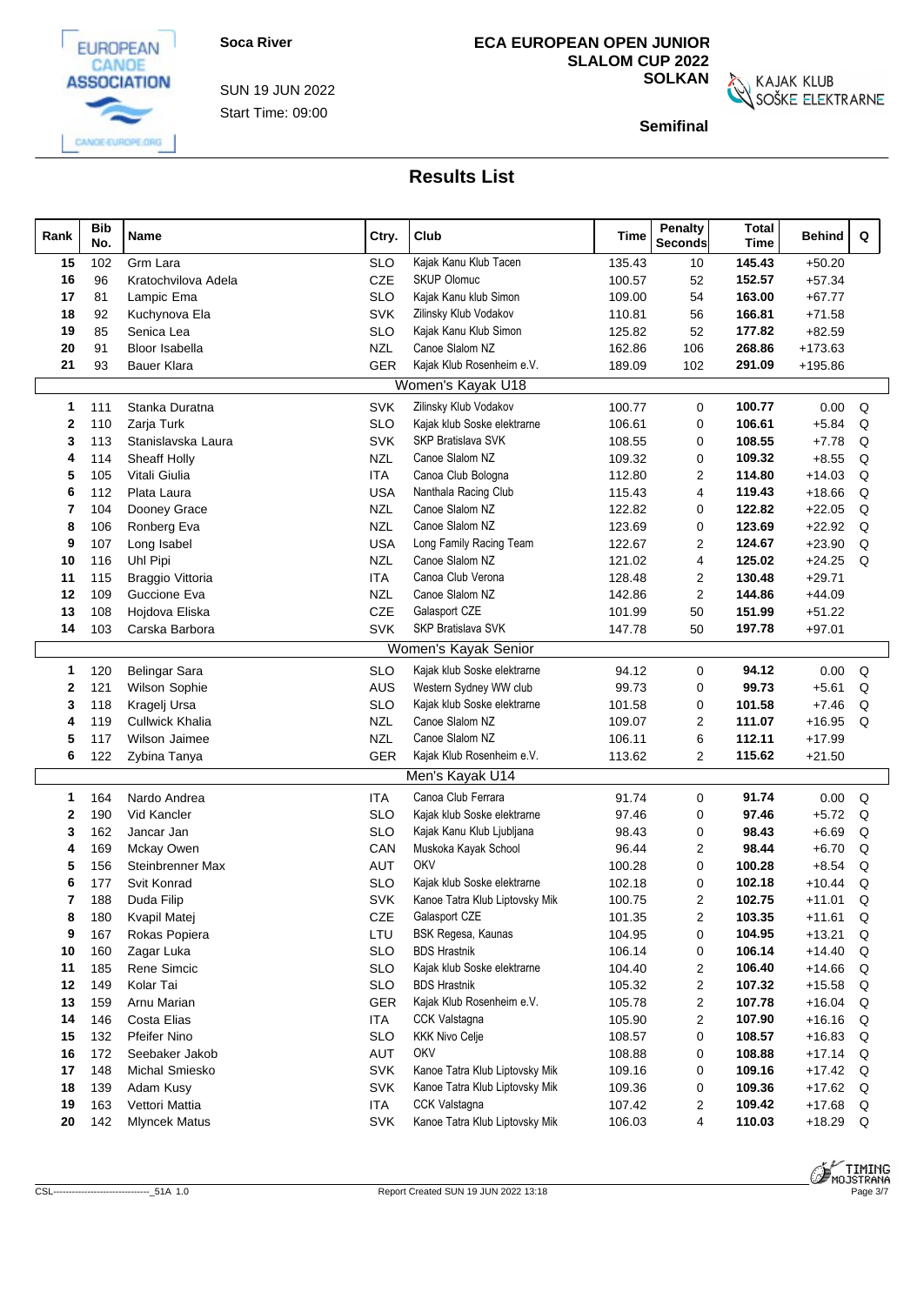EUROPEAN CANOE **ASSOCIATION** 

CANGE-EUROPE.ORG



## **ECA EUROPEAN OPEN JUNIOR SLALOM CUP 2022**

**SOLKAN**<br>SOŠKE ELEKTRARNE

**Semifinal**

| Rank | <b>Bib</b><br>No. | Name                   | Ctry.      | Club                           | Time   | Penalty<br><b>Seconds</b> | <b>Total</b><br><b>Time</b> | <b>Behind</b> | Q |  |
|------|-------------------|------------------------|------------|--------------------------------|--------|---------------------------|-----------------------------|---------------|---|--|
| 15   | 102               | Grm Lara               | <b>SLO</b> | Kajak Kanu Klub Tacen          | 135.43 | 10                        | 145.43                      | $+50.20$      |   |  |
| 16   | 96                | Kratochvilova Adela    | CZE        | <b>SKUP Olomuc</b>             | 100.57 | 52                        | 152.57                      | $+57.34$      |   |  |
| 17   | 81                | Lampic Ema             | <b>SLO</b> | Kajak Kanu klub Simon          | 109.00 | 54                        | 163.00                      | $+67.77$      |   |  |
| 18   | 92                | Kuchynova Ela          | <b>SVK</b> | Zilinsky Klub Vodakov          | 110.81 | 56                        | 166.81                      | $+71.58$      |   |  |
| 19   | 85                | Senica Lea             | <b>SLO</b> | Kajak Kanu Klub Simon          | 125.82 | 52                        | 177.82                      | $+82.59$      |   |  |
| 20   | 91                | <b>Bloor Isabella</b>  | <b>NZL</b> | Canoe Slalom NZ                | 162.86 | 106                       | 268.86                      | $+173.63$     |   |  |
| 21   | 93                | <b>Bauer Klara</b>     | <b>GER</b> | Kajak Klub Rosenheim e.V.      | 189.09 | 102                       | 291.09                      | $+195.86$     |   |  |
|      |                   |                        |            | Women's Kayak U18              |        |                           |                             |               |   |  |
| 1    | 111               | Stanka Duratna         | <b>SVK</b> | Zilinsky Klub Vodakov          | 100.77 | 0                         | 100.77                      | 0.00          | Q |  |
| 2    | 110               | Zarja Turk             | <b>SLO</b> | Kajak klub Soske elektrarne    | 106.61 | $\mathbf 0$               | 106.61                      | $+5.84$       | Q |  |
| 3    | 113               | Stanislavska Laura     | <b>SVK</b> | <b>SKP Bratislava SVK</b>      | 108.55 | $\mathbf 0$               | 108.55                      | $+7.78$       | Q |  |
| 4    | 114               | Sheaff Holly           | <b>NZL</b> | Canoe Slalom NZ                | 109.32 | $\mathbf 0$               | 109.32                      | $+8.55$       | Q |  |
| 5    | 105               | Vitali Giulia          | <b>ITA</b> | Canoa Club Bologna             | 112.80 | 2                         | 114.80                      | $+14.03$      | Q |  |
| 6    | 112               | Plata Laura            | <b>USA</b> | Nanthala Racing Club           | 115.43 | 4                         | 119.43                      | $+18.66$      | Q |  |
| 7    | 104               | Dooney Grace           | <b>NZL</b> | Canoe Slalom NZ                | 122.82 | $\mathbf 0$               | 122.82                      | $+22.05$      | Q |  |
| 8    | 106               | Ronberg Eva            | <b>NZL</b> | Canoe Slalom NZ                | 123.69 | $\mathbf 0$               | 123.69                      | $+22.92$      | Q |  |
| 9    | 107               | Long Isabel            | <b>USA</b> | Long Family Racing Team        | 122.67 | $\overline{2}$            | 124.67                      | $+23.90$      | Q |  |
| 10   | 116               | Uhl Pipi               | <b>NZL</b> | Canoe Slalom NZ                | 121.02 | 4                         | 125.02                      | $+24.25$      | Q |  |
| 11   | 115               | Braggio Vittoria       | <b>ITA</b> | Canoa Club Verona              | 128.48 | 2                         | 130.48                      | $+29.71$      |   |  |
| 12   | 109               | Guccione Eva           | <b>NZL</b> | Canoe Slalom NZ                | 142.86 | $\overline{2}$            | 144.86                      | $+44.09$      |   |  |
| 13   | 108               | Hojdova Eliska         | CZE        | Galasport CZE                  | 101.99 | 50                        | 151.99                      | $+51.22$      |   |  |
| 14   | 103               | Carska Barbora         | SVK        | SKP Bratislava SVK             | 147.78 | 50                        | 197.78                      | $+97.01$      |   |  |
|      |                   |                        |            | Women's Kayak Senior           |        |                           |                             |               |   |  |
| 1    | 120               | <b>Belingar Sara</b>   | <b>SLO</b> | Kajak klub Soske elektrarne    | 94.12  | $\mathbf 0$               | 94.12                       | 0.00          | Q |  |
| 2    | 121               | Wilson Sophie          | <b>AUS</b> | Western Sydney WW club         | 99.73  | $\mathbf 0$               | 99.73                       | $+5.61$       | Q |  |
| 3    | 118               | Kragelj Ursa           | <b>SLO</b> | Kajak klub Soske elektrarne    | 101.58 | $\mathbf 0$               | 101.58                      | $+7.46$       | Q |  |
| 4    | 119               | <b>Cullwick Khalia</b> | <b>NZL</b> | Canoe Slalom NZ                | 109.07 | 2                         | 111.07                      | $+16.95$      | Q |  |
| 5    | 117               | Wilson Jaimee          | <b>NZL</b> | Canoe Slalom NZ                | 106.11 | 6                         | 112.11                      | $+17.99$      |   |  |
| 6    | 122               | Zybina Tanya           | GER        | Kajak Klub Rosenheim e.V.      | 113.62 | $\overline{2}$            | 115.62                      | $+21.50$      |   |  |
|      |                   |                        |            | Men's Kayak U14                |        |                           |                             |               |   |  |
| 1    | 164               | Nardo Andrea           | <b>ITA</b> | Canoa Club Ferrara             | 91.74  | 0                         | 91.74                       | 0.00          | Q |  |
| 2    | 190               | Vid Kancler            | <b>SLO</b> | Kajak klub Soske elektrarne    | 97.46  | $\mathbf 0$               | 97.46                       | $+5.72$       | Q |  |
| 3    | 162               | Jancar Jan             | <b>SLO</b> | Kajak Kanu Klub Ljubljana      | 98.43  | $\mathbf 0$               | 98.43                       | $+6.69$       | Q |  |
| 4    | 169               | Mckay Owen             | CAN        | Muskoka Kayak School           | 96.44  | 2                         | 98.44                       | $+6.70$       | Q |  |
| 5    | 156               | Steinbrenner Max       | AUT        | OKV                            | 100.28 | $\mathbf 0$               | 100.28                      | $+8.54$       | Q |  |
| 6    | 177               | Svit Konrad            | <b>SLO</b> | Kajak klub Soske elektrarne    | 102.18 | $\mathbf 0$               | 102.18                      | $+10.44$      | Q |  |
| 7    | 188               | Duda Filip             | <b>SVK</b> | Kanoe Tatra Klub Liptovsky Mik | 100.75 | $\overline{2}$            | 102.75                      | $+11.01$      | Q |  |
| 8    | 180               | Kvapil Matej           | CZE        | Galasport CZE                  | 101.35 | $\overline{2}$            | 103.35                      | $+11.61$      | Q |  |
| 9    | 167               | Rokas Popiera          | LTU        | BSK Regesa, Kaunas             | 104.95 | 0                         | 104.95                      | $+13.21$      | Q |  |
| 10   | 160               | Zagar Luka             | <b>SLO</b> | <b>BDS Hrastnik</b>            | 106.14 | 0                         | 106.14                      | $+14.40$      | Q |  |
| 11   | 185               | Rene Simcic            | <b>SLO</b> | Kajak klub Soske elektrarne    | 104.40 | $\overline{2}$            | 106.40                      | $+14.66$      | Q |  |
| 12   | 149               | Kolar Tai              | <b>SLO</b> | <b>BDS Hrastnik</b>            | 105.32 | $\overline{2}$            | 107.32                      | $+15.58$      | Q |  |
| 13   | 159               | Arnu Marian            | <b>GER</b> | Kajak Klub Rosenheim e.V.      | 105.78 | $\overline{2}$            | 107.78                      | $+16.04$      | Q |  |
| 14   | 146               | Costa Elias            | <b>ITA</b> | CCK Valstagna                  | 105.90 | 2                         | 107.90                      | $+16.16$      | Q |  |
| 15   | 132               | <b>Pfeifer Nino</b>    | <b>SLO</b> | <b>KKK Nivo Celje</b>          | 108.57 | 0                         | 108.57                      | $+16.83$      | Q |  |
| 16   | 172               | Seebaker Jakob         | AUT        | OKV                            | 108.88 | 0                         | 108.88                      | $+17.14$ Q    |   |  |
| 17   | 148               | Michal Smiesko         | <b>SVK</b> | Kanoe Tatra Klub Liptovsky Mik | 109.16 | 0                         | 109.16                      | $+17.42$      | Q |  |
| 18   | 139               | Adam Kusy              | <b>SVK</b> | Kanoe Tatra Klub Liptovsky Mik | 109.36 | 0                         | 109.36                      | $+17.62$ Q    |   |  |
| 19   | 163               | Vettori Mattia         | <b>ITA</b> | CCK Valstagna                  | 107.42 | $\overline{2}$            | 109.42                      | $+17.68$      | Q |  |
| 20   | 142               | <b>Mlyncek Matus</b>   | <b>SVK</b> | Kanoe Tatra Klub Liptovsky Mik | 106.03 | 4                         | 110.03                      | $+18.29$      | Q |  |

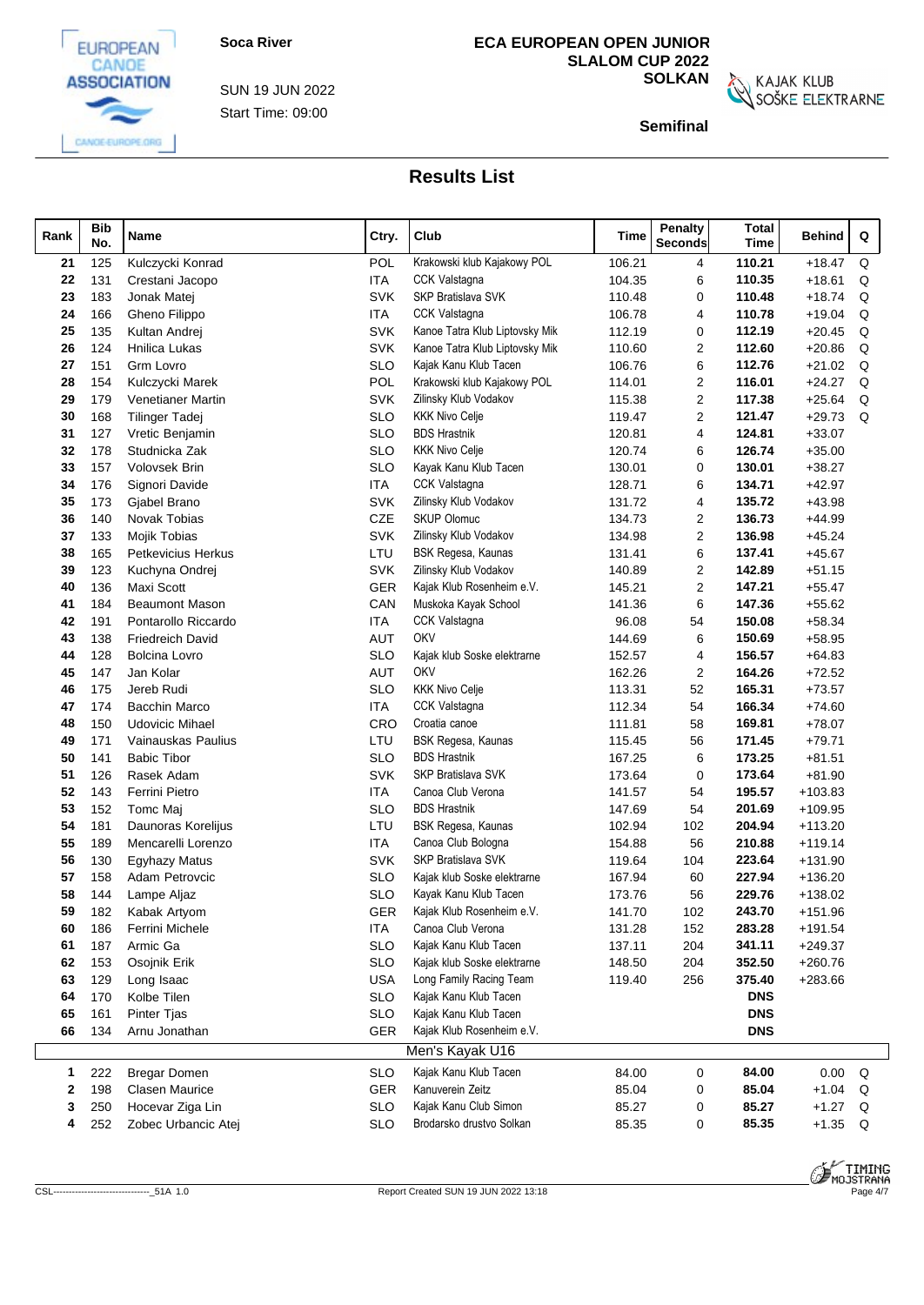

Start Time: 09:00 SUN 19 JUN 2022

# **ECA EUROPEAN OPEN JUNIOR SLALOM CUP 2022**

**SOLKAN**<br>SOŠKE ELEKTRARNE

**Semifinal**

| Rank         | <b>Bib</b><br>No. | Name                    | Ctry.      | Club                           | <b>Time</b> | Penalty<br>Seconds | <b>Total</b><br><b>Time</b> | Behind    | Q |  |
|--------------|-------------------|-------------------------|------------|--------------------------------|-------------|--------------------|-----------------------------|-----------|---|--|
| 21           | 125               | Kulczycki Konrad        | <b>POL</b> | Krakowski klub Kajakowy POL    | 106.21      | 4                  | 110.21                      | $+18.47$  | Q |  |
| 22           | 131               | Crestani Jacopo         | <b>ITA</b> | <b>CCK Valstagna</b>           | 104.35      | 6                  | 110.35                      | $+18.61$  | Q |  |
| 23           | 183               | Jonak Matej             | <b>SVK</b> | <b>SKP Bratislava SVK</b>      | 110.48      | 0                  | 110.48                      | $+18.74$  | Q |  |
| 24           | 166               | Gheno Filippo           | <b>ITA</b> | <b>CCK Valstagna</b>           | 106.78      | 4                  | 110.78                      | $+19.04$  | Q |  |
| 25           | 135               | Kultan Andrei           | <b>SVK</b> | Kanoe Tatra Klub Liptovsky Mik | 112.19      | 0                  | 112.19                      | $+20.45$  | Q |  |
| 26           | 124               | Hnilica Lukas           | <b>SVK</b> | Kanoe Tatra Klub Liptovsky Mik | 110.60      | 2                  | 112.60                      | $+20.86$  | Q |  |
| 27           | 151               | Grm Lovro               | <b>SLO</b> | Kajak Kanu Klub Tacen          | 106.76      | 6                  | 112.76                      | $+21.02$  | Q |  |
| 28           | 154               | Kulczycki Marek         | POL        | Krakowski klub Kajakowy POL    | 114.01      | 2                  | 116.01                      | $+24.27$  | Q |  |
| 29           | 179               | Venetianer Martin       | <b>SVK</b> | Zilinsky Klub Vodakov          | 115.38      | 2                  | 117.38                      | $+25.64$  | Q |  |
| 30           | 168               | <b>Tilinger Tadej</b>   | <b>SLO</b> | <b>KKK Nivo Celje</b>          | 119.47      | 2                  | 121.47                      | $+29.73$  | Q |  |
| 31           | 127               | Vretic Benjamin         | <b>SLO</b> | <b>BDS Hrastnik</b>            | 120.81      | 4                  | 124.81                      | $+33.07$  |   |  |
| 32           | 178               | Studnicka Zak           | <b>SLO</b> | <b>KKK Nivo Celje</b>          | 120.74      | 6                  | 126.74                      | $+35.00$  |   |  |
| 33           | 157               | Volovsek Brin           | <b>SLO</b> | Kayak Kanu Klub Tacen          | 130.01      | 0                  | 130.01                      | $+38.27$  |   |  |
| 34           | 176               | Signori Davide          | <b>ITA</b> | <b>CCK Valstagna</b>           | 128.71      | 6                  | 134.71                      | $+42.97$  |   |  |
| 35           | 173               | Gjabel Brano            | <b>SVK</b> | Zilinsky Klub Vodakov          | 131.72      | 4                  | 135.72                      | $+43.98$  |   |  |
| 36           | 140               | Novak Tobias            | <b>CZE</b> | <b>SKUP Olomuc</b>             | 134.73      | 2                  | 136.73                      | $+44.99$  |   |  |
| 37           | 133               | Mojik Tobias            | <b>SVK</b> | Zilinsky Klub Vodakov          | 134.98      | $\overline{2}$     | 136.98                      | $+45.24$  |   |  |
| 38           | 165               | Petkevicius Herkus      | LTU        | BSK Regesa, Kaunas             | 131.41      | 6                  | 137.41                      | $+45.67$  |   |  |
| 39           | 123               | Kuchyna Ondrej          | <b>SVK</b> | Zilinsky Klub Vodakov          | 140.89      | 2                  | 142.89                      | $+51.15$  |   |  |
| 40           | 136               | <b>Maxi Scott</b>       | GER        | Kajak Klub Rosenheim e.V.      | 145.21      | $\overline{2}$     | 147.21                      | $+55.47$  |   |  |
| 41           | 184               | <b>Beaumont Mason</b>   | CAN        | Muskoka Kayak School           | 141.36      | 6                  | 147.36                      | $+55.62$  |   |  |
| 42           | 191               | Pontarollo Riccardo     | <b>ITA</b> | <b>CCK Valstagna</b>           | 96.08       | 54                 | 150.08                      | $+58.34$  |   |  |
| 43           | 138               | <b>Friedreich David</b> | <b>AUT</b> | <b>OKV</b>                     | 144.69      | 6                  | 150.69                      | $+58.95$  |   |  |
| 44           | 128               | <b>Bolcina Lovro</b>    | <b>SLO</b> | Kajak klub Soske elektrarne    | 152.57      | 4                  | 156.57                      | $+64.83$  |   |  |
| 45           | 147               | Jan Kolar               | <b>AUT</b> | <b>OKV</b>                     | 162.26      | $\overline{c}$     | 164.26                      | $+72.52$  |   |  |
| 46           | 175               | Jereb Rudi              | <b>SLO</b> | <b>KKK Nivo Celje</b>          | 113.31      | 52                 | 165.31                      | $+73.57$  |   |  |
| 47           | 174               | Bacchin Marco           | <b>ITA</b> | <b>CCK Valstagna</b>           | 112.34      | 54                 | 166.34                      | $+74.60$  |   |  |
| 48           | 150               | <b>Udovicic Mihael</b>  | CRO        | Croatia canoe                  | 111.81      | 58                 | 169.81                      | $+78.07$  |   |  |
| 49           | 171               | Vainauskas Paulius      | LTU        | BSK Regesa, Kaunas             | 115.45      | 56                 | 171.45                      | $+79.71$  |   |  |
| 50           | 141               | <b>Babic Tibor</b>      | <b>SLO</b> | <b>BDS Hrastnik</b>            | 167.25      | 6                  | 173.25                      | $+81.51$  |   |  |
| 51           | 126               | Rasek Adam              | <b>SVK</b> | SKP Bratislava SVK             | 173.64      | 0                  | 173.64                      | $+81.90$  |   |  |
| 52           | 143               | Ferrini Pietro          | <b>ITA</b> | Canoa Club Verona              | 141.57      | 54                 | 195.57                      | $+103.83$ |   |  |
| 53           | 152               | Tomc Maj                | <b>SLO</b> | <b>BDS Hrastnik</b>            | 147.69      | 54                 | 201.69                      | $+109.95$ |   |  |
| 54           | 181               | Daunoras Korelijus      | LTU        | BSK Regesa, Kaunas             | 102.94      | 102                | 204.94                      | $+113.20$ |   |  |
| 55           | 189               | Mencarelli Lorenzo      | ITA        | Canoa Club Bologna             | 154.88      | 56                 | 210.88                      | $+119.14$ |   |  |
| 56           | 130               | <b>Egyhazy Matus</b>    | <b>SVK</b> | <b>SKP Bratislava SVK</b>      | 119.64      | 104                | 223.64                      | $+131.90$ |   |  |
| 57           | 158               | Adam Petrovcic          | <b>SLO</b> | Kajak klub Soske elektrarne    | 167.94      | 60                 | 227.94                      | $+136.20$ |   |  |
| 58           | 144               | Lampe Aljaz             | <b>SLO</b> | Kayak Kanu Klub Tacen          | 173.76      | 56                 | 229.76                      | $+138.02$ |   |  |
| 59           | 182               | Kabak Artyom            | GER        | Kajak Klub Rosenheim e.V.      | 141.70      | 102                | 243.70                      | $+151.96$ |   |  |
| 60           | 186               | Ferrini Michele         | ITA        | Canoa Club Verona              | 131.28      | 152                | 283.28                      | $+191.54$ |   |  |
| 61           | 187               | Armic Ga                | <b>SLO</b> | Kajak Kanu Klub Tacen          | 137.11      | 204                | 341.11                      | $+249.37$ |   |  |
| 62           | 153               | Osojnik Erik            | <b>SLO</b> | Kajak klub Soske elektrarne    | 148.50      | 204                | 352.50                      | $+260.76$ |   |  |
| 63           | 129               | Long Isaac              | <b>USA</b> | Long Family Racing Team        | 119.40      | 256                | 375.40                      | $+283.66$ |   |  |
| 64           | 170               | Kolbe Tilen             | <b>SLO</b> | Kajak Kanu Klub Tacen          |             |                    | <b>DNS</b>                  |           |   |  |
| 65           | 161               | Pinter Tjas             | <b>SLO</b> | Kajak Kanu Klub Tacen          |             |                    | <b>DNS</b>                  |           |   |  |
| 66           | 134               | Arnu Jonathan           | GER        | Kajak Klub Rosenheim e.V.      |             |                    | <b>DNS</b>                  |           |   |  |
|              |                   |                         |            | Men's Kayak U16                |             |                    |                             |           |   |  |
| $\mathbf{1}$ | 222               | <b>Bregar Domen</b>     | <b>SLO</b> | Kajak Kanu Klub Tacen          | 84.00       | 0                  | 84.00                       | 0.00      | Q |  |
| 2            | 198               | <b>Clasen Maurice</b>   | GER        | Kanuverein Zeitz               | 85.04       | 0                  | 85.04                       | $+1.04$   | Q |  |
| З            | 250               | Hocevar Ziga Lin        | <b>SLO</b> | Kajak Kanu Club Simon          | 85.27       | 0                  | 85.27                       | $+1.27$   | Q |  |
| 4            | 252               | Zobec Urbancic Atej     | SLO        | Brodarsko drustvo Solkan       | 85.35       | 0                  | 85.35                       | $+1.35$ Q |   |  |
|              |                   |                         |            |                                |             |                    |                             |           |   |  |



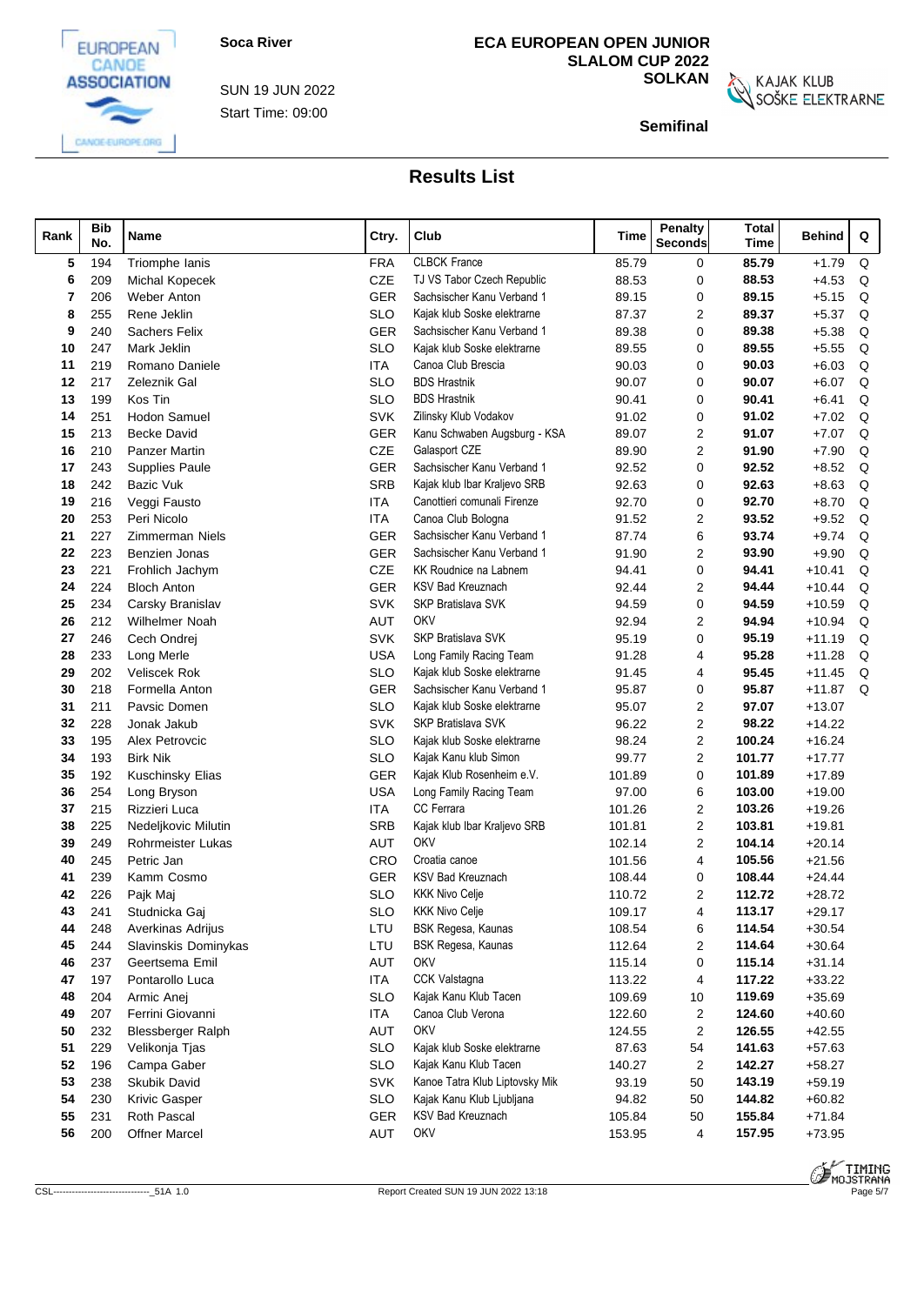



EUROPEAN

Start Time: 09:00 SUN 19 JUN 2022

## **ECA EUROPEAN OPEN JUNIOR SLALOM CUP 2022**

**SOLKAN**<br>SOŠKE ELEKTRARNE

**Semifinal**

| Rank     | <b>Bib</b><br>No. | Name                                      | Ctry.             | Club                           | Time             | <b>Penalty</b><br><b>Seconds</b> | <b>Total</b><br><b>Time</b> | Behind               | Q |  |
|----------|-------------------|-------------------------------------------|-------------------|--------------------------------|------------------|----------------------------------|-----------------------------|----------------------|---|--|
| 5        | 194               | Triomphe lanis                            | <b>FRA</b>        | <b>CLBCK France</b>            | 85.79            | 0                                | 85.79                       | $+1.79$              | Q |  |
| 6        | 209               | Michal Kopecek                            | CZE               | TJ VS Tabor Czech Republic     | 88.53            | 0                                | 88.53                       | $+4.53$              | Q |  |
|          | 206               | <b>Weber Anton</b>                        | <b>GER</b>        | Sachsischer Kanu Verband 1     | 89.15            | 0                                | 89.15                       | $+5.15$              | Q |  |
| 8        | 255               | Rene Jeklin                               | <b>SLO</b>        | Kajak klub Soske elektrarne    | 87.37            | $\overline{2}$                   | 89.37                       | $+5.37$              | Q |  |
| 9        | 240               | <b>Sachers Felix</b>                      | <b>GER</b>        | Sachsischer Kanu Verband 1     | 89.38            | $\Omega$                         | 89.38                       | $+5.38$              | Q |  |
| 10       | 247               | Mark Jeklin                               | <b>SLO</b>        | Kajak klub Soske elektrarne    | 89.55            | 0                                | 89.55                       | $+5.55$              | Q |  |
| 11       | 219               | Romano Daniele                            | ITA               | Canoa Club Brescia             | 90.03            | 0                                | 90.03                       | $+6.03$              | Q |  |
| 12       | 217               | Zeleznik Gal                              | <b>SLO</b>        | <b>BDS Hrastnik</b>            | 90.07            | 0                                | 90.07                       | $+6.07$              | Q |  |
| 13       | 199               | Kos Tin                                   | <b>SLO</b>        | <b>BDS Hrastnik</b>            | 90.41            | 0                                | 90.41                       | $+6.41$              | Q |  |
| 14       | 251               | <b>Hodon Samuel</b>                       | <b>SVK</b>        | Zilinsky Klub Vodakov          | 91.02            | 0                                | 91.02                       | $+7.02$              | Q |  |
| 15       | 213               | Becke David                               | GER               | Kanu Schwaben Augsburg - KSA   | 89.07            | 2                                | 91.07                       | $+7.07$              | Q |  |
| 16       | 210               | <b>Panzer Martin</b>                      | CZE               | Galasport CZE                  | 89.90            | 2                                | 91.90                       | $+7.90$              | Q |  |
| 17       | 243               | <b>Supplies Paule</b>                     | <b>GER</b>        | Sachsischer Kanu Verband 1     | 92.52            | 0                                | 92.52                       | $+8.52$              | Q |  |
| 18       | 242               | Bazic Vuk                                 | <b>SRB</b>        | Kajak klub Ibar Kraljevo SRB   | 92.63            | 0                                | 92.63                       | $+8.63$              | Q |  |
| 19       | 216               | Veggi Fausto                              | <b>ITA</b>        | Canottieri comunali Firenze    | 92.70            | 0                                | 92.70                       | $+8.70$              | Q |  |
| 20       | 253               | Peri Nicolo                               | ITA               | Canoa Club Bologna             | 91.52            | 2                                | 93.52                       | $+9.52$              | Q |  |
| 21       | 227               | <b>Zimmerman Niels</b>                    | <b>GER</b>        | Sachsischer Kanu Verband 1     | 87.74            | 6                                | 93.74                       | $+9.74$              | Q |  |
| 22       | 223               | Benzien Jonas                             | GER               | Sachsischer Kanu Verband 1     | 91.90            | 2                                | 93.90                       | $+9.90$              | Q |  |
| 23       | 221               | Frohlich Jachym                           | CZE               | KK Roudnice na Labnem          | 94.41            | 0                                | 94.41                       | $+10.41$             | Q |  |
| 24       | 224               | <b>Bloch Anton</b>                        | <b>GER</b>        | <b>KSV Bad Kreuznach</b>       | 92.44            | $\overline{2}$                   | 94.44                       | $+10.44$             | Q |  |
| 25       | 234               | Carsky Branislav                          | <b>SVK</b>        | <b>SKP Bratislava SVK</b>      | 94.59            | $\Omega$                         | 94.59                       | $+10.59$             | Q |  |
| 26       | 212               | Wilhelmer Noah                            | <b>AUT</b>        | OKV                            | 92.94            | 2                                | 94.94                       | $+10.94$             | Q |  |
| 27       | 246               | Cech Ondrei                               | <b>SVK</b>        | <b>SKP Bratislava SVK</b>      | 95.19            | $\Omega$                         | 95.19                       | $+11.19$             | Q |  |
| 28       | 233               | Long Merle                                | <b>USA</b>        | Long Family Racing Team        | 91.28            | 4                                | 95.28                       | $+11.28$             | Q |  |
| 29       | 202               | Veliscek Rok                              | <b>SLO</b>        | Kajak klub Soske elektrarne    | 91.45            | 4                                | 95.45                       | $+11.45$             | Q |  |
| 30       | 218               | Formella Anton                            | <b>GER</b>        | Sachsischer Kanu Verband 1     | 95.87            | 0                                | 95.87                       | $+11.87$             | Q |  |
| 31       | 211               | Pavsic Domen                              | <b>SLO</b>        | Kajak klub Soske elektrarne    | 95.07            | 2                                | 97.07                       | $+13.07$             |   |  |
| 32       | 228               | Jonak Jakub                               | <b>SVK</b>        | <b>SKP Bratislava SVK</b>      | 96.22            | $\overline{2}$                   | 98.22                       | $+14.22$             |   |  |
| 33       | 195               | Alex Petrovcic                            | <b>SLO</b>        | Kajak klub Soske elektrarne    | 98.24            | 2                                | 100.24                      | $+16.24$             |   |  |
| 34       | 193               | <b>Birk Nik</b>                           | <b>SLO</b>        | Kajak Kanu klub Simon          | 99.77            | 2                                | 101.77                      | $+17.77$             |   |  |
| 35       | 192               | Kuschinsky Elias                          | <b>GER</b>        | Kajak Klub Rosenheim e.V.      | 101.89           | 0                                | 101.89                      | $+17.89$             |   |  |
| 36       | 254               | Long Bryson                               | USA               | Long Family Racing Team        | 97.00            | 6                                | 103.00                      | $+19.00$             |   |  |
| 37       | 215               | Rizzieri Luca                             | ITA               | CC Ferrara                     | 101.26           | 2                                | 103.26                      | $+19.26$             |   |  |
| 38       | 225               | Nedeljkovic Milutin                       | <b>SRB</b>        | Kajak klub Ibar Kraljevo SRB   | 101.81           | 2                                | 103.81                      | $+19.81$             |   |  |
| 39       | 249               | <b>Rohrmeister Lukas</b>                  | <b>AUT</b>        | <b>OKV</b>                     | 102.14           | 2                                | 104.14                      | $+20.14$             |   |  |
| 40       | 245               | Petric Jan                                | CRO               | Croatia canoe                  | 101.56           | 4                                | 105.56                      | $+21.56$             |   |  |
| 41       | 239               | Kamm Cosmo                                | <b>GER</b>        | <b>KSV Bad Kreuznach</b>       | 108.44           | 0                                | 108.44                      | $+24.44$             |   |  |
| 42       | 226               | Pajk Maj                                  | <b>SLO</b>        | <b>KKK Nivo Celje</b>          | 110.72           | 2                                | 112.72                      | $+28.72$             |   |  |
| 43       | 241               | Studnicka Gaj                             | <b>SLO</b>        | <b>KKK Nivo Celje</b>          | 109.17           | 4                                | 113.17                      | $+29.17$             |   |  |
| 44       | 248               | Averkinas Adrijus<br>Slavinskis Dominykas | LTU               | BSK Regesa, Kaunas             | 108.54           | 6                                | 114.54<br>114.64            | $+30.54$             |   |  |
| 45<br>46 | 244<br>237        | Geertsema Emil                            | LTU<br><b>AUT</b> | BSK Regesa, Kaunas<br>OKV      | 112.64<br>115.14 | 2<br>0                           | 115.14                      | $+30.64$<br>$+31.14$ |   |  |
| 47       | 197               | Pontarollo Luca                           | ITA               | <b>CCK Valstagna</b>           | 113.22           | 4                                | 117.22                      | $+33.22$             |   |  |
| 48       | 204               | Armic Anej                                | <b>SLO</b>        | Kajak Kanu Klub Tacen          | 109.69           | 10                               | 119.69                      | $+35.69$             |   |  |
| 49       | 207               | Ferrini Giovanni                          | <b>ITA</b>        | Canoa Club Verona              | 122.60           | $\overline{2}$                   | 124.60                      | $+40.60$             |   |  |
| 50       | 232               | <b>Blessberger Ralph</b>                  | AUT               | OKV                            | 124.55           | 2                                | 126.55                      | $+42.55$             |   |  |
| 51       | 229               | Velikonja Tjas                            | <b>SLO</b>        | Kajak klub Soske elektrarne    | 87.63            | 54                               | 141.63                      | $+57.63$             |   |  |
| 52       | 196               | Campa Gaber                               | <b>SLO</b>        | Kajak Kanu Klub Tacen          | 140.27           | $\overline{2}$                   | 142.27                      | $+58.27$             |   |  |
| 53       | 238               | Skubik David                              | <b>SVK</b>        | Kanoe Tatra Klub Liptovsky Mik | 93.19            | 50                               | 143.19                      | $+59.19$             |   |  |
| 54       | 230               | <b>Krivic Gasper</b>                      | <b>SLO</b>        | Kajak Kanu Klub Ljubljana      | 94.82            | 50                               | 144.82                      | $+60.82$             |   |  |
| 55       | 231               | Roth Pascal                               | GER               | <b>KSV Bad Kreuznach</b>       | 105.84           | 50                               | 155.84                      | $+71.84$             |   |  |
| 56       | 200               | <b>Offner Marcel</b>                      | AUT               | OKV                            | 153.95           | 4                                | 157.95                      | $+73.95$             |   |  |
|          |                   |                                           |                   |                                |                  |                                  |                             |                      |   |  |



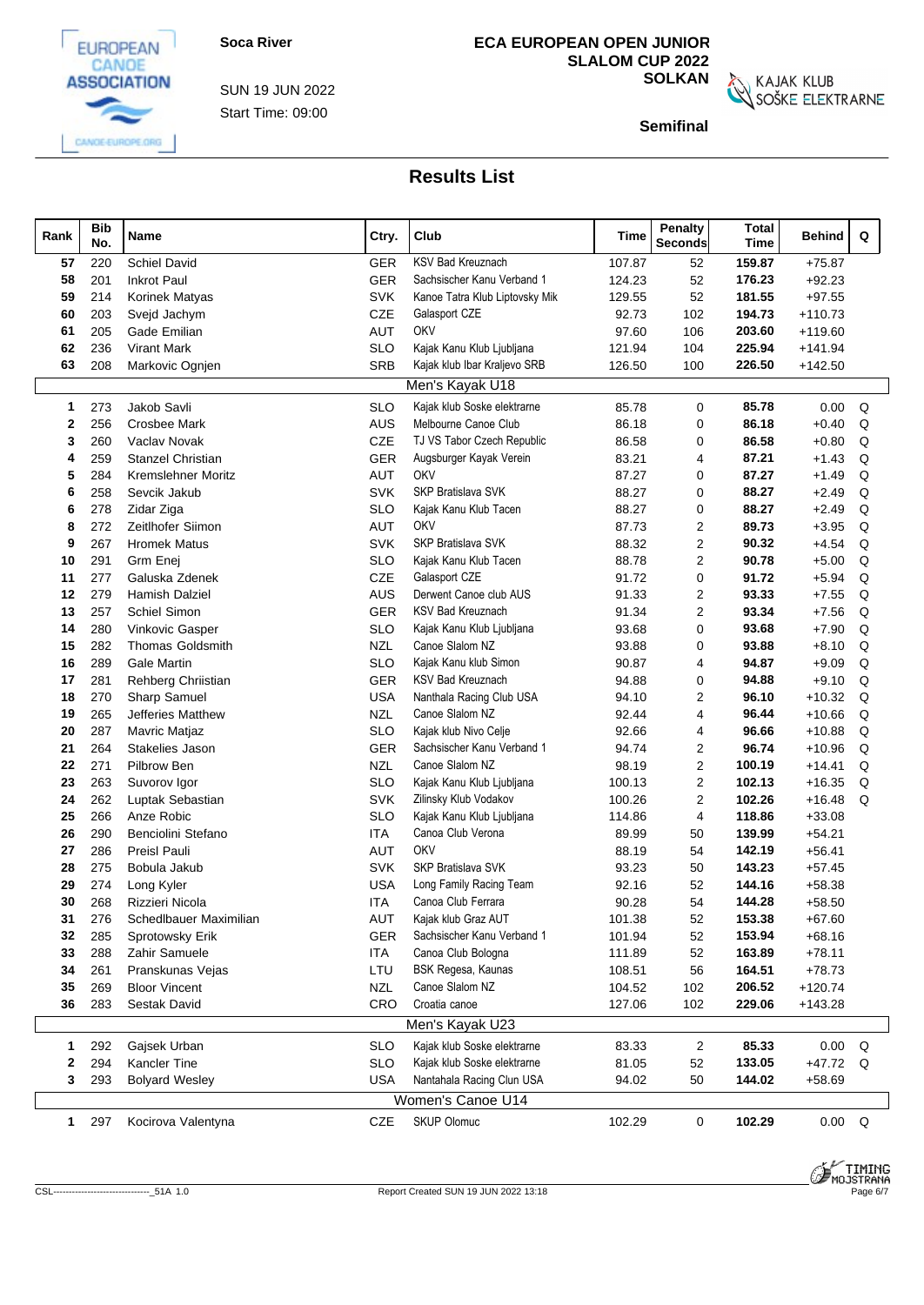

EUROPEAN

Start Time: 09:00 SUN 19 JUN 2022

## **ECA EUROPEAN OPEN JUNIOR SLALOM CUP 2022**

**SOLKAN**<br>SOŠKE ELEKTRARNE

**Semifinal**

| Rank         | <b>Bib</b><br>No. | <b>Name</b>              | Ctry.      | Club                                           | Time   | <b>Penalty</b><br><b>Seconds</b> | <b>Total</b><br>Time | Behind         | Q |
|--------------|-------------------|--------------------------|------------|------------------------------------------------|--------|----------------------------------|----------------------|----------------|---|
| 57           | 220               | Schiel David             | <b>GER</b> | <b>KSV Bad Kreuznach</b>                       | 107.87 | 52                               | 159.87               | $+75.87$       |   |
| 58           | 201               | <b>Inkrot Paul</b>       | GER        | Sachsischer Kanu Verband 1                     | 124.23 | 52                               | 176.23               | $+92.23$       |   |
| 59           | 214               | Korinek Matyas           | <b>SVK</b> | Kanoe Tatra Klub Liptovsky Mik                 | 129.55 | 52                               | 181.55               | $+97.55$       |   |
| 60           | 203               | Svejd Jachym             | CZE        | Galasport CZE                                  | 92.73  | 102                              | 194.73               | $+110.73$      |   |
| 61           | 205               | Gade Emilian             | AUT        | OKV                                            | 97.60  | 106                              | 203.60               | $+119.60$      |   |
| 62           | 236               | <b>Virant Mark</b>       | <b>SLO</b> | Kajak Kanu Klub Ljubljana                      | 121.94 | 104                              | 225.94               | $+141.94$      |   |
| 63           | 208               | Markovic Ognjen          | SRB        | Kajak klub Ibar Kraljevo SRB                   | 126.50 | 100                              | 226.50               | $+142.50$      |   |
|              |                   |                          |            | Men's Kayak U18                                |        |                                  |                      |                |   |
| $\mathbf{1}$ | 273               | Jakob Savli              | <b>SLO</b> | Kajak klub Soske elektrarne                    | 85.78  | 0                                | 85.78                | 0.00           | Q |
| $\mathbf{2}$ | 256               | Crosbee Mark             | <b>AUS</b> | Melbourne Canoe Club                           | 86.18  | 0                                | 86.18                | $+0.40$        | Q |
| 3            | 260               | Vaclav Novak             | <b>CZE</b> | TJ VS Tabor Czech Republic                     | 86.58  | 0                                | 86.58                | $+0.80$        | Q |
| 4            | 259               | <b>Stanzel Christian</b> | <b>GER</b> | Augsburger Kayak Verein                        | 83.21  | 4                                | 87.21                | $+1.43$        | Q |
| 5            | 284               | Kremslehner Moritz       | <b>AUT</b> | OKV                                            | 87.27  | 0                                | 87.27                | $+1.49$        | Q |
| 6            | 258               | Sevcik Jakub             | <b>SVK</b> | <b>SKP Bratislava SVK</b>                      | 88.27  | 0                                | 88.27                | $+2.49$        | Q |
| 6            | 278               | Zidar Ziga               | <b>SLO</b> | Kajak Kanu Klub Tacen                          | 88.27  | 0                                | 88.27                | $+2.49$        | Q |
| 8            | 272               | Zeitlhofer Siimon        | <b>AUT</b> | OKV                                            | 87.73  | 2                                | 89.73                | $+3.95$        | Q |
| 9            | 267               | <b>Hromek Matus</b>      | <b>SVK</b> | SKP Bratislava SVK                             | 88.32  | $\overline{2}$                   | 90.32                | $+4.54$        | Q |
| 10           | 291               | Grm Enej                 | <b>SLO</b> | Kajak Kanu Klub Tacen                          | 88.78  | 2                                | 90.78                | $+5.00$        | Q |
| 11           | 277               | Galuska Zdenek           | CZE        | Galasport CZE                                  | 91.72  | 0                                | 91.72                | $+5.94$        | Q |
| 12           | 279               | <b>Hamish Dalziel</b>    | AUS        | Derwent Canoe club AUS                         | 91.33  | $\overline{2}$                   | 93.33                | $+7.55$        | Q |
| 13           | 257               | Schiel Simon             | <b>GER</b> | <b>KSV Bad Kreuznach</b>                       | 91.34  | 2                                | 93.34                | $+7.56$        | Q |
| 14           | 280               | Vinkovic Gasper          | <b>SLO</b> | Kajak Kanu Klub Ljubljana                      | 93.68  | 0                                | 93.68                | $+7.90$        | Q |
| 15           | 282               | <b>Thomas Goldsmith</b>  | <b>NZL</b> | Canoe Slalom NZ                                | 93.88  | 0                                | 93.88                | $+8.10$        | Q |
| 16           | 289               | <b>Gale Martin</b>       | <b>SLO</b> | Kajak Kanu klub Simon                          | 90.87  | 4                                | 94.87                | $+9.09$        | Q |
| 17           | 281               | Rehberg Chriistian       | <b>GER</b> | <b>KSV Bad Kreuznach</b>                       | 94.88  | 0                                | 94.88                | $+9.10$        | Q |
| 18           | 270               | Sharp Samuel             | <b>USA</b> | Nanthala Racing Club USA                       | 94.10  | 2                                | 96.10                | $+10.32$       | Q |
| 19           | 265               | Jefferies Matthew        | <b>NZL</b> | Canoe Slalom NZ                                | 92.44  | 4                                | 96.44                | $+10.66$       | Q |
| 20           | 287               | Mavric Matjaz            | <b>SLO</b> | Kajak klub Nivo Celje                          | 92.66  | 4                                | 96.66                | $+10.88$       | Q |
| 21           | 264               | Stakelies Jason          | <b>GER</b> | Sachsischer Kanu Verband 1                     | 94.74  | 2                                | 96.74                | $+10.96$       | Q |
| 22           | 271               | Pilbrow Ben              | <b>NZL</b> | Canoe Slalom NZ                                | 98.19  | 2                                | 100.19               | $+14.41$       | Q |
| 23           | 263               | Suvorov Igor             | <b>SLO</b> | Kajak Kanu Klub Ljubljana                      | 100.13 | 2                                | 102.13               | $+16.35$       | Q |
| 24           | 262               | Luptak Sebastian         | <b>SVK</b> | Zilinsky Klub Vodakov                          | 100.26 | $\overline{2}$                   | 102.26               | $+16.48$       | Q |
| 25           | 266               | Anze Robic               | <b>SLO</b> | Kajak Kanu Klub Ljubljana                      | 114.86 | 4                                | 118.86               | $+33.08$       |   |
| 26           | 290               | Benciolini Stefano       | ITA        | Canoa Club Verona                              | 89.99  | 50                               | 139.99               | $+54.21$       |   |
| 27           | 286               | Preisl Pauli             | <b>AUT</b> | OKV                                            | 88.19  | 54                               | 142.19               | $+56.41$       |   |
| 28           | 275               | Bobula Jakub             | <b>SVK</b> | <b>SKP Bratislava SVK</b>                      | 93.23  | 50                               | 143.23               | $+57.45$       |   |
| 29           | 274               | Long Kyler               | <b>USA</b> | Long Family Racing Team                        | 92.16  | 52                               | 144.16               | $+58.38$       |   |
| 30           | 268               | Rizzieri Nicola          | <b>ITA</b> | Canoa Club Ferrara                             | 90.28  | 54                               | 144.28               | $+58.50$       |   |
| 31           | 276               | Schedlbauer Maximilian   | AUT        | Kajak klub Graz AUT                            | 101.38 | 52                               | 153.38               | $+67.60$       |   |
| 32           | 285               | Sprotowsky Erik          | <b>GER</b> | Sachsischer Kanu Verband 1                     | 101.94 | 52                               | 153.94               | $+68.16$       |   |
| 33           | 288               | Zahir Samuele            | <b>ITA</b> | Canoa Club Bologna                             | 111.89 | 52                               | 163.89               | $+78.11$       |   |
| 34           | 261               | Pranskunas Vejas         | LTU        | BSK Regesa, Kaunas                             | 108.51 | 56                               | 164.51               | $+78.73$       |   |
| 35           | 269               | <b>Bloor Vincent</b>     | <b>NZL</b> | Canoe Slalom NZ<br>Croatia canoe               | 104.52 | 102                              | 206.52               | $+120.74$      |   |
| 36           | 283               | Sestak David             | CRO        |                                                | 127.06 | 102                              | 229.06               | $+143.28$      |   |
|              |                   |                          |            | Men's Kayak U23                                |        |                                  |                      |                |   |
| $\mathbf{1}$ | 292               | Gajsek Urban             | <b>SLO</b> | Kajak klub Soske elektrarne                    | 83.33  | 2                                | 85.33                | 0.00           | Q |
| 2            | 294               | Kancler Tine             | <b>SLO</b> | Kajak klub Soske elektrarne                    | 81.05  | 52                               | 133.05               | +47.72 Q       |   |
| 3            | 293               | <b>Bolyard Wesley</b>    | <b>USA</b> | Nantahala Racing Clun USA<br>Women's Canoe U14 | 94.02  | 50                               | 144.02               | $+58.69$       |   |
| $\mathbf{1}$ | 297               | Kocirova Valentyna       | CZE        | <b>SKUP Olomuc</b>                             | 102.29 | 0                                | 102.29               | $0.00 \quad Q$ |   |
|              |                   |                          |            |                                                |        |                                  |                      |                |   |

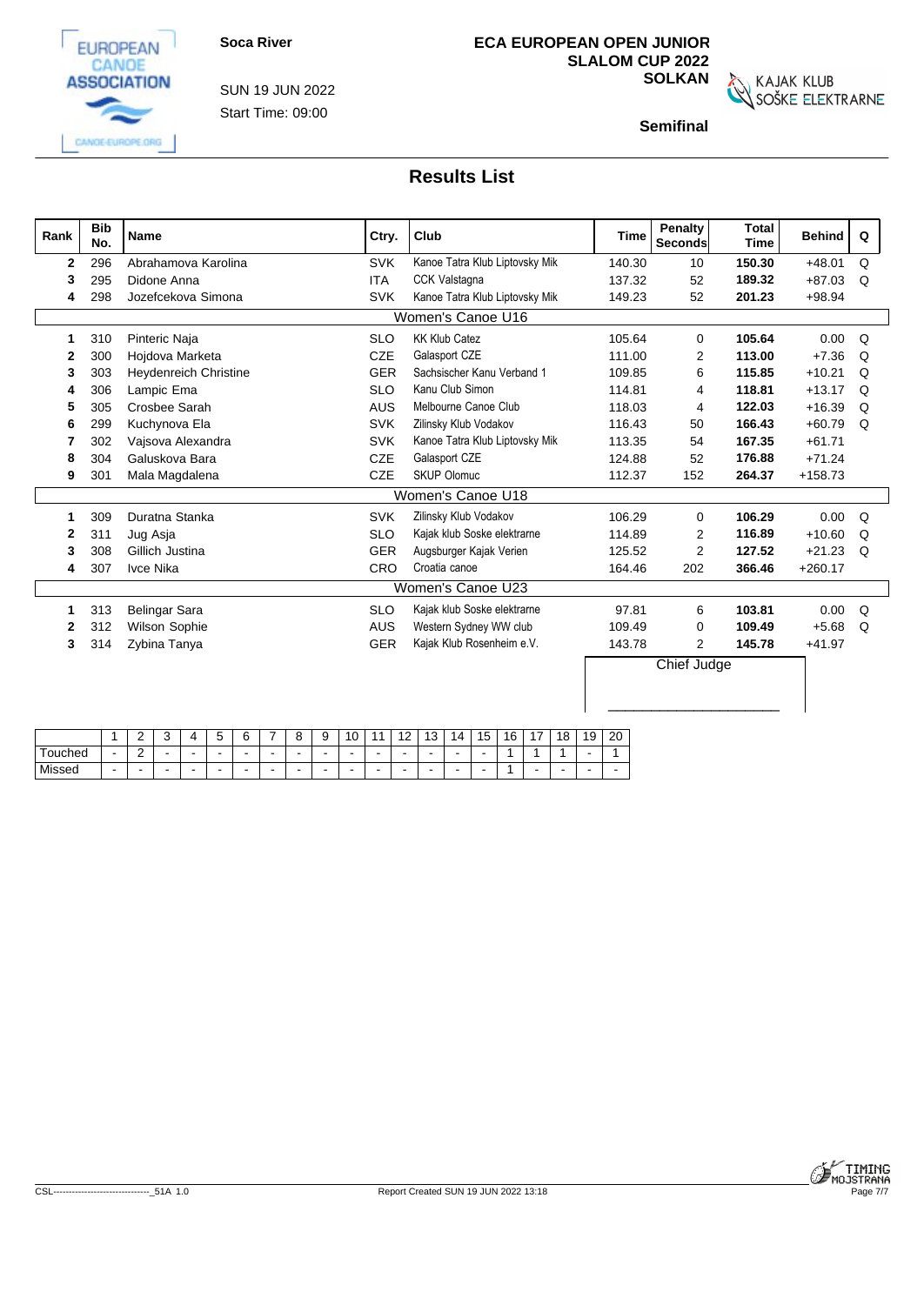

Start Time: 09:00 SUN 19 JUN 2022

# **ECA EUROPEAN OPEN JUNIOR SLALOM CUP 2022**

**SOLKAN**<br>SOŠKE ELEKTRARNE

**Semifinal**

| Rank         | <b>Bib</b><br>No. | <b>Name</b>           | Ctry.      | Club                           | <b>Time</b> | <b>Penalty</b><br>Seconds | <b>Total</b><br><b>Time</b> | <b>Behind</b> | Q        |
|--------------|-------------------|-----------------------|------------|--------------------------------|-------------|---------------------------|-----------------------------|---------------|----------|
| $\mathbf{2}$ | 296               | Abrahamova Karolina   | <b>SVK</b> | Kanoe Tatra Klub Liptovsky Mik | 140.30      | 10                        | 150.30                      | $+48.01$      | Q        |
| 3            | 295               | Didone Anna           | <b>ITA</b> | <b>CCK Valstagna</b>           | 137.32      | 52                        | 189.32                      | $+87.03$      | Q        |
| 4            | 298               | Jozefcekova Simona    | <b>SVK</b> | Kanoe Tatra Klub Liptovsky Mik | 149.23      | 52                        | 201.23                      | +98.94        |          |
|              |                   |                       |            | Women's Canoe U16              |             |                           |                             |               |          |
|              | 310               | Pinteric Naja         | <b>SLO</b> | <b>KK Klub Catez</b>           | 105.64      | $\Omega$                  | 105.64                      | 0.00          | Q        |
| 2            | <b>300</b>        | Hojdova Marketa       | CZE        | Galasport CZE                  | 111.00      | $\overline{2}$            | 113.00                      | $+7.36$       | $\Omega$ |
| 3            | 303               | Heydenreich Christine | <b>GER</b> | Sachsischer Kanu Verband 1     | 109.85      | 6                         | 115.85                      | $+10.21$      | Q        |
| 4            | 306               | Lampic Ema            | <b>SLO</b> | Kanu Club Simon                | 114.81      | 4                         | 118.81                      | $+13.17$      | Q        |
| 5            | 305               | Crosbee Sarah         | <b>AUS</b> | Melbourne Canoe Club           | 118.03      | 4                         | 122.03                      | $+16.39$      | Q        |
| 6            | 299               | Kuchynova Ela         | <b>SVK</b> | Zilinsky Klub Vodakov          | 116.43      | 50                        | 166.43                      | $+60.79$      | $\Omega$ |
|              | 302               | Vajsova Alexandra     | <b>SVK</b> | Kanoe Tatra Klub Liptovsky Mik | 113.35      | 54                        | 167.35                      | $+61.71$      |          |
| 8            | 304               | Galuskova Bara        | CZE        | Galasport CZE                  | 124.88      | 52                        | 176.88                      | $+71.24$      |          |
| 9            | 30 <sup>′</sup>   | Mala Magdalena        | CZE        | <b>SKUP Olomuc</b>             | 112.37      | 152                       | 264.37                      | $+158.73$     |          |
|              |                   |                       |            | Women's Canoe U18              |             |                           |                             |               |          |
|              | 309               | Duratna Stanka        | <b>SVK</b> | Zilinsky Klub Vodakov          | 106.29      | $\Omega$                  | 106.29                      | 0.00          | Q        |
| 2            | 31                | Jug Asja              | <b>SLO</b> | Kajak klub Soske elektrarne    | 114.89      | 2                         | 116.89                      | $+10.60$      | Q        |
| 3            | 308               | Gillich Justina       | <b>GER</b> | Augsburger Kajak Verien        | 125.52      | $\overline{2}$            | 127.52                      | $+21.23$      | $\Omega$ |
| 4            | 307               | Ivce Nika             | <b>CRO</b> | Croatia canoe                  | 164.46      | 202                       | 366.46                      | $+260.17$     |          |
|              |                   |                       |            | Women's Canoe U23              |             |                           |                             |               |          |
|              | 313               | <b>Belingar Sara</b>  | <b>SLO</b> | Kajak klub Soske elektrarne    | 97.81       | 6                         | 103.81                      | 0.00          | Q        |
| 2            | 312               | Wilson Sophie         | <b>AUS</b> | Western Sydney WW club         | 109.49      | $\Omega$                  | 109.49                      | $+5.68$       | Q        |
| 3            | 314               | Zybina Tanya          | <b>GER</b> | Kajak Klub Rosenheim e.V.      | 143.78      | $\overline{2}$            | 145.78                      | $+41.97$      |          |
|              |                   |                       |            |                                |             | Chief Judge               |                             |               |          |
|              |                   |                       |            |                                |             |                           |                             |               |          |

|             |                          | <u>_</u> | $\sim$<br>. . | $\overline{ }$ | -<br> |  |                          | ∼<br>$\cdot$ | $\sim$<br>υ | $\sim$<br>$\sim$ | $\overline{a}$           | 14 | $\overline{ }$<br>$\mathbf b$ | 16 | $\overline{\phantom{a}}$ | 18 | 10<br>כ ו | 20 |
|-------------|--------------------------|----------|---------------|----------------|-------|--|--------------------------|--------------|-------------|------------------|--------------------------|----|-------------------------------|----|--------------------------|----|-----------|----|
| Touched     | $\overline{\phantom{0}}$ | <u>_</u> |               |                |       |  | $\sim$                   | ۰            | $\sim$      |                  | $\overline{\phantom{a}}$ | -  |                               |    |                          |    |           |    |
| Missed<br>. | $\overline{\phantom{a}}$ |          |               |                |       |  | $\overline{\phantom{a}}$ |              |             |                  | $\overline{\phantom{a}}$ | -  |                               |    |                          |    |           |    |

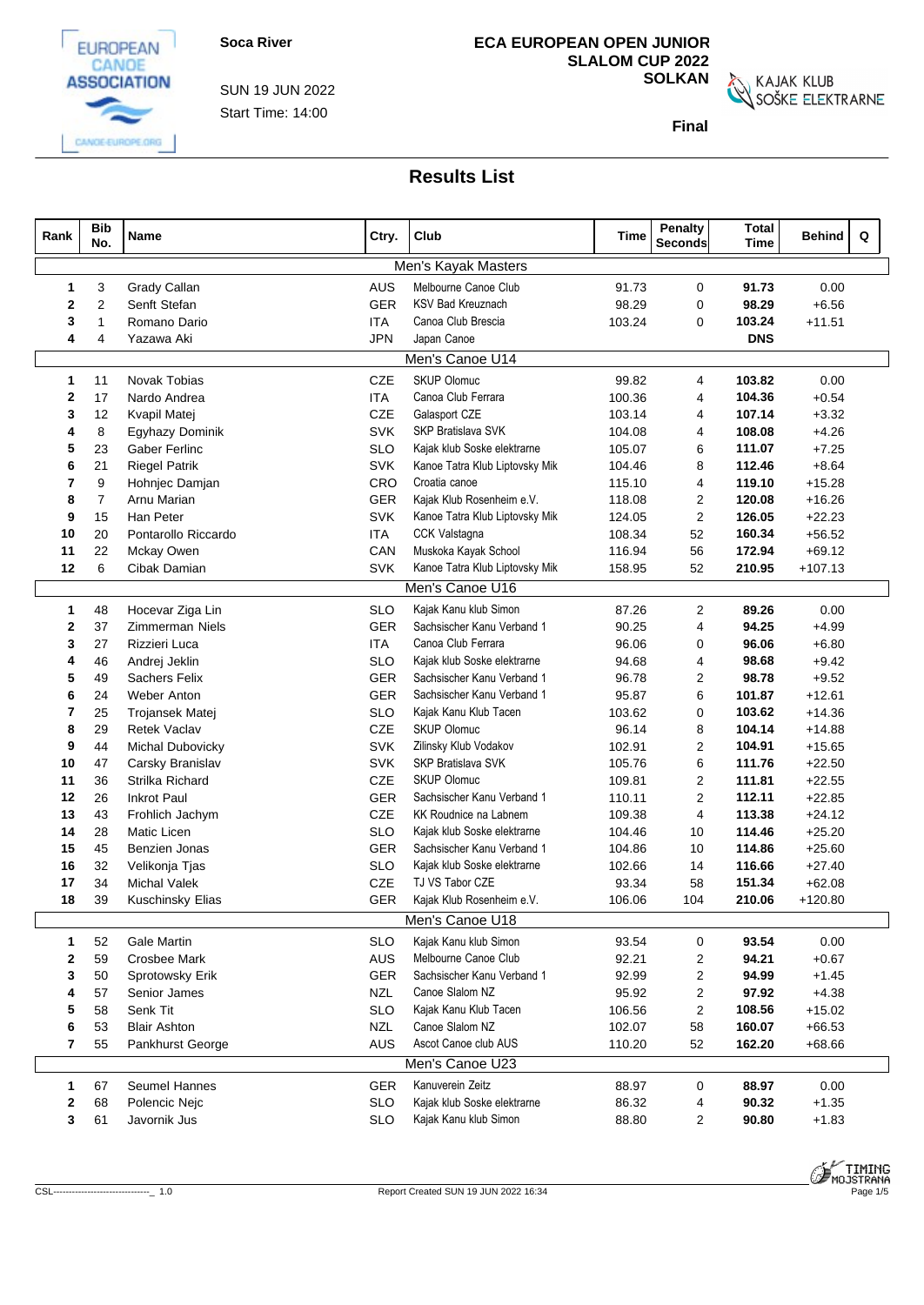

CANGE-EUROPE.ORG

Start Time: 14:00 SUN 19 JUN 2022

# **ECA EUROPEAN OPEN JUNIOR SLALOM CUP 2022**

**SOLKAN**<br>SOŠKE ELEKTRARNE

**Final**

| Rank         | <b>Bib</b><br>No. | <b>Name</b>          | Ctry.      | Club                           | Time   | Penalty<br><b>Seconds</b> | <b>Total</b><br><b>Time</b> | Q<br><b>Behind</b> |
|--------------|-------------------|----------------------|------------|--------------------------------|--------|---------------------------|-----------------------------|--------------------|
|              |                   |                      |            | Men's Kayak Masters            |        |                           |                             |                    |
| -1           | 3                 | Grady Callan         | AUS        | Melbourne Canoe Club           | 91.73  | $\mathbf 0$               | 91.73                       | 0.00               |
| $\mathbf{2}$ | $\overline{2}$    | Senft Stefan         | GER        | <b>KSV Bad Kreuznach</b>       | 98.29  | $\mathbf 0$               | 98.29                       | $+6.56$            |
| 3            | 1                 | Romano Dario         | <b>ITA</b> | Canoa Club Brescia             | 103.24 | $\mathbf 0$               | 103.24                      | $+11.51$           |
| 4            | 4                 | Yazawa Aki           | <b>JPN</b> | Japan Canoe                    |        |                           | <b>DNS</b>                  |                    |
|              |                   |                      |            | Men's Canoe U14                |        |                           |                             |                    |
| 1            | 11                | Novak Tobias         | CZE        | <b>SKUP Olomuc</b>             | 99.82  | 4                         | 103.82                      | 0.00               |
| 2            | 17                | Nardo Andrea         | <b>ITA</b> | Canoa Club Ferrara             | 100.36 | $\overline{4}$            | 104.36                      | $+0.54$            |
| 3            | 12                | Kvapil Matej         | CZE        | Galasport CZE                  | 103.14 | 4                         | 107.14                      | $+3.32$            |
| 4            | 8                 | Egyhazy Dominik      | <b>SVK</b> | SKP Bratislava SVK             | 104.08 | 4                         | 108.08                      | $+4.26$            |
| 5            | 23                | <b>Gaber Ferlinc</b> | <b>SLO</b> | Kajak klub Soske elektrarne    | 105.07 | 6                         | 111.07                      | $+7.25$            |
| 6            | 21                | <b>Riegel Patrik</b> | <b>SVK</b> | Kanoe Tatra Klub Liptovsky Mik | 104.46 | 8                         | 112.46                      | $+8.64$            |
| 7            | 9                 | Hohnjec Damjan       | CRO        | Croatia canoe                  | 115.10 | 4                         | 119.10                      | $+15.28$           |
| 8            | $\overline{7}$    | Arnu Marian          | GER        | Kajak Klub Rosenheim e.V.      | 118.08 | $\overline{2}$            | 120.08                      | $+16.26$           |
| 9            | 15                | Han Peter            | <b>SVK</b> | Kanoe Tatra Klub Liptovsky Mik | 124.05 | $\overline{2}$            | 126.05                      | $+22.23$           |
| 10           | 20                | Pontarollo Riccardo  | <b>ITA</b> | <b>CCK Valstagna</b>           | 108.34 | 52                        | 160.34                      | $+56.52$           |
| 11           | 22                | Mckay Owen           | CAN        | Muskoka Kayak School           | 116.94 | 56                        | 172.94                      | $+69.12$           |
| 12           | 6                 | Cibak Damian         | <b>SVK</b> | Kanoe Tatra Klub Liptovsky Mik | 158.95 | 52                        | 210.95                      | $+107.13$          |
|              |                   |                      |            | Men's Canoe U16                |        |                           |                             |                    |
| 1            | 48                | Hocevar Ziga Lin     | <b>SLO</b> | Kajak Kanu klub Simon          | 87.26  | $\overline{2}$            | 89.26                       | 0.00               |
| $\mathbf{2}$ | 37                | Zimmerman Niels      | <b>GER</b> | Sachsischer Kanu Verband 1     | 90.25  | 4                         | 94.25                       | $+4.99$            |
| 3            | 27                | Rizzieri Luca        | <b>ITA</b> | Canoa Club Ferrara             | 96.06  | 0                         | 96.06                       | $+6.80$            |
| 4            | 46                | Andrej Jeklin        | <b>SLO</b> | Kajak klub Soske elektrarne    | 94.68  | 4                         | 98.68                       | $+9.42$            |
| 5            | 49                | <b>Sachers Felix</b> | GER        | Sachsischer Kanu Verband 1     | 96.78  | 2                         | 98.78                       | $+9.52$            |
| 6            | 24                | Weber Anton          | GER        | Sachsischer Kanu Verband 1     | 95.87  | 6                         | 101.87                      | $+12.61$           |
| 7            | 25                | Trojansek Matej      | <b>SLO</b> | Kajak Kanu Klub Tacen          | 103.62 | $\mathbf 0$               | 103.62                      | $+14.36$           |
| 8            | 29                | <b>Retek Vaclav</b>  | CZE        | <b>SKUP Olomuc</b>             | 96.14  | 8                         | 104.14                      | $+14.88$           |
| 9            | 44                | Michal Dubovicky     | <b>SVK</b> | Zilinsky Klub Vodakov          | 102.91 | $\overline{2}$            | 104.91                      | $+15.65$           |
| 10           | 47                | Carsky Branislav     | <b>SVK</b> | SKP Bratislava SVK             | 105.76 | 6                         | 111.76                      | $+22.50$           |
| 11           | 36                | Strilka Richard      | <b>CZE</b> | <b>SKUP Olomuc</b>             | 109.81 | 2                         | 111.81                      | $+22.55$           |
| 12           | 26                | <b>Inkrot Paul</b>   | <b>GER</b> | Sachsischer Kanu Verband 1     | 110.11 | $\mathbf{2}$              | 112.11                      | $+22.85$           |
| 13           | 43                | Frohlich Jachym      | CZE        | KK Roudnice na Labnem          | 109.38 | $\overline{4}$            | 113.38                      | $+24.12$           |
| 14           | 28                | Matic Licen          | <b>SLO</b> | Kajak klub Soske elektrarne    | 104.46 | 10                        | 114.46                      | $+25.20$           |
| 15           | 45                | Benzien Jonas        | GER        | Sachsischer Kanu Verband 1     | 104.86 | 10                        | 114.86                      | $+25.60$           |
| 16           | 32                | Velikonja Tjas       | <b>SLO</b> | Kajak klub Soske elektrarne    | 102.66 | 14                        | 116.66                      | $+27.40$           |
| 17           | 34                | <b>Michal Valek</b>  | <b>CZE</b> | TJ VS Tabor CZE                | 93.34  | 58                        | 151.34                      | $+62.08$           |
| 18           | 39                | Kuschinsky Elias     | GER        | Kajak Klub Rosenheim e.V.      | 106.06 | 104                       | 210.06                      | $+120.80$          |
|              |                   |                      |            | Men's Canoe U18                |        |                           |                             |                    |
| 1            | 52                | <b>Gale Martin</b>   | <b>SLO</b> | Kajak Kanu klub Simon          | 93.54  | $\mathbf 0$               | 93.54                       | 0.00               |
| 2            | 59                | <b>Crosbee Mark</b>  | AUS        | Melbourne Canoe Club           | 92.21  | 2                         | 94.21                       | $+0.67$            |
| 3            | 50                | Sprotowsky Erik      | <b>GER</b> | Sachsischer Kanu Verband 1     | 92.99  | $\overline{2}$            | 94.99                       | $+1.45$            |
|              | 57                | Senior James         | <b>NZL</b> | Canoe Slalom NZ                | 95.92  | $\overline{2}$            | 97.92                       | $+4.38$            |
| 5            | 58                | Senk Tit             | <b>SLO</b> | Kajak Kanu Klub Tacen          | 106.56 | $\overline{2}$            | 108.56                      | $+15.02$           |
| 6            | 53                | <b>Blair Ashton</b>  | <b>NZL</b> | Canoe Slalom NZ                | 102.07 | 58                        | 160.07                      | $+66.53$           |
| 7            | 55                | Pankhurst George     | AUS        | Ascot Canoe club AUS           | 110.20 | 52                        | 162.20                      | $+68.66$           |
|              |                   |                      |            | Men's Canoe U23                |        |                           |                             |                    |
| 1            | 67                | Seumel Hannes        | GER        | Kanuverein Zeitz               | 88.97  | $\mathbf 0$               | 88.97                       | 0.00               |
| 2            | 68                | Polencic Nejc        | <b>SLO</b> | Kajak klub Soske elektrarne    | 86.32  | 4                         | 90.32                       | $+1.35$            |
| 3            | 61                | Javornik Jus         | <b>SLO</b> | Kajak Kanu klub Simon          | 88.80  | $\overline{2}$            | 90.80                       | $+1.83$            |
|              |                   |                      |            |                                |        |                           |                             |                    |

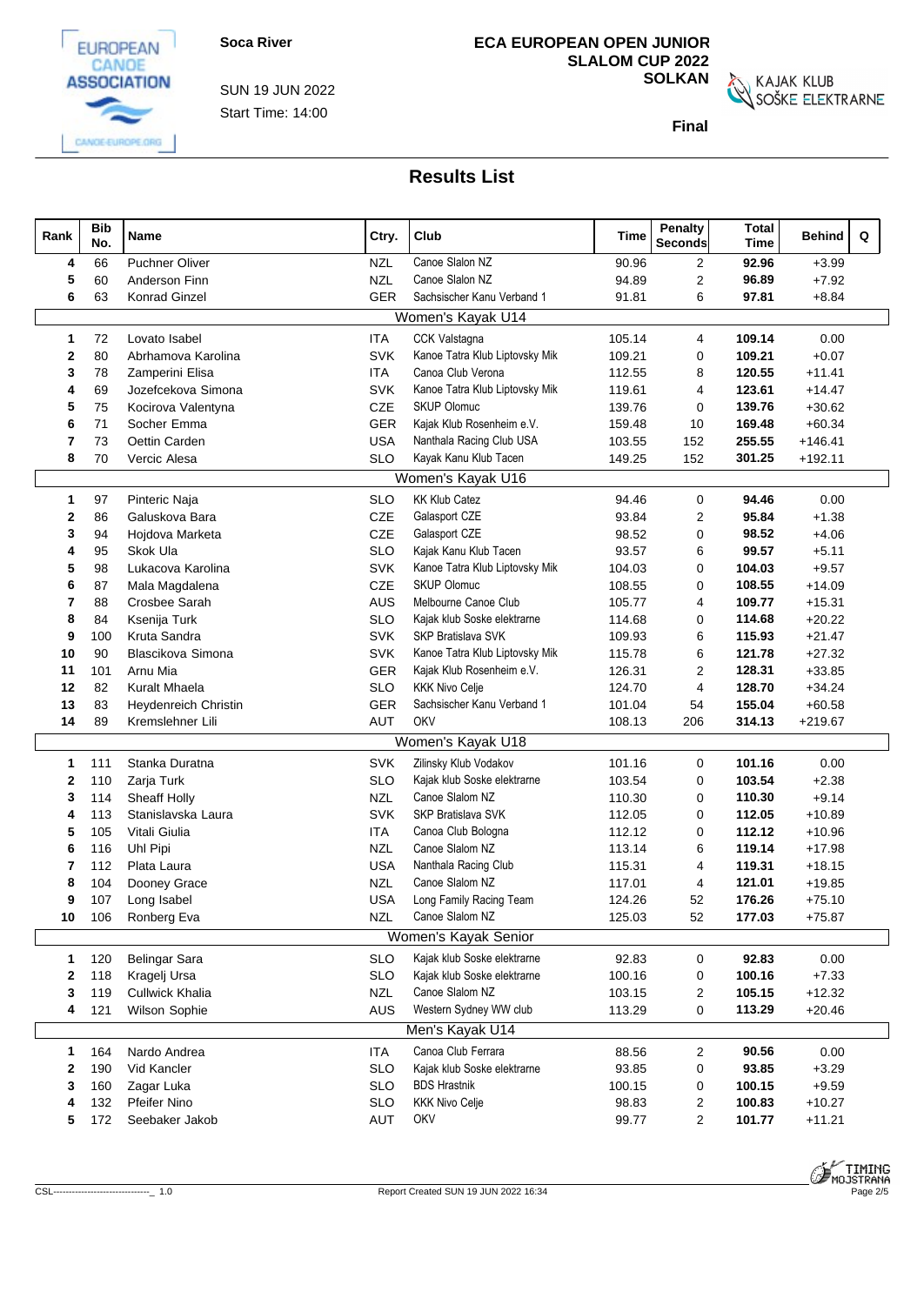

Start Time: 14:00 SUN 19 JUN 2022

# **ECA EUROPEAN OPEN JUNIOR SLALOM CUP 2022**

**SOLKAN**<br>SOŠKE ELEKTRARNE

**Final**

| Rank         | <b>Bib</b><br>No. | Name                  | Ctry.      | Club                           | Time   | <b>Penalty</b><br><b>Seconds</b> | <b>Total</b><br><b>Time</b> | <b>Behind</b> | Q |
|--------------|-------------------|-----------------------|------------|--------------------------------|--------|----------------------------------|-----------------------------|---------------|---|
| 4            | 66                | <b>Puchner Oliver</b> | <b>NZL</b> | Canoe Slalon NZ                | 90.96  | $\overline{2}$                   | 92.96                       | $+3.99$       |   |
| 5            | 60                | Anderson Finn         | <b>NZL</b> | Canoe Slalon NZ                | 94.89  | $\overline{\mathbf{c}}$          | 96.89                       | $+7.92$       |   |
| 6            | 63                | <b>Konrad Ginzel</b>  | <b>GER</b> | Sachsischer Kanu Verband 1     | 91.81  | 6                                | 97.81                       | $+8.84$       |   |
|              |                   |                       |            | Women's Kayak U14              |        |                                  |                             |               |   |
| $\mathbf 1$  | 72                | Lovato Isabel         | <b>ITA</b> | CCK Valstagna                  | 105.14 | 4                                | 109.14                      | 0.00          |   |
| 2            | 80                | Abrhamova Karolina    | <b>SVK</b> | Kanoe Tatra Klub Liptovsky Mik | 109.21 | 0                                | 109.21                      | $+0.07$       |   |
| 3            | 78                | Zamperini Elisa       | <b>ITA</b> | Canoa Club Verona              | 112.55 | 8                                | 120.55                      | $+11.41$      |   |
| 4            | 69                | Jozefcekova Simona    | <b>SVK</b> | Kanoe Tatra Klub Liptovsky Mik | 119.61 | $\overline{4}$                   | 123.61                      | $+14.47$      |   |
| 5            | 75                | Kocirova Valentyna    | <b>CZE</b> | <b>SKUP Olomuc</b>             | 139.76 | $\mathbf 0$                      | 139.76                      | $+30.62$      |   |
| 6            | 71                | Socher Emma           | <b>GER</b> | Kajak Klub Rosenheim e.V.      | 159.48 | 10                               | 169.48                      | $+60.34$      |   |
| 7            | 73                | Oettin Carden         | <b>USA</b> | Nanthala Racing Club USA       | 103.55 | 152                              | 255.55                      | $+146.41$     |   |
| 8            | 70                | Vercic Alesa          | <b>SLO</b> | Kayak Kanu Klub Tacen          | 149.25 | 152                              | 301.25                      | $+192.11$     |   |
|              |                   |                       |            | Women's Kayak U16              |        |                                  |                             |               |   |
| $\mathbf{1}$ | 97                | Pinteric Naja         | <b>SLO</b> | <b>KK Klub Catez</b>           | 94.46  | $\mathbf 0$                      | 94.46                       | 0.00          |   |
| 2            | 86                | Galuskova Bara        | CZE        | Galasport CZE                  | 93.84  | 2                                | 95.84                       | $+1.38$       |   |
| 3            | 94                | Hojdova Marketa       | CZE        | Galasport CZE                  | 98.52  | 0                                | 98.52                       | $+4.06$       |   |
| 4            | 95                | Skok Ula              | <b>SLO</b> | Kajak Kanu Klub Tacen          | 93.57  | 6                                | 99.57                       | $+5.11$       |   |
| 5            | 98                | Lukacova Karolina     | <b>SVK</b> | Kanoe Tatra Klub Liptovsky Mik | 104.03 | $\mathbf 0$                      | 104.03                      | $+9.57$       |   |
| 6            | 87                | Mala Magdalena        | CZE        | <b>SKUP Olomuc</b>             | 108.55 | $\mathbf 0$                      | 108.55                      | $+14.09$      |   |
| 7            | 88                | Crosbee Sarah         | <b>AUS</b> | Melbourne Canoe Club           | 105.77 | $\overline{4}$                   | 109.77                      | $+15.31$      |   |
| 8            | 84                | Ksenija Turk          | <b>SLO</b> | Kajak klub Soske elektrarne    | 114.68 | $\mathbf 0$                      | 114.68                      | $+20.22$      |   |
| 9            | 100               | Kruta Sandra          | <b>SVK</b> | SKP Bratislava SVK             | 109.93 | 6                                | 115.93                      | $+21.47$      |   |
| 10           | 90                | Blascikova Simona     | <b>SVK</b> | Kanoe Tatra Klub Liptovsky Mik | 115.78 | 6                                | 121.78                      | $+27.32$      |   |
| 11           | 101               | Arnu Mia              | GER        | Kajak Klub Rosenheim e.V.      | 126.31 | $\overline{c}$                   | 128.31                      | $+33.85$      |   |
| 12           | 82                | Kuralt Mhaela         | <b>SLO</b> | <b>KKK Nivo Celje</b>          | 124.70 | $\overline{4}$                   | 128.70                      | $+34.24$      |   |
| 13           | 83                | Heydenreich Christin  | GER        | Sachsischer Kanu Verband 1     | 101.04 | 54                               | 155.04                      | $+60.58$      |   |
| 14           | 89                | Kremslehner Lili      | AUT        | OKV                            | 108.13 | 206                              | 314.13                      | $+219.67$     |   |
|              |                   |                       |            | Women's Kayak U18              |        |                                  |                             |               |   |
| $\mathbf{1}$ | 111               | Stanka Duratna        | <b>SVK</b> | Zilinsky Klub Vodakov          | 101.16 | 0                                | 101.16                      | 0.00          |   |
| 2            | 110               | Zarja Turk            | <b>SLO</b> | Kajak klub Soske elektrarne    | 103.54 | $\mathbf 0$                      | 103.54                      | $+2.38$       |   |
| 3            | 114               | Sheaff Holly          | <b>NZL</b> | Canoe Slalom NZ                | 110.30 | $\mathbf 0$                      | 110.30                      | $+9.14$       |   |
|              | 113               | Stanislavska Laura    | SVK        | SKP Bratislava SVK             | 112.05 | $\mathbf 0$                      | 112.05                      | $+10.89$      |   |
| 5            | 105               | Vitali Giulia         | <b>ITA</b> | Canoa Club Bologna             | 112.12 | $\mathbf 0$                      | 112.12                      | $+10.96$      |   |
| 6            | 116               | Uhl Pipi              | <b>NZL</b> | Canoe Slalom NZ                | 113.14 | 6                                | 119.14                      | $+17.98$      |   |
|              | 112               | Plata Laura           | <b>USA</b> | Nanthala Racing Club           | 115.31 | $\overline{4}$                   | 119.31                      | $+18.15$      |   |
| 8            | 104               | Dooney Grace          | <b>NZL</b> | Canoe Slalom NZ                | 117.01 | $\overline{4}$                   | 121.01                      | $+19.85$      |   |
| 9            | 107               | Long Isabel           | <b>USA</b> | Long Family Racing Team        | 124.26 | 52                               | 176.26                      | $+75.10$      |   |
|              |                   | 10 106 Ronberg Eva    | <b>NZL</b> | Canoe Slalom NZ                | 125.03 | 52                               | 177.03                      | $+75.87$      |   |
|              |                   |                       |            | Women's Kayak Senior           |        |                                  |                             |               |   |
| $\mathbf{1}$ | 120               | <b>Belingar Sara</b>  | <b>SLO</b> | Kajak klub Soske elektrarne    | 92.83  | 0                                | 92.83                       | 0.00          |   |
| 2            | 118               | Kragelj Ursa          | <b>SLO</b> | Kajak klub Soske elektrarne    | 100.16 | 0                                | 100.16                      | $+7.33$       |   |
| 3            | 119               | Cullwick Khalia       | <b>NZL</b> | Canoe Slalom NZ                | 103.15 | $\overline{2}$                   | 105.15                      | $+12.32$      |   |
| 4            | 121               | Wilson Sophie         | AUS        | Western Sydney WW club         | 113.29 | 0                                | 113.29                      | $+20.46$      |   |
|              |                   |                       |            | Men's Kayak U14                |        |                                  |                             |               |   |
| $\mathbf{1}$ | 164               | Nardo Andrea          | <b>ITA</b> | Canoa Club Ferrara             | 88.56  | $\overline{c}$                   | 90.56                       | 0.00          |   |
|              | 190               | Vid Kancler           | <b>SLO</b> | Kajak klub Soske elektrarne    | 93.85  | 0                                | 93.85                       | $+3.29$       |   |
| З            | 160               | Zagar Luka            | <b>SLO</b> | <b>BDS Hrastnik</b>            | 100.15 | 0                                | 100.15                      | $+9.59$       |   |
|              | 132               | <b>Pfeifer Nino</b>   | <b>SLO</b> | <b>KKK Nivo Celje</b>          | 98.83  | 2                                | 100.83                      | $+10.27$      |   |
| 5            | 172               | Seebaker Jakob        | AUT        | OKV                            | 99.77  | $\overline{2}$                   | 101.77                      | $+11.21$      |   |
|              |                   |                       |            |                                |        |                                  |                             |               |   |



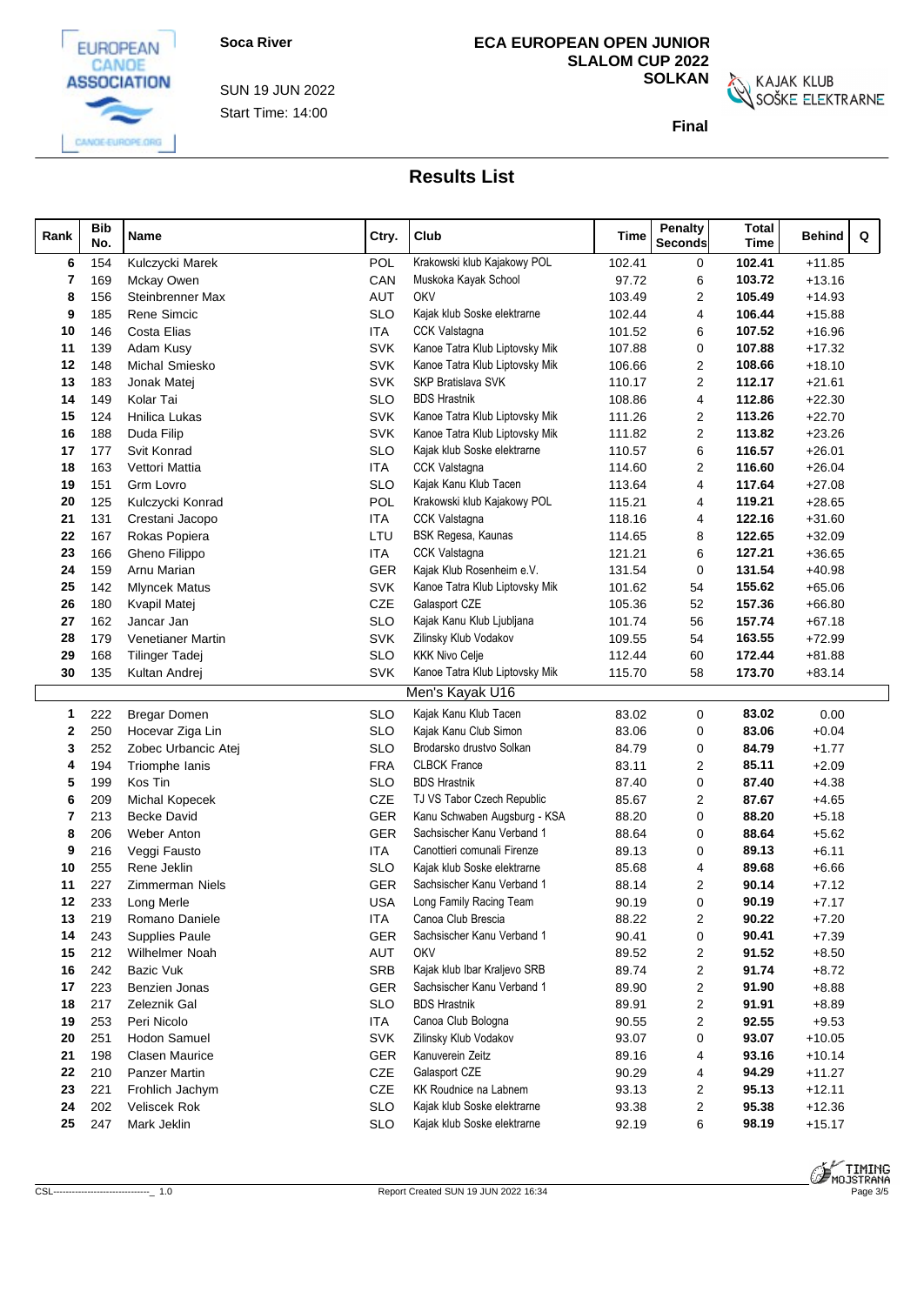

Start Time: 14:00 SUN 19 JUN 2022

# **ECA EUROPEAN OPEN JUNIOR SLALOM CUP 2022**

**SOLKAN**<br>SOŠKE ELEKTRARNE

**Final**

| Rank |    | <b>Bib</b><br>No. | Name                   | Ctry.      | Club                           | Time   | <b>Penalty</b><br><b>Seconds</b> | Total<br><b>Time</b> | Q<br>Behind |
|------|----|-------------------|------------------------|------------|--------------------------------|--------|----------------------------------|----------------------|-------------|
|      | 6  | 154               | Kulczycki Marek        | POL        | Krakowski klub Kajakowy POL    | 102.41 | 0                                | 102.41               | $+11.85$    |
|      | 7  | 169               | Mckay Owen             | CAN        | Muskoka Kayak School           | 97.72  | 6                                | 103.72               | $+13.16$    |
|      | 8  | 156               | Steinbrenner Max       | AUT        | <b>OKV</b>                     | 103.49 | 2                                | 105.49               | $+14.93$    |
|      | 9  | 185               | Rene Simcic            | <b>SLO</b> | Kajak klub Soske elektrarne    | 102.44 | 4                                | 106.44               | $+15.88$    |
|      | 10 | 146               | Costa Elias            | ITA        | <b>CCK Valstagna</b>           | 101.52 | 6                                | 107.52               | $+16.96$    |
|      | 11 | 139               | Adam Kusy              | <b>SVK</b> | Kanoe Tatra Klub Liptovsky Mik | 107.88 | 0                                | 107.88               | $+17.32$    |
|      | 12 | 148               | Michal Smiesko         | <b>SVK</b> | Kanoe Tatra Klub Liptovsky Mik | 106.66 | $\overline{c}$                   | 108.66               | $+18.10$    |
|      | 13 | 183               | Jonak Matej            | <b>SVK</b> | <b>SKP Bratislava SVK</b>      | 110.17 | 2                                | 112.17               | $+21.61$    |
|      | 14 | 149               | Kolar Tai              | <b>SLO</b> | <b>BDS Hrastnik</b>            | 108.86 | 4                                | 112.86               | $+22.30$    |
|      | 15 | 124               | <b>Hnilica Lukas</b>   | <b>SVK</b> | Kanoe Tatra Klub Liptovsky Mik | 111.26 | 2                                | 113.26               | $+22.70$    |
|      | 16 | 188               | Duda Filip             | <b>SVK</b> | Kanoe Tatra Klub Liptovsky Mik | 111.82 | 2                                | 113.82               | $+23.26$    |
|      | 17 | 177               | Svit Konrad            | <b>SLO</b> | Kajak klub Soske elektrarne    | 110.57 | 6                                | 116.57               | $+26.01$    |
|      | 18 | 163               | Vettori Mattia         | ITA        | CCK Valstagna                  | 114.60 | $\overline{2}$                   | 116.60               | $+26.04$    |
|      | 19 | 151               | Grm Lovro              | <b>SLO</b> | Kajak Kanu Klub Tacen          | 113.64 | 4                                | 117.64               | $+27.08$    |
|      | 20 | 125               | Kulczycki Konrad       | POL        | Krakowski klub Kajakowy POL    | 115.21 | 4                                | 119.21               | $+28.65$    |
|      | 21 | 131               | Crestani Jacopo        | ITA        | CCK Valstagna                  | 118.16 | 4                                | 122.16               | $+31.60$    |
|      | 22 | 167               | Rokas Popiera          | LTU        | BSK Regesa, Kaunas             | 114.65 | 8                                | 122.65               | $+32.09$    |
|      | 23 | 166               | Gheno Filippo          | <b>ITA</b> | <b>CCK Valstagna</b>           | 121.21 | 6                                | 127.21               | $+36.65$    |
|      | 24 | 159               | Arnu Marian            | <b>GER</b> | Kajak Klub Rosenheim e.V.      | 131.54 | 0                                | 131.54               | $+40.98$    |
|      | 25 | 142               | <b>Mlyncek Matus</b>   | <b>SVK</b> | Kanoe Tatra Klub Liptovsky Mik | 101.62 | 54                               | 155.62               | $+65.06$    |
|      | 26 | 180               | Kvapil Matej           | CZE        | Galasport CZE                  | 105.36 | 52                               | 157.36               | $+66.80$    |
|      | 27 | 162               | Jancar Jan             | <b>SLO</b> | Kajak Kanu Klub Ljubljana      | 101.74 | 56                               | 157.74               | $+67.18$    |
|      | 28 | 179               | Venetianer Martin      | <b>SVK</b> | Zilinsky Klub Vodakov          | 109.55 | 54                               | 163.55               | $+72.99$    |
|      | 29 | 168               | <b>Tilinger Tadej</b>  | <b>SLO</b> | <b>KKK Nivo Celje</b>          | 112.44 | 60                               | 172.44               | $+81.88$    |
|      | 30 | 135               | Kultan Andrej          | <b>SVK</b> | Kanoe Tatra Klub Liptovsky Mik | 115.70 | 58                               | 173.70               | $+83.14$    |
|      |    |                   |                        |            | Men's Kayak U16                |        |                                  |                      |             |
|      | 1  | 222               | Bregar Domen           | <b>SLO</b> | Kajak Kanu Klub Tacen          | 83.02  | 0                                | 83.02                | 0.00        |
|      | 2  | 250               | Hocevar Ziga Lin       | <b>SLO</b> | Kajak Kanu Club Simon          | 83.06  | 0                                | 83.06                | $+0.04$     |
|      | 3  | 252               | Zobec Urbancic Atej    | <b>SLO</b> | Brodarsko drustvo Solkan       | 84.79  | 0                                | 84.79                | $+1.77$     |
|      | 4  | 194               | Triomphe Ianis         | <b>FRA</b> | <b>CLBCK France</b>            | 83.11  | 2                                | 85.11                | $+2.09$     |
|      | 5  | 199               | Kos Tin                | <b>SLO</b> | <b>BDS Hrastnik</b>            | 87.40  | 0                                | 87.40                | $+4.38$     |
|      | 6  | 209               | Michal Kopecek         | CZE        | TJ VS Tabor Czech Republic     | 85.67  | 2                                | 87.67                | $+4.65$     |
|      | 7  | 213               | <b>Becke David</b>     | <b>GER</b> | Kanu Schwaben Augsburg - KSA   | 88.20  | 0                                | 88.20                | $+5.18$     |
|      | 8  | 206               | <b>Weber Anton</b>     | <b>GER</b> | Sachsischer Kanu Verband 1     | 88.64  | 0                                | 88.64                | $+5.62$     |
|      | 9  | 216               | Veggi Fausto           | ITA        | Canottieri comunali Firenze    | 89.13  | 0                                | 89.13                | $+6.11$     |
|      | 10 | 255               | Rene Jeklin            | <b>SLO</b> | Kajak klub Soske elektrarne    | 85.68  | 4                                | 89.68                | $+6.66$     |
|      | 11 | 227               | <b>Zimmerman Niels</b> | <b>GER</b> | Sachsischer Kanu Verband 1     | 88.14  | 2                                | 90.14                | $+7.12$     |
|      | 12 | 233               | Long Merle             | <b>USA</b> | Long Family Racing Team        | 90.19  | $\mathbf 0$                      | 90.19                | $+7.17$     |
|      | 13 | 219               | Romano Daniele         | ITA        | Canoa Club Brescia             | 88.22  | $\boldsymbol{2}$                 | 90.22                | $+7.20$     |
|      | 14 | 243               | Supplies Paule         | <b>GER</b> | Sachsischer Kanu Verband 1     | 90.41  | 0                                | 90.41                | $+7.39$     |
|      | 15 | 212               | Wilhelmer Noah         | AUT        | OKV                            | 89.52  | $\overline{2}$                   | 91.52                | $+8.50$     |
|      | 16 | 242               | Bazic Vuk              | <b>SRB</b> | Kajak klub Ibar Kraljevo SRB   | 89.74  | 2                                | 91.74                | $+8.72$     |
|      | 17 | 223               | Benzien Jonas          | <b>GER</b> | Sachsischer Kanu Verband 1     | 89.90  | $\overline{c}$                   | 91.90                | $+8.88$     |
|      | 18 | 217               | Zeleznik Gal           | <b>SLO</b> | <b>BDS Hrastnik</b>            | 89.91  | 2                                | 91.91                | $+8.89$     |
|      | 19 | 253               | Peri Nicolo            | ITA        | Canoa Club Bologna             | 90.55  | $\overline{c}$                   | 92.55                | $+9.53$     |
|      | 20 | 251               | Hodon Samuel           | <b>SVK</b> | Zilinsky Klub Vodakov          | 93.07  | 0                                | 93.07                | $+10.05$    |
|      | 21 | 198               | <b>Clasen Maurice</b>  | GER        | Kanuverein Zeitz               | 89.16  | 4                                | 93.16                | $+10.14$    |
|      | 22 | 210               | Panzer Martin          | CZE        | Galasport CZE                  | 90.29  | 4                                | 94.29                | $+11.27$    |
|      | 23 | 221               | Frohlich Jachym        | CZE        | KK Roudnice na Labnem          | 93.13  | $\overline{c}$                   | 95.13                | $+12.11$    |
|      | 24 | 202               | Veliscek Rok           | <b>SLO</b> | Kajak klub Soske elektrarne    | 93.38  | 2                                | 95.38                | $+12.36$    |
|      | 25 | 247               | Mark Jeklin            | <b>SLO</b> | Kajak klub Soske elektrarne    | 92.19  | 6                                | 98.19                | $+15.17$    |
|      |    |                   |                        |            |                                |        |                                  |                      |             |

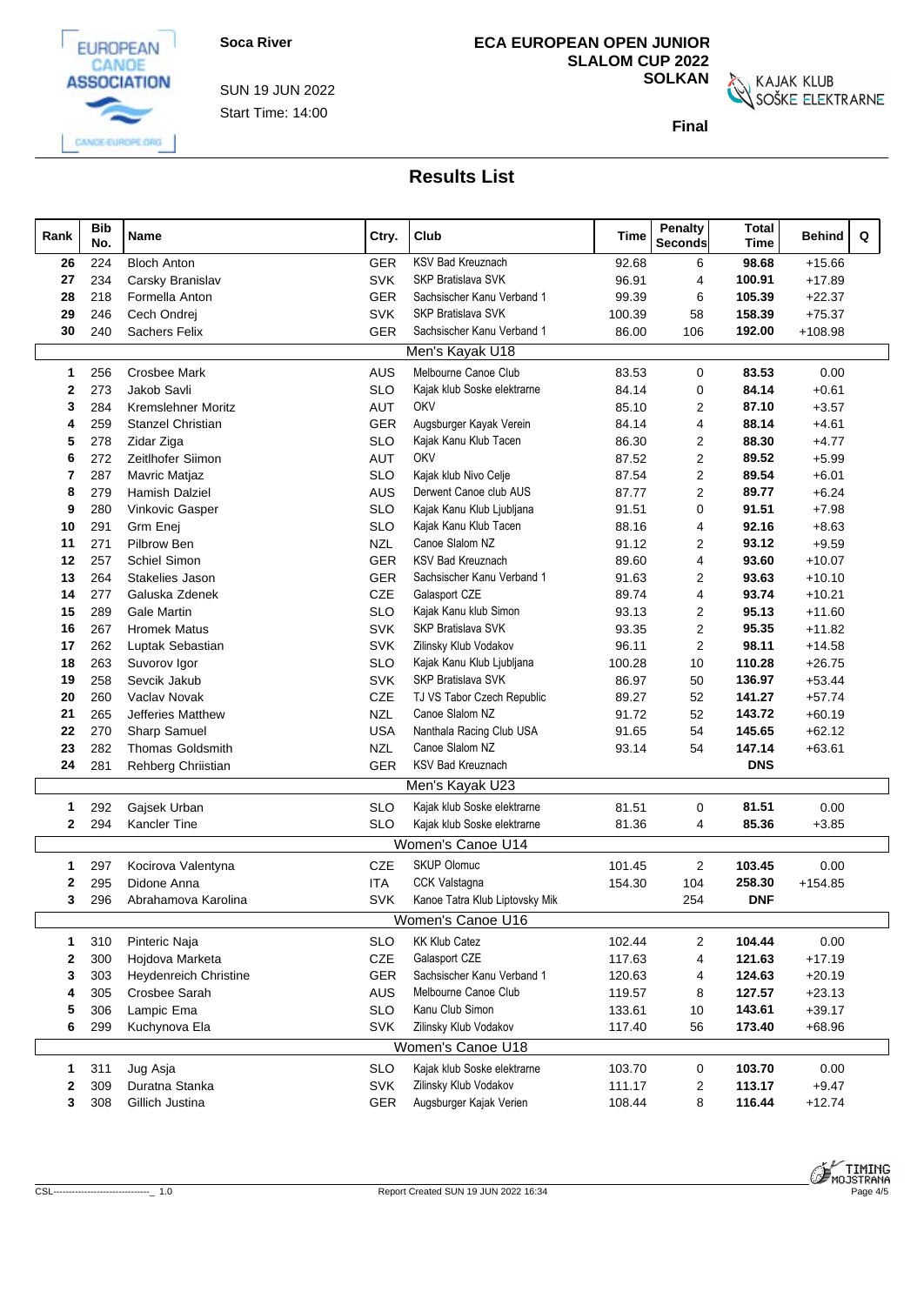

Start Time: 14:00 SUN 19 JUN 2022

# **ECA EUROPEAN OPEN JUNIOR SLALOM CUP 2022**

**SOLKAN**<br>SOŠKE ELEKTRARNE

**Final**

|                   | <b>Bib</b> |                                           |                          |                                             |                | <b>Penalty</b>          | <b>Total</b>   |                      |
|-------------------|------------|-------------------------------------------|--------------------------|---------------------------------------------|----------------|-------------------------|----------------|----------------------|
| Rank              | No.        | Name                                      | Ctry.                    | Club                                        | Time           | <b>Seconds</b>          | <b>Time</b>    | Q<br><b>Behind</b>   |
| 26                | 224        | <b>Bloch Anton</b>                        | GER                      | KSV Bad Kreuznach                           | 92.68          | 6                       | 98.68          | $+15.66$             |
| 27                | 234        | Carsky Branislav                          | <b>SVK</b>               | <b>SKP Bratislava SVK</b>                   | 96.91          | $\overline{4}$          | 100.91         | $+17.89$             |
| 28                | 218        | Formella Anton                            | GER                      | Sachsischer Kanu Verband 1                  | 99.39          | 6                       | 105.39         | $+22.37$             |
| 29                | 246        | Cech Ondrej                               | <b>SVK</b>               | SKP Bratislava SVK                          | 100.39         | 58                      | 158.39         | $+75.37$             |
| 30                | 240        | <b>Sachers Felix</b>                      | <b>GER</b>               | Sachsischer Kanu Verband 1                  | 86.00          | 106                     | 192.00         | $+108.98$            |
|                   |            |                                           |                          | Men's Kayak U18                             |                |                         |                |                      |
| 1                 | 256        | <b>Crosbee Mark</b>                       | AUS                      | Melbourne Canoe Club                        | 83.53          | $\mathbf 0$             | 83.53          | 0.00                 |
| 2                 | 273        | Jakob Savli                               | <b>SLO</b>               | Kajak klub Soske elektrarne                 | 84.14          | $\mathbf 0$             | 84.14          | $+0.61$              |
| 3                 | 284        | Kremslehner Moritz                        | <b>AUT</b>               | OKV                                         | 85.10          | $\overline{2}$          | 87.10          | $+3.57$              |
| 4                 | 259        | Stanzel Christian                         | <b>GER</b>               | Augsburger Kayak Verein                     | 84.14          | $\overline{\mathbf{4}}$ | 88.14          | $+4.61$              |
| 5                 | 278        | Zidar Ziga                                | <b>SLO</b>               | Kajak Kanu Klub Tacen                       | 86.30          | 2                       | 88.30          | $+4.77$              |
| 6                 | 272        | Zeitlhofer Siimon                         | <b>AUT</b>               | OKV                                         | 87.52          | $\overline{2}$          | 89.52          | $+5.99$              |
| 7                 | 287        | Mavric Matjaz                             | <b>SLO</b>               | Kajak klub Nivo Celje                       | 87.54          | $\overline{2}$          | 89.54          | $+6.01$              |
| 8                 | 279        | <b>Hamish Dalziel</b>                     | AUS                      | Derwent Canoe club AUS                      | 87.77          | $\overline{2}$          | 89.77          | $+6.24$              |
| 9                 | 280        | Vinkovic Gasper                           | <b>SLO</b>               | Kajak Kanu Klub Ljubljana                   | 91.51          | $\mathbf 0$             | 91.51          | $+7.98$              |
| 10                | 291        | Grm Enei                                  | <b>SLO</b>               | Kajak Kanu Klub Tacen                       | 88.16          | 4                       | 92.16          | $+8.63$              |
| 11                | 271        | Pilbrow Ben                               | <b>NZL</b>               | Canoe Slalom NZ                             | 91.12          | 2                       | 93.12          | $+9.59$              |
| 12                | 257        | Schiel Simon                              | <b>GER</b>               | <b>KSV Bad Kreuznach</b>                    | 89.60          | 4                       | 93.60          | $+10.07$             |
| 13                | 264        | Stakelies Jason                           | <b>GER</b>               | Sachsischer Kanu Verband 1                  | 91.63          | $\overline{2}$          | 93.63          | $+10.10$             |
| 14                | 277        | Galuska Zdenek                            | CZE                      | Galasport CZE                               | 89.74          | 4                       | 93.74          | $+10.21$             |
| 15                | 289<br>267 | <b>Gale Martin</b><br><b>Hromek Matus</b> | <b>SLO</b><br><b>SVK</b> | Kajak Kanu klub Simon<br>SKP Bratislava SVK | 93.13          | 2<br>2                  | 95.13<br>95.35 | $+11.60$<br>$+11.82$ |
| 16<br>17          | 262        | Luptak Sebastian                          | <b>SVK</b>               | Zilinsky Klub Vodakov                       | 93.35<br>96.11 | $\overline{2}$          | 98.11          | $+14.58$             |
| 18                | 263        | Suvorov Igor                              | <b>SLO</b>               | Kajak Kanu Klub Ljubljana                   | 100.28         | 10                      | 110.28         | $+26.75$             |
| 19                | 258        | Sevcik Jakub                              | <b>SVK</b>               | SKP Bratislava SVK                          | 86.97          | 50                      | 136.97         | $+53.44$             |
| 20                | 260        | Vaclav Novak                              | CZE                      | TJ VS Tabor Czech Republic                  | 89.27          | 52                      | 141.27         | $+57.74$             |
| 21                | 265        | Jefferies Matthew                         | <b>NZL</b>               | Canoe Slalom NZ                             | 91.72          | 52                      | 143.72         | $+60.19$             |
| 22                | 270        | Sharp Samuel                              | <b>USA</b>               | Nanthala Racing Club USA                    | 91.65          | 54                      | 145.65         | $+62.12$             |
| 23                | 282        | <b>Thomas Goldsmith</b>                   | <b>NZL</b>               | Canoe Slalom NZ                             | 93.14          | 54                      | 147.14         | $+63.61$             |
| 24                | 281        | Rehberg Chriistian                        | <b>GER</b>               | KSV Bad Kreuznach                           |                |                         | <b>DNS</b>     |                      |
|                   |            |                                           |                          | Men's Kayak U23                             |                |                         |                |                      |
| 1                 | 292        | Gajsek Urban                              | <b>SLO</b>               | Kajak klub Soske elektrarne                 | 81.51          | $\mathbf 0$             | 81.51          | 0.00                 |
| $\mathbf{2}$      | 294        | Kancler Tine                              | <b>SLO</b>               | Kajak klub Soske elektrarne                 | 81.36          | 4                       | 85.36          | $+3.85$              |
|                   |            |                                           |                          | Women's Canoe U14                           |                |                         |                |                      |
|                   |            |                                           |                          | <b>SKUP Olomuc</b>                          |                |                         | 103.45         |                      |
| 1<br>$\mathbf{2}$ | 297<br>295 | Kocirova Valentyna<br>Didone Anna         | CZE<br><b>ITA</b>        | <b>CCK Valstagna</b>                        | 101.45         | $\overline{2}$<br>104   | 258.30         | 0.00<br>$+154.85$    |
| 3                 | 296        | Abrahamova Karolina                       | <b>SVK</b>               | Kanoe Tatra Klub Liptovsky Mik              | 154.30         | 254                     | <b>DNF</b>     |                      |
|                   |            |                                           |                          | Women's Canoe U16                           |                |                         |                |                      |
|                   |            |                                           |                          |                                             |                |                         |                |                      |
| 1                 | 310        | Pinteric Naja                             | <b>SLO</b>               | <b>KK Klub Catez</b>                        | 102.44         | $\overline{2}$          | 104.44         | 0.00                 |
| 2                 | 300        | Hojdova Marketa                           | CZE                      | Galasport CZE                               | 117.63         | 4                       | 121.63         | $+17.19$             |
| 3                 | 303        | <b>Heydenreich Christine</b>              | GER                      | Sachsischer Kanu Verband 1                  | 120.63         | 4                       | 124.63         | $+20.19$             |
| 4                 | 305        | Crosbee Sarah                             | AUS                      | Melbourne Canoe Club                        | 119.57         | 8                       | 127.57         | $+23.13$             |
| 5                 | 306        | Lampic Ema                                | <b>SLO</b>               | Kanu Club Simon                             | 133.61         | 10                      | 143.61         | $+39.17$             |
| 6                 | 299        | Kuchynova Ela                             | <b>SVK</b>               | Zilinsky Klub Vodakov                       | 117.40         | 56                      | 173.40         | $+68.96$             |
|                   |            |                                           |                          | Women's Canoe U18                           |                |                         |                |                      |
| 1                 | 311        | Jug Asja                                  | <b>SLO</b>               | Kajak klub Soske elektrarne                 | 103.70         | $\mathbf 0$             | 103.70         | 0.00                 |
| $\mathbf{2}$      | 309        | Duratna Stanka                            | <b>SVK</b>               | Zilinsky Klub Vodakov                       | 111.17         | $\overline{2}$          | 113.17         | $+9.47$              |
| 3                 | 308        | Gillich Justina                           | <b>GER</b>               | Augsburger Kajak Verien                     | 108.44         | 8                       | 116.44         | $+12.74$             |